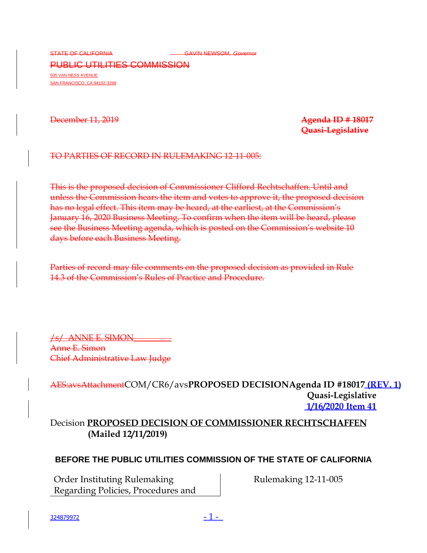STATE OF CALIFORNIA **CALIFORNIA** CONSIDERING COVERT GAVIN NEWSOM, Governor

PUBLIC UTILITIES COMMISSION 505 VAN NESS AVENUE SAN FRANCISCO, CA 94102-3298

December 11, 2019 **Agenda ID # 18017 Quasi-Legislative**

#### TO PARTIES OF RECORD IN RULEMAKING 12-11-005:

This is the proposed decision of Commissioner Clifford Rechtschaffen. Until and unless the Commission hears the item and votes to approve it, the proposed decision has no legal effect. This item may be heard, at the earliest, at the Commission's January 16, 2020 Business Meeting. To confirm when the item will be heard, please see the Business Meeting agenda, which is posted on the Commission's website 10 days before each Business Meeting.

Parties of record may file comments on the proposed decision as provided in Rule 14.3 of the Commission's Rules of Practice and Procedure.

/s/ ANNE E. SIMON Anne E. Simon Chief Administrative Law Judge

AES:avsAttachmentCOM/CR6/avs**PROPOSED DECISIONAgenda ID #18017 (REV. 1) Quasi-Legislative 1/16/2020 Item 41**

Decision **PROPOSED DECISION OF COMMISSIONER RECHTSCHAFFEN (Mailed 12/11/2019)**

### **BEFORE THE PUBLIC UTILITIES COMMISSION OF THE STATE OF CALIFORNIA**

Order Instituting Rulemaking Regarding Policies, Procedures and Rulemaking 12-11-005

 $\frac{324879972}{2}$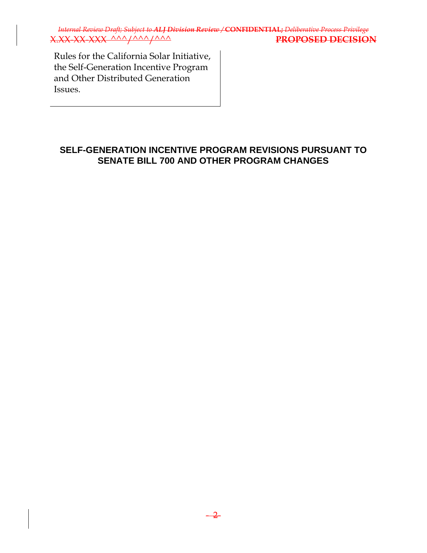*Internal Review Draft; Subject to ALJ Division Review /* **CONFIDENTIAL;** *Deliberative Process Privilege* X.XX-XX-XXX ^^^/^^^/^^^ **PROPOSED DECISION**

Rules for the California Solar Initiative, the Self-Generation Incentive Program and Other Distributed Generation Issues.

### **SELF-GENERATION INCENTIVE PROGRAM REVISIONS PURSUANT TO SENATE BILL 700 AND OTHER PROGRAM CHANGES**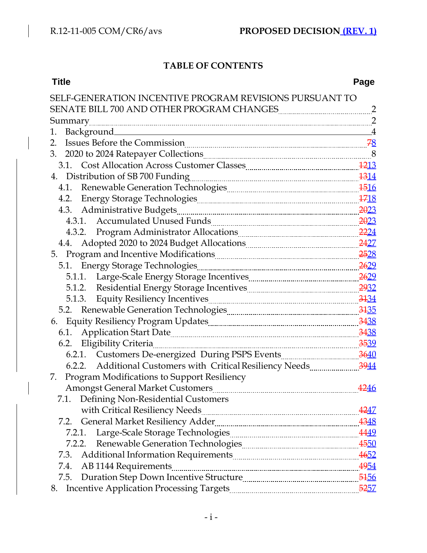# **TABLE OF CONTENTS**

| <b>Title</b>                                                                                                                                                                                                                   | Page           |
|--------------------------------------------------------------------------------------------------------------------------------------------------------------------------------------------------------------------------------|----------------|
| SELF-GENERATION INCENTIVE PROGRAM REVISIONS PURSUANT TO                                                                                                                                                                        |                |
|                                                                                                                                                                                                                                |                |
|                                                                                                                                                                                                                                |                |
| Background<br>1.                                                                                                                                                                                                               | $\overline{A}$ |
| 2.                                                                                                                                                                                                                             |                |
| 2020 to 2024 Ratepayer Collections 2020 to 2024 Ratepayer Collections<br>3.                                                                                                                                                    |                |
| 3.1. Cost Allocation Across Customer Classes Manuel Muslim 1213                                                                                                                                                                |                |
| 4. Distribution of SB 700 Funding 200 million 2010 1314                                                                                                                                                                        |                |
|                                                                                                                                                                                                                                |                |
|                                                                                                                                                                                                                                |                |
|                                                                                                                                                                                                                                |                |
|                                                                                                                                                                                                                                |                |
| 4.3.2. Program Administrator Allocations <b>Manual Accord 22214</b>                                                                                                                                                            |                |
| 4.4. Adopted 2020 to 2024 Budget Allocations <b>Elections</b> 2427                                                                                                                                                             |                |
|                                                                                                                                                                                                                                |                |
|                                                                                                                                                                                                                                |                |
| 5.1.1. Large-Scale Energy Storage Incentives <b>Engineering Contains 2629</b> 2629                                                                                                                                             |                |
|                                                                                                                                                                                                                                |                |
| 5.1.3. Equity Resiliency Incentives <b>Manual Equipment</b> 3134                                                                                                                                                               |                |
|                                                                                                                                                                                                                                |                |
| 6. Equity Resiliency Program Updates [11] The Residence and Taggian States and Taggian States and States and States and States and States and States and States and States and States and States and States and States and Sta |                |
| 6.1. Application Start Date 1910 1920 1920 1921 1938                                                                                                                                                                           |                |
| 6.2. Eligibility Criteria 2539 and 2539                                                                                                                                                                                        |                |
|                                                                                                                                                                                                                                |                |
| 6.2.2. Additional Customers with Critical Resiliency Needs 3944                                                                                                                                                                |                |
| Program Modifications to Support Resiliency<br>7.                                                                                                                                                                              |                |
| <b>Amongst General Market Customers</b>                                                                                                                                                                                        | 4246           |
| 7.1.<br>Defining Non-Residential Customers                                                                                                                                                                                     |                |
|                                                                                                                                                                                                                                |                |
| 7.2.                                                                                                                                                                                                                           |                |
| 7.2.1.                                                                                                                                                                                                                         |                |
| 7.2.2.                                                                                                                                                                                                                         |                |
| 7.3.                                                                                                                                                                                                                           |                |
| 7.4.                                                                                                                                                                                                                           |                |
| 7.5.                                                                                                                                                                                                                           |                |
| 8.                                                                                                                                                                                                                             |                |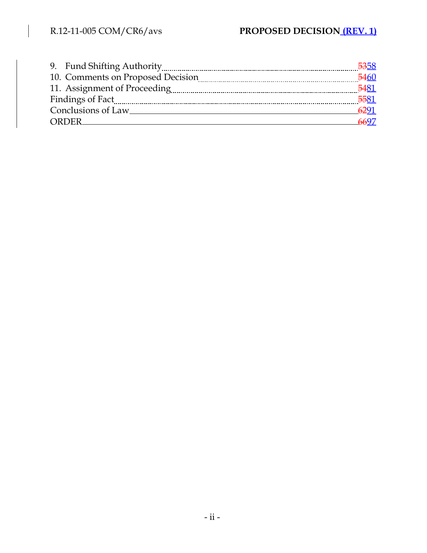$\Big\}$ 

| 9. Fund Shifting Authority [10] Martin Marcon Marcon Marcon Marcon Marcon Marcon Marcon Marcon Marcon Marcon M | <del>53</del> 58 |
|----------------------------------------------------------------------------------------------------------------|------------------|
| 10. Comments on Proposed Decision                                                                              | 5460             |
|                                                                                                                | 5481             |
| Findings of Fact                                                                                               | 5581             |
| Conclusions of Law                                                                                             | 6291             |
| ORDER                                                                                                          | 6697             |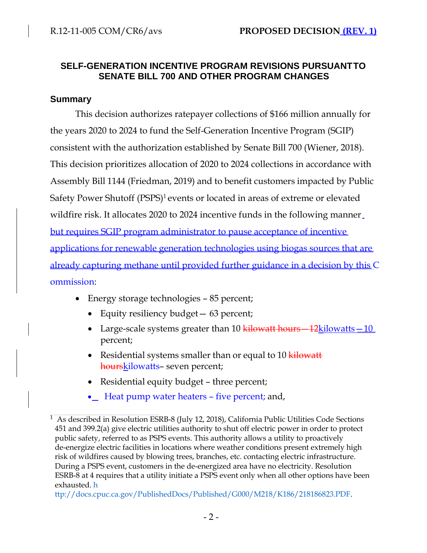## **SELF-GENERATION INCENTIVE PROGRAM REVISIONS PURSUANTTO SENATE BILL 700 AND OTHER PROGRAM CHANGES**

### **Summary**

This decision authorizes ratepayer collections of \$166 million annually for the years 2020 to 2024 to fund the Self-Generation Incentive Program (SGIP) consistent with the authorization established by Senate Bill 700 (Wiener, 2018). This decision prioritizes allocation of 2020 to 2024 collections in accordance with Assembly Bill 1144 (Friedman, 2019) and to benefit customers impacted by Public Safety Power Shutoff (PSPS)<sup>1</sup> events or located in areas of extreme or elevated wildfire risk. It allocates 2020 to 2024 incentive funds in the following manner but requires SGIP program administrator to pause acceptance of incentive applications for renewable generation technologies using biogas sources that are already capturing methane until provided further guidance in a decision by this C ommission:

- Energy storage technologies 85 percent;
	- Equity resiliency budget 63 percent;
	- Large-scale systems greater than 10  $\frac{1}{\text{kilowatt}} 12$ kilowatts  $\frac{-10}{-10}$ percent;
	- Residential systems smaller than or equal to 10 kilowatt hourskilowatts– seven percent;
	- Residential equity budget three percent;
	- Heat pump water heaters five percent; and,

<sup>&</sup>lt;sup>1</sup> As described in Resolution ESRB-8 (July 12, 2018), California Public Utilities Code Sections 451 and 399.2(a) give electric utilities authority to shut off electric power in order to protect public safety, referred to as PSPS events. This authority allows a utility to proactively de-energize electric facilities in locations where weather conditions present extremely high risk of wildfires caused by blowing trees, branches, etc. contacting electric infrastructure. During a PSPS event, customers in the de-energized area have no electricity. Resolution ESRB-8 at 4 requires that a utility initiate a PSPS event only when all other options have been exhausted. h

ttp://docs.cpuc.ca.gov/PublishedDocs/Published/G000/M218/K186/218186823.PDF.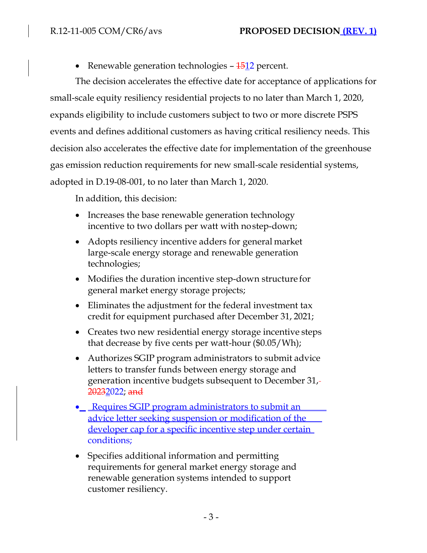• Renewable generation technologies  $-1512$  percent.

The decision accelerates the effective date for acceptance of applications for small-scale equity resiliency residential projects to no later than March 1, 2020, expands eligibility to include customers subject to two or more discrete PSPS events and defines additional customers as having critical resiliency needs. This decision also accelerates the effective date for implementation of the greenhouse gas emission reduction requirements for new small-scale residential systems, adopted in D.19-08-001, to no later than March 1, 2020.

In addition, this decision:

- Increases the base renewable generation technology incentive to two dollars per watt with nostep-down;
- Adopts resiliency incentive adders for general market large-scale energy storage and renewable generation technologies;
- Modifies the duration incentive step-down structure for general market energy storage projects;
- Eliminates the adjustment for the federal investment tax credit for equipment purchased after December 31, 2021;
- Creates two new residential energy storage incentive steps that decrease by five cents per watt-hour (\$0.05/Wh);
- Authorizes SGIP program administrators to submit advice letters to transfer funds between energy storage and generation incentive budgets subsequent to December 31, 20232022; and
- Requires SGIP program administrators to submit an advice letter seeking suspension or modification of the developer cap for a specific incentive step under certain conditions;
- Specifies additional information and permitting requirements for general market energy storage and renewable generation systems intended to support customer resiliency.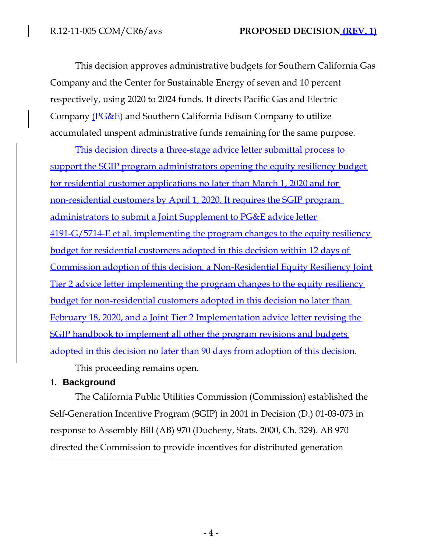This decision approves administrative budgets for Southern California Gas Company and the Center for Sustainable Energy of seven and 10 percent respectively, using 2020 to 2024 funds. It directs Pacific Gas and Electric Company (PG&E) and Southern California Edison Company to utilize accumulated unspent administrative funds remaining for the same purpose.

This decision directs a three-stage advice letter submittal process to support the SGIP program administrators opening the equity resiliency budget for residential customer applications no later than March 1, 2020 and for non-residential customers by April 1, 2020. It requires the SGIP program administrators to submit a Joint Supplement to PG&E advice letter 4191-G/5714-E et al. implementing the program changes to the equity resiliency budget for residential customers adopted in this decision within 12 days of Commission adoption of this decision, a Non-Residential Equity Resiliency Joint Tier 2 advice letter implementing the program changes to the equity resiliency budget for non-residential customers adopted in this decision no later than February 18, 2020, and a Joint Tier 2 Implementation advice letter revising the SGIP handbook to implement all other the program revisions and budgets adopted in this decision no later than 90 days from adoption of this decision.

This proceeding remains open.

# **1. Background**

The California Public Utilities Commission (Commission) established the Self-Generation Incentive Program (SGIP) in 2001 in Decision (D.) 01-03-073 in response to Assembly Bill (AB) 970 (Ducheny, Stats. 2000, Ch. 329). AB 970 directed the Commission to provide incentives for distributed generation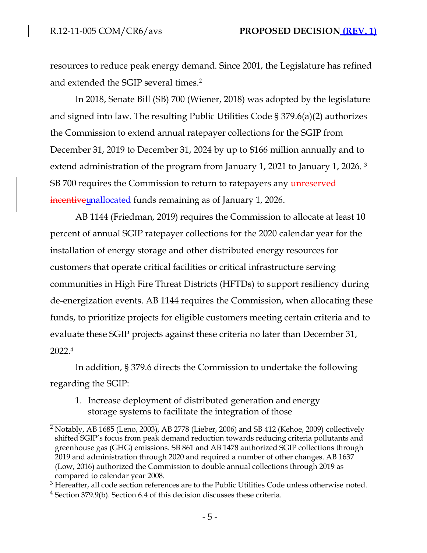resources to reduce peak energy demand. Since 2001, the Legislature has refined and extended the SGIP several times.<sup>2</sup>

In 2018, Senate Bill (SB) 700 (Wiener, 2018) was adopted by the legislature and signed into law. The resulting Public Utilities Code § 379.6(a)(2) authorizes the Commission to extend annual ratepayer collections for the SGIP from December 31, 2019 to December 31, 2024 by up to \$166 million annually and to extend administration of the program from January 1, 2021 to January 1, 2026. <sup>3</sup> SB 700 requires the Commission to return to ratepayers any unreserved incentiveunallocated funds remaining as of January 1, 2026.

AB 1144 (Friedman, 2019) requires the Commission to allocate at least 10 percent of annual SGIP ratepayer collections for the 2020 calendar year for the installation of energy storage and other distributed energy resources for customers that operate critical facilities or critical infrastructure serving communities in High Fire Threat Districts (HFTDs) to support resiliency during de-energization events. AB 1144 requires the Commission, when allocating these funds, to prioritize projects for eligible customers meeting certain criteria and to evaluate these SGIP projects against these criteria no later than December 31, 2022.<sup>4</sup>

In addition, § 379.6 directs the Commission to undertake the following regarding the SGIP:

1. Increase deployment of distributed generation andenergy storage systems to facilitate the integration of those

 $2$  Notably, AB 1685 (Leno, 2003), AB 2778 (Lieber, 2006) and SB 412 (Kehoe, 2009) collectively shifted SGIP's focus from peak demand reduction towards reducing criteria pollutants and greenhouse gas (GHG) emissions. SB 861 and AB 1478 authorized SGIP collections through 2019 and administration through 2020 and required a number of other changes. AB 1637 (Low, 2016) authorized the Commission to double annual collections through 2019 as compared to calendar year 2008.

<sup>&</sup>lt;sup>3</sup> Hereafter, all code section references are to the Public Utilities Code unless otherwise noted.

<sup>4</sup> Section 379.9(b). Section 6.4 of this decision discusses these criteria.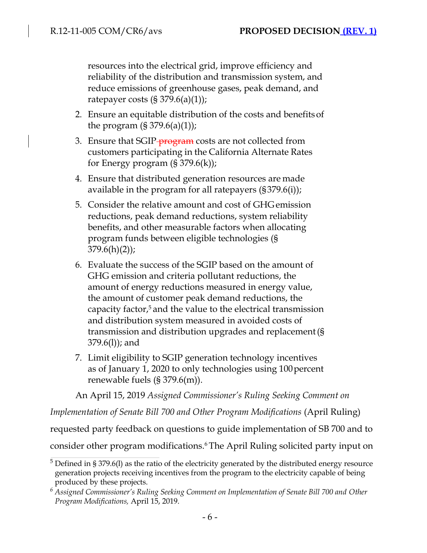resources into the electrical grid, improve efficiency and reliability of the distribution and transmission system, and reduce emissions of greenhouse gases, peak demand, and ratepayer costs  $(\S 379.6(a)(1))$ ;

- 2. Ensure an equitable distribution of the costs and benefitsof the program  $(S 379.6(a)(1))$ ;
- 3. Ensure that SGIP-<del>program</del> costs are not collected from customers participating in the California Alternate Rates for Energy program  $(\S 379.6(k))$ ;
- 4. Ensure that distributed generation resources are made available in the program for all ratepayers (§379.6(i));
- 5. Consider the relative amount and cost of GHGemission reductions, peak demand reductions, system reliability benefits, and other measurable factors when allocating program funds between eligible technologies (§  $379.6(h)(2)$ ;
- 6. Evaluate the success of the SGIP based on the amount of GHG emission and criteria pollutant reductions, the amount of energy reductions measured in energy value, the amount of customer peak demand reductions, the capacity factor, $5$  and the value to the electrical transmission and distribution system measured in avoided costs of transmission and distribution upgrades and replacement(§ 379.6(l)); and
- 7. Limit eligibility to SGIP generation technology incentives as of January 1, 2020 to only technologies using 100 percent renewable fuels (§ 379.6(m)).

An April 15, 2019 *Assigned Commissioner's Ruling Seeking Comment on* 

*Implementation of Senate Bill 700 and Other Program Modifications (April Ruling)* 

requested party feedback on questions to guide implementation of SB 700 and to

consider other program modifications.<sup>6</sup>The April Ruling solicited party input on

 $5$  Defined in § 379.6(1) as the ratio of the electricity generated by the distributed energy resource generation projects receiving incentives from the program to the electricity capable of being produced by these projects.

*<sup>6</sup> Assigned Commissioner's Ruling Seeking Comment on Implementation of Senate Bill 700 and Other Program Modifications,* April 15, 2019.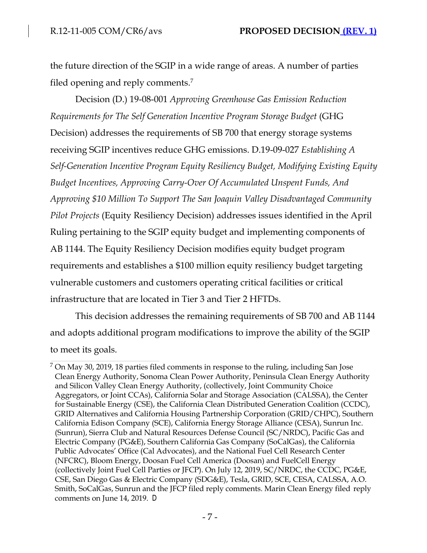the future direction of the SGIP in a wide range of areas. A number of parties filed opening and reply comments.<sup>7</sup>

Decision (D.) 19-08-001 *Approving Greenhouse Gas Emission Reduction Requirements for The Self Generation Incentive Program Storage Budget* (GHG Decision) addresses the requirements of SB 700 that energy storage systems receiving SGIP incentives reduce GHG emissions. D.19-09-027 *Establishing A Self-Generation Incentive Program Equity Resiliency Budget, Modifying Existing Equity Budget Incentives, Approving Carry-Over Of Accumulated Unspent Funds, And Approving \$10 Million To Support The San Joaquin Valley Disadvantaged Community Pilot Projects* (Equity Resiliency Decision) addresses issues identified in the April Ruling pertaining to the SGIP equity budget and implementing components of AB 1144. The Equity Resiliency Decision modifies equity budget program requirements and establishes a \$100 million equity resiliency budget targeting vulnerable customers and customers operating critical facilities or critical infrastructure that are located in Tier 3 and Tier 2 HFTDs.

This decision addresses the remaining requirements of SB 700 and AB 1144 and adopts additional program modifications to improve the ability of the SGIP to meet its goals.

 $7$  On May 30, 2019, 18 parties filed comments in response to the ruling, including San Jose Clean Energy Authority, Sonoma Clean Power Authority, Peninsula Clean Energy Authority and Silicon Valley Clean Energy Authority, (collectively, Joint Community Choice Aggregators, or Joint CCAs), California Solar and Storage Association (CALSSA), the Center for Sustainable Energy (CSE), the California Clean Distributed Generation Coalition (CCDC), GRID Alternatives and California Housing Partnership Corporation (GRID/CHPC), Southern California Edison Company (SCE), California Energy Storage Alliance (CESA), Sunrun Inc. (Sunrun), Sierra Club and Natural Resources Defense Council (SC/NRDC), Pacific Gas and Electric Company (PG&E), Southern California Gas Company (SoCalGas), the California Public Advocates' Office (Cal Advocates), and the National Fuel Cell Research Center (NFCRC), Bloom Energy, Doosan Fuel Cell America (Doosan) and FuelCell Energy (collectively Joint Fuel Cell Parties or JFCP). On July 12, 2019, SC/NRDC, the CCDC, PG&E, CSE, San Diego Gas & Electric Company (SDG&E), Tesla, GRID, SCE, CESA, CALSSA, A.O. Smith, SoCalGas, Sunrun and the JFCP filed reply comments. Marin Clean Energy filed reply comments on June 14, 2019. D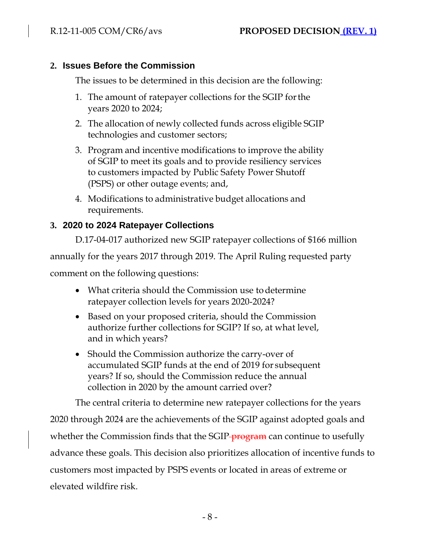# **2. Issues Before the Commission**

The issues to be determined in this decision are the following:

- 1. The amount of ratepayer collections for the SGIP forthe years 2020 to 2024;
- 2. The allocation of newly collected funds across eligible SGIP technologies and customer sectors;
- 3. Program and incentive modifications to improve the ability of SGIP to meet its goals and to provide resiliency services to customers impacted by Public Safety Power Shutoff (PSPS) or other outage events; and,
- 4. Modifications to administrative budget allocations and requirements.

# **3. 2020 to 2024 Ratepayer Collections**

D.17-04-017 authorized new SGIP ratepayer collections of \$166 million annually for the years 2017 through 2019. The April Ruling requested party comment on the following questions:

- What criteria should the Commission use to determine ratepayer collection levels for years 2020-2024?
- Based on your proposed criteria, should the Commission authorize further collections for SGIP? If so, at what level, and in which years?
- Should the Commission authorize the carry-over of accumulated SGIP funds at the end of 2019 for subsequent years? If so, should the Commission reduce the annual collection in 2020 by the amount carried over?

The central criteria to determine new ratepayer collections for the years 2020 through 2024 are the achievements of the SGIP against adopted goals and whether the Commission finds that the SGIP-program can continue to usefully advance these goals. This decision also prioritizes allocation of incentive funds to customers most impacted by PSPS events or located in areas of extreme or elevated wildfire risk.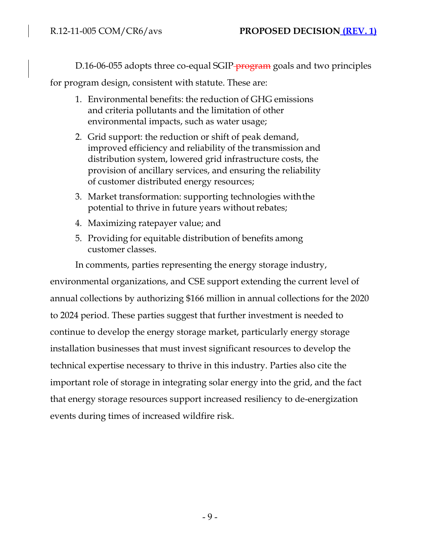D.16-06-055 adopts three co-equal SGIP-**program** goals and two principles

for program design, consistent with statute. These are:

- 1. Environmental benefits: the reduction of GHG emissions and criteria pollutants and the limitation of other environmental impacts, such as water usage;
- 2. Grid support: the reduction or shift of peak demand, improved efficiency and reliability of the transmission and distribution system, lowered grid infrastructure costs, the provision of ancillary services, and ensuring the reliability of customer distributed energy resources;
- 3. Market transformation: supporting technologies withthe potential to thrive in future years without rebates;
- 4. Maximizing ratepayer value; and
- 5. Providing for equitable distribution of benefits among customer classes.

In comments, parties representing the energy storage industry, environmental organizations, and CSE support extending the current level of annual collections by authorizing \$166 million in annual collections for the 2020 to 2024 period. These parties suggest that further investment is needed to continue to develop the energy storage market, particularly energy storage installation businesses that must invest significant resources to develop the technical expertise necessary to thrive in this industry. Parties also cite the important role of storage in integrating solar energy into the grid, and the fact that energy storage resources support increased resiliency to de-energization events during times of increased wildfire risk.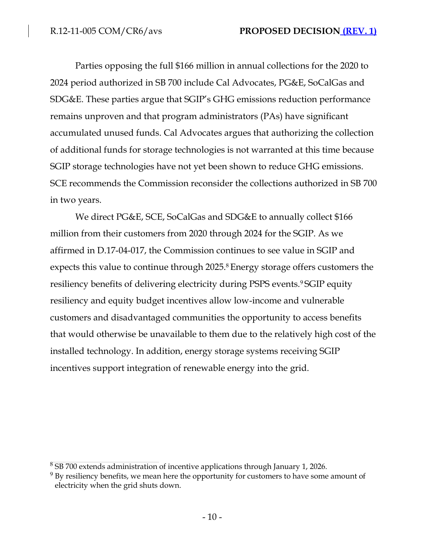Parties opposing the full \$166 million in annual collections for the 2020 to 2024 period authorized in SB 700 include Cal Advocates, PG&E, SoCalGas and SDG&E. These parties argue that SGIP's GHG emissions reduction performance remains unproven and that program administrators (PAs) have significant accumulated unused funds. Cal Advocates argues that authorizing the collection of additional funds for storage technologies is not warranted at this time because SGIP storage technologies have not yet been shown to reduce GHG emissions. SCE recommends the Commission reconsider the collections authorized in SB 700 in two years.

We direct PG&E, SCE, SoCalGas and SDG&E to annually collect \$166 million from their customers from 2020 through 2024 for the SGIP. As we affirmed in D.17-04-017, the Commission continues to see value in SGIP and expects this value to continue through 2025.<sup>8</sup> Energy storage offers customers the resiliency benefits of delivering electricity during PSPS events.<sup>9</sup>SGIP equity resiliency and equity budget incentives allow low-income and vulnerable customers and disadvantaged communities the opportunity to access benefits that would otherwise be unavailable to them due to the relatively high cost of the installed technology. In addition, energy storage systems receiving SGIP incentives support integration of renewable energy into the grid.

<sup>8</sup> SB 700 extends administration of incentive applications through January 1, 2026.

 $9$  By resiliency benefits, we mean here the opportunity for customers to have some amount of electricity when the grid shuts down.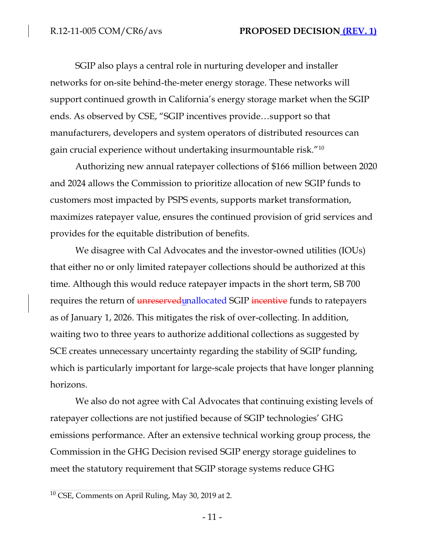SGIP also plays a central role in nurturing developer and installer networks for on-site behind-the-meter energy storage. These networks will support continued growth in California's energy storage market when the SGIP ends. As observed by CSE, "SGIP incentives provide…support so that manufacturers, developers and system operators of distributed resources can gain crucial experience without undertaking insurmountable risk."<sup>10</sup>

Authorizing new annual ratepayer collections of \$166 million between 2020 and 2024 allows the Commission to prioritize allocation of new SGIP funds to customers most impacted by PSPS events, supports market transformation, maximizes ratepayer value, ensures the continued provision of grid services and provides for the equitable distribution of benefits.

We disagree with Cal Advocates and the investor-owned utilities (IOUs) that either no or only limited ratepayer collections should be authorized at this time. Although this would reduce ratepayer impacts in the short term, SB 700 requires the return of *unreserved unallocated SGIP* incentive funds to ratepayers as of January 1, 2026. This mitigates the risk of over-collecting. In addition, waiting two to three years to authorize additional collections as suggested by SCE creates unnecessary uncertainty regarding the stability of SGIP funding, which is particularly important for large-scale projects that have longer planning horizons.

We also do not agree with Cal Advocates that continuing existing levels of ratepayer collections are not justified because of SGIP technologies' GHG emissions performance. After an extensive technical working group process, the Commission in the GHG Decision revised SGIP energy storage guidelines to meet the statutory requirement that SGIP storage systems reduce GHG

<sup>10</sup> CSE, Comments on April Ruling, May 30, 2019 at 2.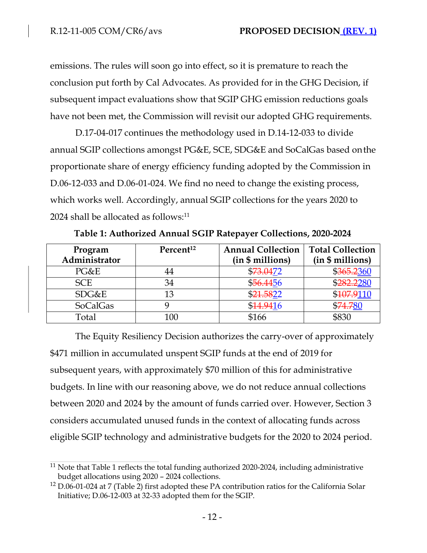emissions. The rules will soon go into effect, so it is premature to reach the conclusion put forth by Cal Advocates. As provided for in the GHG Decision, if subsequent impact evaluations show that SGIP GHG emission reductions goals have not been met, the Commission will revisit our adopted GHG requirements.

D.17-04-017 continues the methodology used in D.14-12-033 to divide annual SGIP collections amongst PG&E, SCE, SDG&E and SoCalGas based onthe proportionate share of energy efficiency funding adopted by the Commission in D.06-12-033 and D.06-01-024. We find no need to change the existing process, which works well. Accordingly, annual SGIP collections for the years 2020 to 2024 shall be allocated as follows:<sup>11</sup>

| Program         | Percent <sup>12</sup> | <b>Annual Collection</b> | <b>Total Collection</b> |
|-----------------|-----------------------|--------------------------|-------------------------|
| Administrator   |                       | (in \$ millions)         | (in \$ millions)        |
| PG&E            |                       | \$73.0472                | \$365.2360              |
| <b>SCE</b>      | 34                    | \$56.4456                | \$282,2280              |
| SDG&E           | 13                    | \$21.5822                | \$107.9110              |
| <b>SoCalGas</b> |                       | \$14,9416                | \$74.780                |
| Total           | 100                   | \$166                    | \$830                   |

**Table 1: Authorized Annual SGIP Ratepayer Collections, 2020-2024**

The Equity Resiliency Decision authorizes the carry-over of approximately \$471 million in accumulated unspent SGIP funds at the end of 2019 for subsequent years, with approximately \$70 million of this for administrative budgets. In line with our reasoning above, we do not reduce annual collections between 2020 and 2024 by the amount of funds carried over. However, Section 3 considers accumulated unused funds in the context of allocating funds across eligible SGIP technology and administrative budgets for the 2020 to 2024 period.

 $11$  Note that Table 1 reflects the total funding authorized 2020-2024, including administrative budget allocations using 2020 – 2024 collections.

<sup>12</sup> D.06-01-024 at 7 (Table 2) first adopted these PA contribution ratios for the California Solar Initiative; D.06-12-003 at 32-33 adopted them for the SGIP.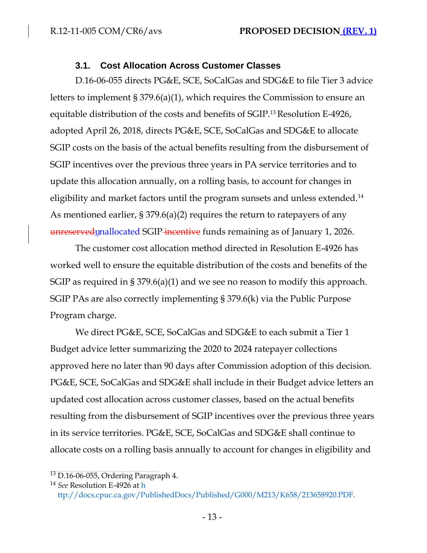#### **3.1. Cost Allocation Across Customer Classes**

D.16-06-055 directs PG&E, SCE, SoCalGas and SDG&E to file Tier 3 advice letters to implement § 379.6(a)(1), which requires the Commission to ensure an equitable distribution of the costs and benefits of SGIP.<sup>13</sup> Resolution E-4926, adopted April 26, 2018, directs PG&E, SCE, SoCalGas and SDG&E to allocate SGIP costs on the basis of the actual benefits resulting from the disbursement of SGIP incentives over the previous three years in PA service territories and to update this allocation annually, on a rolling basis, to account for changes in eligibility and market factors until the program sunsets and unless extended.<sup>14</sup> As mentioned earlier, § 379.6(a)(2) requires the return to ratepayers of any unreserved unallocated SGIP incentive funds remaining as of January 1, 2026.

The customer cost allocation method directed in Resolution E-4926 has worked well to ensure the equitable distribution of the costs and benefits of the SGIP as required in § 379.6(a)(1) and we see no reason to modify this approach. SGIP PAs are also correctly implementing § 379.6(k) via the Public Purpose Program charge.

We direct PG&E, SCE, SoCalGas and SDG&E to each submit a Tier 1 Budget advice letter summarizing the 2020 to 2024 ratepayer collections approved here no later than 90 days after Commission adoption of this decision. PG&E, SCE, SoCalGas and SDG&E shall include in their Budget advice letters an updated cost allocation across customer classes, based on the actual benefits resulting from the disbursement of SGIP incentives over the previous three years in its service territories. PG&E, SCE, SoCalGas and SDG&E shall continue to allocate costs on a rolling basis annually to account for changes in eligibility and

<sup>13</sup> D.16-06-055, Ordering Paragraph 4.

<sup>14</sup> *See* Resolution E-4926 at h ttp://docs.cpuc.ca.gov/PublishedDocs/Published/G000/M213/K658/213658920.PDF.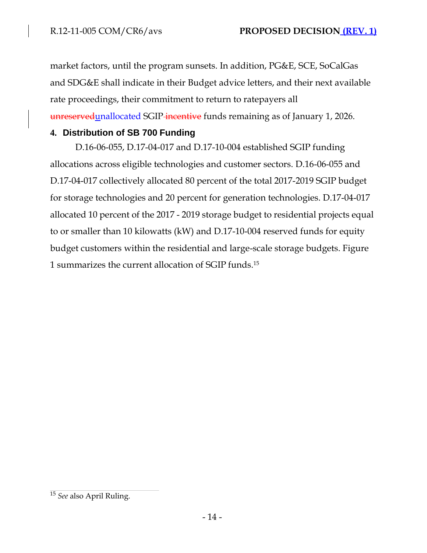market factors, until the program sunsets. In addition, PG&E, SCE, SoCalGas and SDG&E shall indicate in their Budget advice letters, and their next available rate proceedings, their commitment to return to ratepayers all unreserved unallocated SGIP-incentive funds remaining as of January 1, 2026.

### **4. Distribution of SB 700 Funding**

D.16-06-055, D.17-04-017 and D.17-10-004 established SGIP funding allocations across eligible technologies and customer sectors. D.16-06-055 and D.17-04-017 collectively allocated 80 percent of the total 2017-2019 SGIP budget for storage technologies and 20 percent for generation technologies. D.17-04-017 allocated 10 percent of the 2017 - 2019 storage budget to residential projects equal to or smaller than 10 kilowatts (kW) and D.17-10-004 reserved funds for equity budget customers within the residential and large-scale storage budgets. Figure 1 summarizes the current allocation of SGIP funds.<sup>15</sup>

<sup>15</sup> *See* also April Ruling.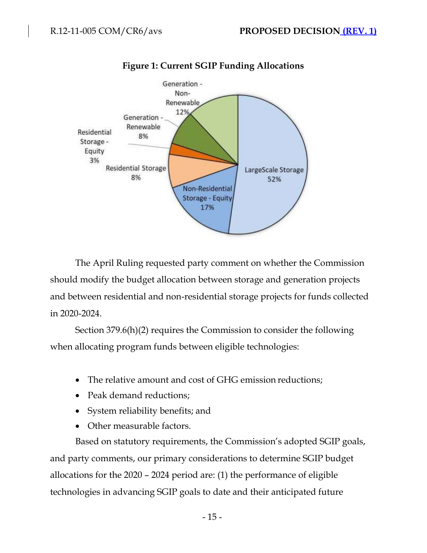

# **Figure 1: Current SGIP Funding Allocations**

The April Ruling requested party comment on whether the Commission should modify the budget allocation between storage and generation projects and between residential and non-residential storage projects for funds collected in 2020-2024.

Section 379.6(h)(2) requires the Commission to consider the following when allocating program funds between eligible technologies:

- The relative amount and cost of GHG emission reductions;
- Peak demand reductions;
- System reliability benefits; and
- Other measurable factors.

Based on statutory requirements, the Commission's adopted SGIP goals, and party comments, our primary considerations to determine SGIP budget allocations for the 2020 – 2024 period are: (1) the performance of eligible technologies in advancing SGIP goals to date and their anticipated future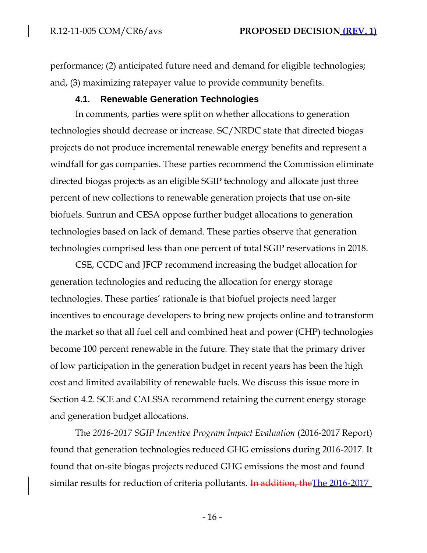performance; (2) anticipated future need and demand for eligible technologies; and, (3) maximizing ratepayer value to provide community benefits.

### **4.1. Renewable Generation Technologies**

In comments, parties were split on whether allocations to generation technologies should decrease or increase. SC/NRDC state that directed biogas projects do not produce incremental renewable energy benefits and represent a windfall for gas companies. These parties recommend the Commission eliminate directed biogas projects as an eligible SGIP technology and allocate just three percent of new collections to renewable generation projects that use on-site biofuels. Sunrun and CESA oppose further budget allocations to generation technologies based on lack of demand. These parties observe that generation technologies comprised less than one percent of total SGIP reservations in 2018.

CSE, CCDC and JFCP recommend increasing the budget allocation for generation technologies and reducing the allocation for energy storage technologies. These parties' rationale is that biofuel projects need larger incentives to encourage developers to bring new projects online and to transform the market so that all fuel cell and combined heat and power (CHP) technologies become 100 percent renewable in the future. They state that the primary driver of low participation in the generation budget in recent years has been the high cost and limited availability of renewable fuels. We discuss this issue more in Section 4.2. SCE and CALSSA recommend retaining the current energy storage and generation budget allocations.

The *2016-2017 SGIP Incentive Program Impact Evaluation* (2016-2017 Report) found that generation technologies reduced GHG emissions during 2016-2017. It found that on-site biogas projects reduced GHG emissions the most and found similar results for reduction of criteria pollutants. In addition, the The 2016-2017

- 16 -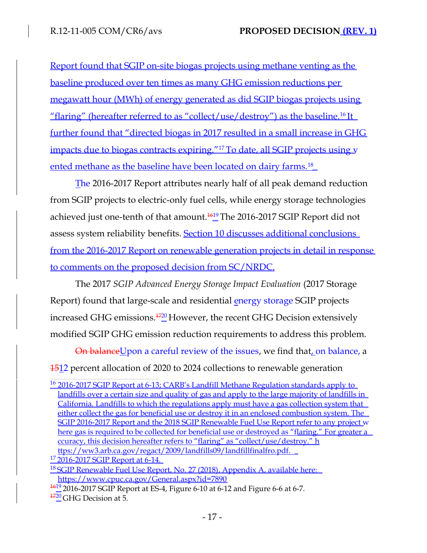Report found that SGIP on-site biogas projects using methane venting as the baseline produced over ten times as many GHG emission reductions per megawatt hour (MWh) of energy generated as did SGIP biogas projects using "flaring" (hereafter referred to as "collect/use/destroy") as the baseline.<sup>16</sup>It further found that "directed biogas in 2017 resulted in a small increase in GHG impacts due to biogas contracts expiring."<sup>17</sup>To date, all SGIP projects using y ented methane as the baseline have been located on dairy farms.<sup>18</sup>

The 2016-2017 Report attributes nearly half of all peak demand reduction from SGIP projects to electric-only fuel cells, while energy storage technologies achieved just one-tenth of that amount. $\frac{1619}{n}$ The 2016-2017 SGIP Report did not assess system reliability benefits. Section 10 discusses additional conclusions from the 2016-2017 Report on renewable generation projects in detail in response to comments on the proposed decision from SC/NRDC.

The 2017 *SGIP Advanced Energy Storage Impact Evaluation* (2017 Storage Report) found that large-scale and residential energy storage SGIP projects increased GHG emissions. $\frac{1720}{2}$ However, the recent GHG Decision extensively modified SGIP GHG emission reduction requirements to address this problem.

On balanceUpon a careful review of the issues, we find that, on balance, a 1512 percent allocation of 2020 to 2024 collections to renewable generation

<sup>16</sup> 2016-2017 SGIP Report at 6-13; CARB's Landfill Methane Regulation standards apply to landfills over a certain size and quality of gas and apply to the large majority of landfills in California. Landfills to which the regulations apply must have a gas collection system that either collect the gas for beneficial use or destroy it in an enclosed combustion system. The SGIP 2016-2017 Report and the 2018 SGIP Renewable Fuel Use Report refer to any project w here gas is required to be collected for beneficial use or destroyed as "flaring." For greater a ccuracy, this decision hereafter refers to "flaring" as "collect/use/destroy." h ttps://ww3.arb.ca.gov/regact/2009/landfills09/landfillfinalfro.pdf.

<sup>&</sup>lt;sup>17</sup> 2016-2017 SGIP Report at 6-14.

<sup>&</sup>lt;sup>18</sup> SGIP Renewable Fuel Use Report, No. 27 (2018), Appendix A, available here: [https://www.cpuc.ca.gov/General.aspx?id=7890](http://www.cpuc.ca.gov/General.aspx?id=7890)

 $\frac{1619}{2016}$ -2017 SGIP Report at ES-4, Figure 6-10 at 6-12 and Figure 6-6 at 6-7.

 $\frac{4720}{2}$ GHG Decision at 5.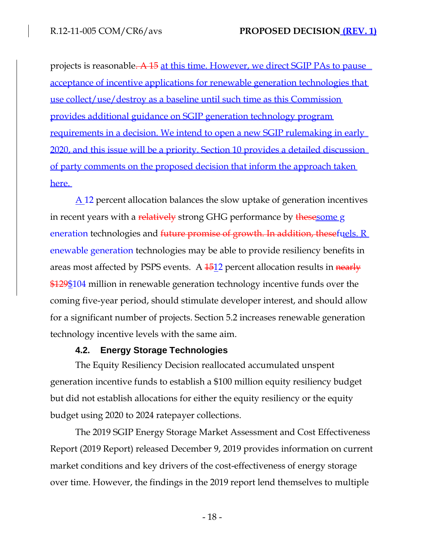projects is reasonable. A 15 at this time. However, we direct SGIP PAs to pause acceptance of incentive applications for renewable generation technologies that use collect/use/destroy as a baseline until such time as this Commission provides additional guidance on SGIP generation technology program requirements in a decision. We intend to open a new SGIP rulemaking in early 2020, and this issue will be a priority. Section 10 provides a detailed discussion of party comments on the proposed decision that inform the approach taken here.

A 12 percent allocation balances the slow uptake of generation incentives in recent years with a relatively strong GHG performance by thesesome g eneration technologies and future promise of growth. In addition, thesefuels, R enewable generation technologies may be able to provide resiliency benefits in areas most affected by PSPS events. A  $\frac{1512}{2}$  percent allocation results in nearly \$129\$104 million in renewable generation technology incentive funds over the coming five-year period, should stimulate developer interest, and should allow for a significant number of projects. Section 5.2 increases renewable generation technology incentive levels with the same aim.

#### **4.2. Energy Storage Technologies**

The Equity Resiliency Decision reallocated accumulated unspent generation incentive funds to establish a \$100 million equity resiliency budget but did not establish allocations for either the equity resiliency or the equity budget using 2020 to 2024 ratepayer collections.

The 2019 SGIP Energy Storage Market Assessment and Cost Effectiveness Report (2019 Report) released December 9, 2019 provides information on current market conditions and key drivers of the cost-effectiveness of energy storage over time. However, the findings in the 2019 report lend themselves to multiple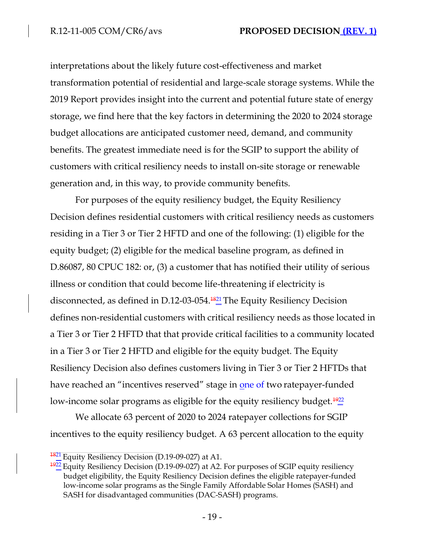interpretations about the likely future cost-effectiveness and market transformation potential of residential and large-scale storage systems. While the 2019 Report provides insight into the current and potential future state of energy storage, we find here that the key factors in determining the 2020 to 2024 storage budget allocations are anticipated customer need, demand, and community benefits. The greatest immediate need is for the SGIP to support the ability of customers with critical resiliency needs to install on-site storage or renewable generation and, in this way, to provide community benefits.

For purposes of the equity resiliency budget, the Equity Resiliency Decision defines residential customers with critical resiliency needs as customers residing in a Tier 3 or Tier 2 HFTD and one of the following: (1) eligible for the equity budget; (2) eligible for the medical baseline program, as defined in D.86087, 80 CPUC 182: or, (3) a customer that has notified their utility of serious illness or condition that could become life-threatening if electricity is disconnected, as defined in D.12-03-054.<sup>4821</sup> The Equity Resiliency Decision defines non-residential customers with critical resiliency needs as those located in a Tier 3 or Tier 2 HFTD that that provide critical facilities to a community located in a Tier 3 or Tier 2 HFTD and eligible for the equity budget. The Equity Resiliency Decision also defines customers living in Tier 3 or Tier 2 HFTDs that have reached an "incentives reserved" stage in one of two ratepayer-funded low-income solar programs as eligible for the equity resiliency budget. $\frac{1922}{2}$ 

We allocate 63 percent of 2020 to 2024 ratepayer collections for SGIP incentives to the equity resiliency budget. A 63 percent allocation to the equity

 $\frac{1821}{1821}$  Equity Resiliency Decision (D.19-09-027) at A1.

 $\frac{1922}{1922}$  Equity Resiliency Decision (D.19-09-027) at A2. For purposes of SGIP equity resiliency budget eligibility, the Equity Resiliency Decision defines the eligible ratepayer-funded low-income solar programs as the Single Family Affordable Solar Homes (SASH) and SASH for disadvantaged communities (DAC-SASH) programs.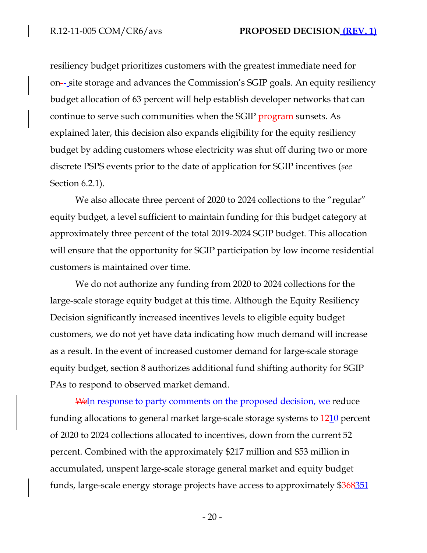resiliency budget prioritizes customers with the greatest immediate need for on-- site storage and advances the Commission's SGIP goals. An equity resiliency budget allocation of 63 percent will help establish developer networks that can continue to serve such communities when the SGIP program sunsets. As explained later, this decision also expands eligibility for the equity resiliency budget by adding customers whose electricity was shut off during two or more discrete PSPS events prior to the date of application for SGIP incentives (*see*  Section 6.2.1).

We also allocate three percent of 2020 to 2024 collections to the "regular" equity budget, a level sufficient to maintain funding for this budget category at approximately three percent of the total 2019-2024 SGIP budget. This allocation will ensure that the opportunity for SGIP participation by low income residential customers is maintained over time.

We do not authorize any funding from 2020 to 2024 collections for the large-scale storage equity budget at this time. Although the Equity Resiliency Decision significantly increased incentives levels to eligible equity budget customers, we do not yet have data indicating how much demand will increase as a result. In the event of increased customer demand for large-scale storage equity budget, section 8 authorizes additional fund shifting authority for SGIP PAs to respond to observed market demand.

WeIn response to party comments on the proposed decision, we reduce funding allocations to general market large-scale storage systems to  $\frac{1210}{1210}$  percent of 2020 to 2024 collections allocated to incentives, down from the current 52 percent. Combined with the approximately \$217 million and \$53 million in accumulated, unspent large-scale storage general market and equity budget funds, large-scale energy storage projects have access to approximately \$368351

- 20 -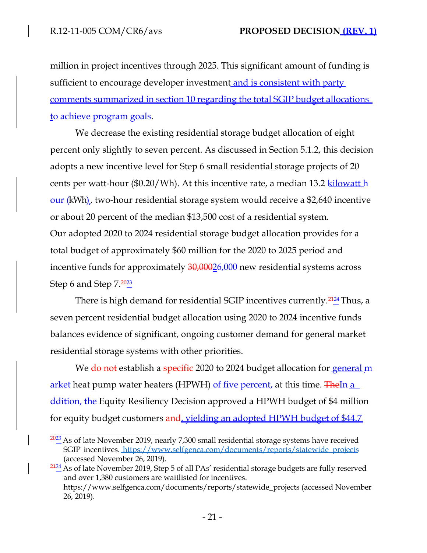million in project incentives through 2025. This significant amount of funding is sufficient to encourage developer investment and is consistent with party comments summarized in section 10 regarding the total SGIP budget allocations to achieve program goals.

We decrease the existing residential storage budget allocation of eight percent only slightly to seven percent. As discussed in Section 5.1.2, this decision adopts a new incentive level for Step 6 small residential storage projects of 20 cents per watt-hour (\$0.20/Wh). At this incentive rate, a median 13.2 kilowatt h our (kWh), two-hour residential storage system would receive a \$2,640 incentive or about 20 percent of the median \$13,500 cost of a residential system. Our adopted 2020 to 2024 residential storage budget allocation provides for a total budget of approximately \$60 million for the 2020 to 2025 period and incentive funds for approximately  $30,00026,000$  new residential systems across Step 6 and Step  $7.\frac{2023}{9}$ 

There is high demand for residential SGIP incentives currently. $\frac{2424}{4}$ Thus, a seven percent residential budget allocation using 2020 to 2024 incentive funds balances evidence of significant, ongoing customer demand for general market residential storage systems with other priorities.

We do not establish a specific 2020 to 2024 budget allocation for **general** m arket heat pump water heaters (HPWH) of five percent, at this time. The In a ddition, the Equity Resiliency Decision approved a HPWH budget of \$4 million for equity budget customers and, yielding an adopted HPWH budget of \$44.7

 $\frac{2023}{2}$  As of late November 2019, nearly 7,300 small residential storage systems have received SGIP incentives. [https://www.selfgenca.com/documents/reports/statewide\\_projects](http://www.selfgenca.com/documents/reports/statewide_projects) (accessed November 26, 2019).

 $\frac{2424}{4}$  As of late November 2019, Step 5 of all PAs' residential storage budgets are fully reserved and over 1,380 customers are waitlisted for incentives. [https://www.selfgenca.com/documents/reports/statewide\\_projects \(](http://www.selfgenca.com/documents/reports/statewide_projects)accessed November 26, 2019).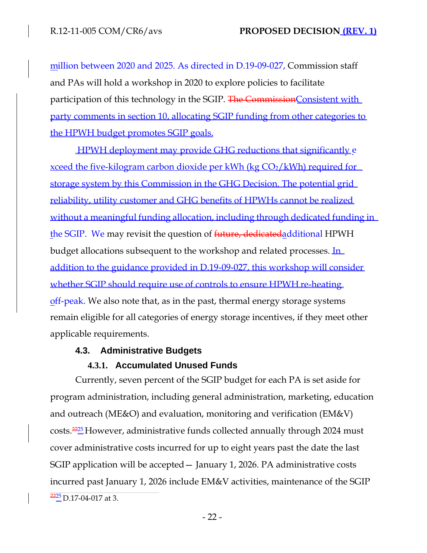million between 2020 and 2025. As directed in D.19-09-027, Commission staff and PAs will hold a workshop in 2020 to explore policies to facilitate participation of this technology in the SGIP. The Commission Consistent with party comments in section 10, allocating SGIP funding from other categories to the HPWH budget promotes SGIP goals.

HPWH deployment may provide GHG reductions that significantly e xceed the five-kilogram carbon dioxide per kWh (kg  $CO<sub>2</sub>/kWh$ ) required for storage system by this Commission in the GHG Decision. The potential grid reliability, utility customer and GHG benefits of HPWHs cannot be realized without a meaningful funding allocation, including through dedicated funding in the SGIP. We may revisit the question of future, dedicatedadditional HPWH budget allocations subsequent to the workshop and related processes. In addition to the guidance provided in D.19-09-027, this workshop will consider whether SGIP should require use of controls to ensure HPWH re-heating off-peak. We also note that, as in the past, thermal energy storage systems remain eligible for all categories of energy storage incentives, if they meet other applicable requirements.

### **4.3. Administrative Budgets**

### **4.3.1. Accumulated Unused Funds**

Currently, seven percent of the SGIP budget for each PA is set aside for program administration, including general administration, marketing, education and outreach (ME&O) and evaluation, monitoring and verification (EM&V) costs. $\frac{2225}{2}$ However, administrative funds collected annually through 2024 must cover administrative costs incurred for up to eight years past the date the last SGIP application will be accepted— January 1, 2026. PA administrative costs incurred past January 1, 2026 include EM&V activities, maintenance of the SGIP  $\frac{2225}{2}$ D.17-04-017 at 3.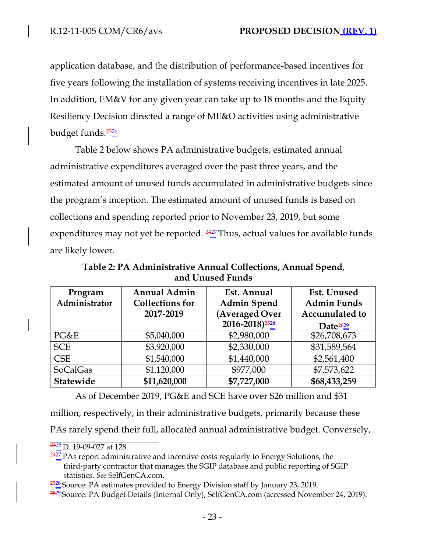application database, and the distribution of performance-based incentives for five years following the installation of systems receiving incentives in late 2025. In addition, EM&V for any given year can take up to 18 months and the Equity Resiliency Decision directed a range of ME&O activities using administrative budget funds. $\frac{2326}{4}$ 

Table 2 below shows PA administrative budgets, estimated annual administrative expenditures averaged over the past three years, and the estimated amount of unused funds accumulated in administrative budgets since the program's inception. The estimated amount of unused funds is based on collections and spending reported prior to November 23, 2019, but some expenditures may not yet be reported.  $\frac{2427}{4}$ Thus, actual values for available funds are likely lower.

**Table 2: PA Administrative Annual Collections, Annual Spend, and Unused Funds**

| Program<br>Administrator | <b>Annual Admin</b><br><b>Collections for</b><br>2017-2019 | Est. Annual<br><b>Admin Spend</b><br>(Averaged Over<br>2016-2018) <sup>2528</sup> | Est. Unused<br><b>Admin Funds</b><br><b>Accumulated to</b><br>Date <sup>2629</sup> |
|--------------------------|------------------------------------------------------------|-----------------------------------------------------------------------------------|------------------------------------------------------------------------------------|
| PG&E                     | \$5,040,000                                                | \$2,980,000                                                                       | \$26,708,673                                                                       |
| <b>SCE</b>               | \$3,920,000                                                | \$2,330,000                                                                       | \$31,589,564                                                                       |
| <b>CSE</b>               | \$1,540,000                                                | \$1,440,000                                                                       | \$2,561,400                                                                        |
| <b>SoCalGas</b>          | \$1,120,000                                                | \$977,000                                                                         | \$7,573,622                                                                        |
| Statewide                | \$11,620,000                                               | \$7,727,000                                                                       | \$68,433,259                                                                       |

As of December 2019, PG&E and SCE have over \$26 million and \$31

million, respectively, in their administrative budgets, primarily because these

PAs rarely spend their full, allocated annual administrative budget. Conversely,

 $\frac{2427}{2}$ PAs report administrative and incentive costs regularly to Energy Solutions, the third-party contractor that manages the SGIP database and public reporting of SGIP statistics. *See* SelfGenCA.com.

 $\frac{2326}{2326}$  D. 19-09-027 at 128.

**<sup>2528</sup>**Source: PA estimates provided to Energy Division staff by January 23, 2019.

<sup>&</sup>lt;sup>2629</sup> Source: PA Budget Details (Internal Only), SelfGenCA.com (accessed November 24, 2019).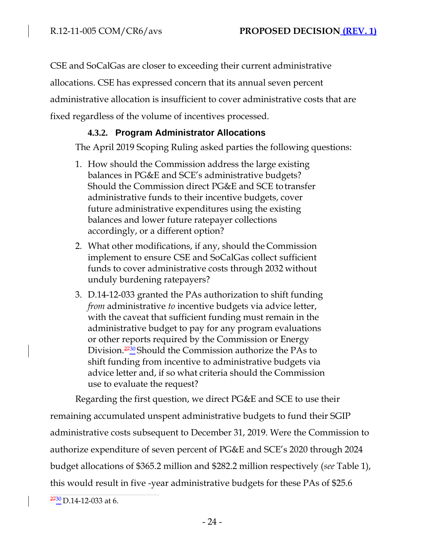CSE and SoCalGas are closer to exceeding their current administrative allocations. CSE has expressed concern that its annual seven percent administrative allocation is insufficient to cover administrative costs that are fixed regardless of the volume of incentives processed.

## **4.3.2. Program Administrator Allocations**

The April 2019 Scoping Ruling asked parties the following questions:

- 1. How should the Commission address the large existing balances in PG&E and SCE's administrative budgets? Should the Commission direct PG&E and SCE totransfer administrative funds to their incentive budgets, cover future administrative expenditures using the existing balances and lower future ratepayer collections accordingly, or a different option?
- 2. What other modifications, if any, should the Commission implement to ensure CSE and SoCalGas collect sufficient funds to cover administrative costs through 2032 without unduly burdening ratepayers?
- 3. D.14-12-033 granted the PAs authorization to shift funding *from* administrative *to* incentive budgets via advice letter, with the caveat that sufficient funding must remain in the administrative budget to pay for any program evaluations or other reports required by the Commission or Energy Division. $\frac{2730}{2}$ Should the Commission authorize the PAs to shift funding from incentive to administrative budgets via advice letter and, if so what criteria should the Commission use to evaluate the request?

Regarding the first question, we direct PG&E and SCE to use their remaining accumulated unspent administrative budgets to fund their SGIP administrative costs subsequent to December 31, 2019. Were the Commission to authorize expenditure of seven percent of PG&E and SCE's 2020 through 2024 budget allocations of \$365.2 million and \$282.2 million respectively (*see* Table 1), this would result in five -year administrative budgets for these PAs of \$25.6

 $\frac{2730}{2}$ D.14-12-033 at 6.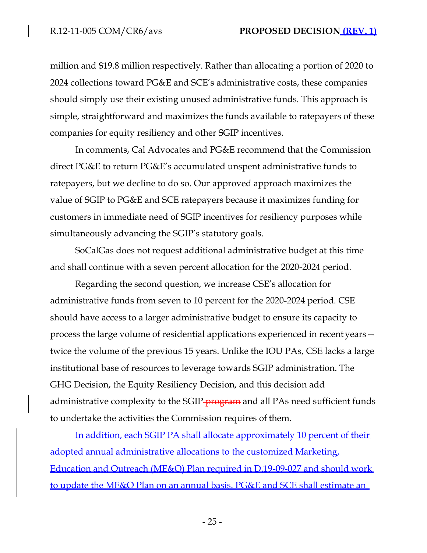million and \$19.8 million respectively. Rather than allocating a portion of 2020 to 2024 collections toward PG&E and SCE's administrative costs, these companies should simply use their existing unused administrative funds. This approach is simple, straightforward and maximizes the funds available to ratepayers of these companies for equity resiliency and other SGIP incentives.

In comments, Cal Advocates and PG&E recommend that the Commission direct PG&E to return PG&E's accumulated unspent administrative funds to ratepayers, but we decline to do so. Our approved approach maximizes the value of SGIP to PG&E and SCE ratepayers because it maximizes funding for customers in immediate need of SGIP incentives for resiliency purposes while simultaneously advancing the SGIP's statutory goals.

SoCalGas does not request additional administrative budget at this time and shall continue with a seven percent allocation for the 2020-2024 period.

Regarding the second question, we increase CSE's allocation for administrative funds from seven to 10 percent for the 2020-2024 period. CSE should have access to a larger administrative budget to ensure its capacity to process the large volume of residential applications experienced in recent years twice the volume of the previous 15 years. Unlike the IOU PAs, CSE lacks a large institutional base of resources to leverage towards SGIP administration. The GHG Decision, the Equity Resiliency Decision, and this decision add administrative complexity to the SGIP-<del>program</del> and all PAs need sufficient funds to undertake the activities the Commission requires of them.

In addition, each SGIP PA shall allocate approximately 10 percent of their adopted annual administrative allocations to the customized Marketing, Education and Outreach (ME&O) Plan required in D.19-09-027 and should work to update the ME&O Plan on an annual basis. PG&E and SCE shall estimate an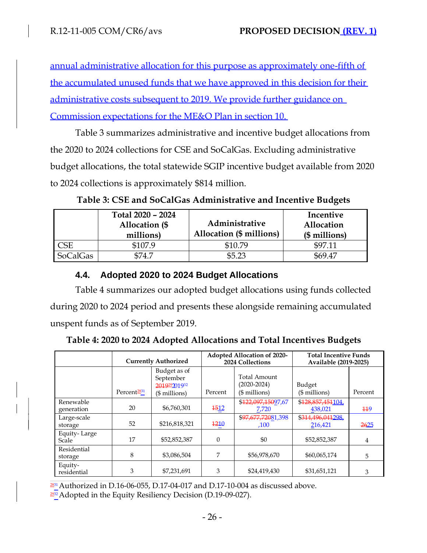annual administrative allocation for this purpose as approximately one-fifth of the accumulated unused funds that we have approved in this decision for their administrative costs subsequent to 2019. We provide further guidance on Commission expectations for the ME&O Plan in section 10.

Table 3 summarizes administrative and incentive budget allocations from the 2020 to 2024 collections for CSE and SoCalGas. Excluding administrative budget allocations, the total statewide SGIP incentive budget available from 2020 to 2024 collections is approximately \$814 million.

|                 | Total 2020 - 2024<br>Allocation (\$<br>millions) | Administrative<br>Allocation (\$ millions) | Incentive<br>Allocation<br>(\$ millions) |
|-----------------|--------------------------------------------------|--------------------------------------------|------------------------------------------|
| CSE             | \$107.9                                          | \$10.79                                    | \$97.11                                  |
| <b>SoCalGas</b> | 574.7                                            | \$5.23                                     | \$69.47                                  |

**Table 3: CSE and SoCalGas Administrative and Incentive Budgets**

# **4.4. Adopted 2020 to 2024 Budget Allocations**

Table 4 summarizes our adopted budget allocations using funds collected during 2020 to 2024 period and presents these alongside remaining accumulated unspent funds as of September 2019.

| Table 4: 2020 to 2024 Adopted Allocations and Total Incentives Budgets |  |  |  |
|------------------------------------------------------------------------|--|--|--|
|                                                                        |  |  |  |

|                         | <b>Currently Authorized</b> |                                                             | <b>Adopted Allocation of 2020-</b><br>2024 Collections |                                                   | <b>Total Incentive Funds</b><br>Available (2019-2025) |         |
|-------------------------|-----------------------------|-------------------------------------------------------------|--------------------------------------------------------|---------------------------------------------------|-------------------------------------------------------|---------|
|                         | Percent <sup>2831</sup>     | Budget as of<br>September<br>201929201932<br>$($$ millions) | Percent                                                | Total Amount<br>$(2020 - 2024)$<br>$($$ millions) | Budget<br>$($$ millions)                              | Percent |
| Renewable<br>generation | 20                          | \$6,760,301                                                 | <b>1512</b>                                            | \$122,097,15097,67<br>7,720                       | \$128,857,451104,<br>438,021                          | 119     |
| Large-scale<br>storage  | 52                          | \$216,818,321                                               | 1210                                                   | \$97,677,72081,398<br>.100                        | \$314,496,041298<br>216,421                           | 2625    |
| Equity-Large<br>Scale   | 17                          | \$52,852,387                                                | $\theta$                                               | \$0                                               | \$52,852,387                                          | 4       |
| Residential<br>storage  | 8                           | \$3,086,504                                                 | 7                                                      | \$56,978,670                                      | \$60,065,174                                          | 5       |
| Equity-<br>residential  | 3                           | \$7,231,691                                                 | 3                                                      | \$24,419,430                                      | \$31,651,121                                          | 3       |

 $2831$  Authorized in D.16-06-055, D.17-04-017 and D.17-10-004 as discussed above.

<sup>2932</sup> Adopted in the Equity Resiliency Decision (D.19-09-027).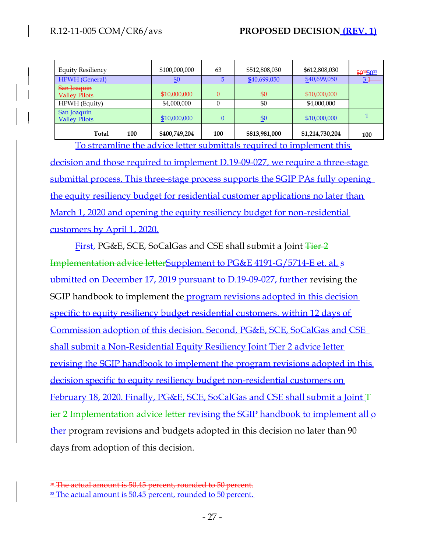| <b>Equity Resiliency</b>            |     | \$100,000,000  | 63       | \$512,808,030 | \$612,808,030   | 50305033 |
|-------------------------------------|-----|----------------|----------|---------------|-----------------|----------|
| <b>HPWH</b> (General)               |     | $\frac{$0}{2}$ |          | \$40,699,050  | \$40,699,050    | $3+$     |
| San Joaquin<br><b>Valley Pilots</b> |     | \$10,000,000   | $\theta$ | $\frac{1}{2}$ | \$10,000,000    |          |
| HPWH (Equity)                       |     | \$4,000,000    |          | \$0           | \$4,000,000     |          |
| San Joaquin<br><b>Valley Pilots</b> |     | \$10,000,000   | $\theta$ | $\frac{$0}$   | \$10,000,000    |          |
| Total                               | 100 | \$400,749,204  | 100      | \$813,981,000 | \$1,214,730,204 | 100      |

To streamline the advice letter submittals required to implement this decision and those required to implement D.19-09-027, we require a three-stage submittal process. This three-stage process supports the SGIP PAs fully opening the equity resiliency budget for residential customer applications no later than March 1, 2020 and opening the equity resiliency budget for non-residential customers by April 1, 2020.

First, PG&E, SCE, SoCalGas and CSE shall submit a Joint Tier 2 Implementation advice letterSupplement to PG&E 4191-G/5714-E et. al. s ubmitted on December 17, 2019 pursuant to D.19-09-027, further revising the SGIP handbook to implement the **program revisions adopted in this decision** specific to equity resiliency budget residential customers, within 12 days of Commission adoption of this decision. Second, PG&E, SCE, SoCalGas and CSE shall submit a Non-Residential Equity Resiliency Joint Tier 2 advice letter revising the SGIP handbook to implement the program revisions adopted in this decision specific to equity resiliency budget non-residential customers on February 18, 2020. Finally, PG&E, SCE, SoCalGas and CSE shall submit a Joint T ier 2 Implementation advice letter revising the SGIP handbook to implement all o ther program revisions and budgets adopted in this decision no later than 90 days from adoption of this decision.

<sup>30</sup> The actual amount is 50.45 percent, rounded to 50 percent.

<sup>&</sup>lt;sup>33</sup> The actual amount is 50.45 percent, rounded to 50 percent.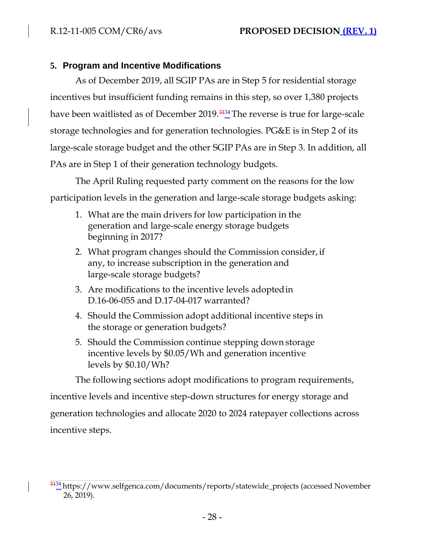### **5. Program and Incentive Modifications**

As of December 2019, all SGIP PAs are in Step 5 for residential storage incentives but insufficient funding remains in this step, so over 1,380 projects have been waitlisted as of December  $2019.3424$  The reverse is true for large-scale storage technologies and for generation technologies. PG&E is in Step 2 of its large-scale storage budget and the other SGIP PAs are in Step 3. In addition, all PAs are in Step 1 of their generation technology budgets.

The April Ruling requested party comment on the reasons for the low participation levels in the generation and large-scale storage budgets asking:

- 1. What are the main drivers for low participation in the generation and large-scale energy storage budgets beginning in 2017?
- 2. What program changes should the Commission consider, if any, to increase subscription in the generation and large-scale storage budgets?
- 3. Are modifications to the incentive levels adoptedin D.16-06-055 and D.17-04-017 warranted?
- 4. Should the Commission adopt additional incentive steps in the storage or generation budgets?
- 5. Should the Commission continue stepping down storage incentive levels by \$0.05/Wh and generation incentive levels by \$0.10/Wh?

The following sections adopt modifications to program requirements, incentive levels and incentive step-down structures for energy storage and generation technologies and allocate 2020 to 2024 ratepayer collections across incentive steps.

<sup>&</sup>lt;sup>3134</sup> [https://www.selfgenca.com/documents/reports/statewide\\_projects \(](http://www.selfgenca.com/documents/reports/statewide_projects)accessed November 26, 2019).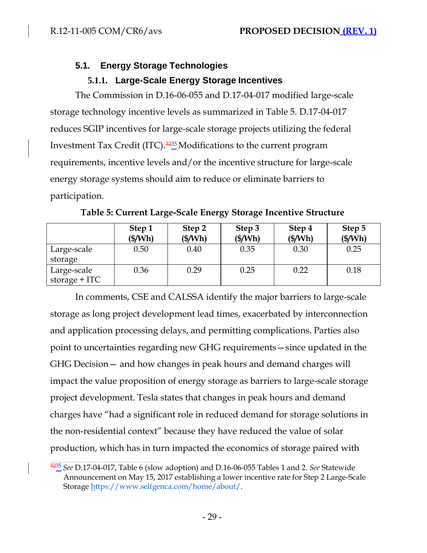# **5.1. Energy Storage Technologies**

## **5.1.1. Large-Scale Energy Storage Incentives**

The Commission in D.16-06-055 and D.17-04-017 modified large-scale storage technology incentive levels as summarized in Table 5. D.17-04-017 reduces SGIP incentives for large-scale storage projects utilizing the federal Investment Tax Credit (ITC).<sup>3235</sup>Modifications to the current program requirements, incentive levels and/or the incentive structure for large-scale energy storage systems should aim to reduce or eliminate barriers to participation.

|                                | Step 1<br>$(\frac{S}{Wh})$ | Step 2<br>(S/Wh) | Step 3<br>(\$/Wh) | Step 4<br>(S/Wh) | Step 5<br>(S/Wh) |
|--------------------------------|----------------------------|------------------|-------------------|------------------|------------------|
| Large-scale<br>storage         | 0.50                       | 0.40             | 0.35              | 0.30             | 0.25             |
| Large-scale<br>storage $+$ ITC | 0.36                       | 0.29             | 0.25              | 0.22             | 0.18             |

**Table 5: Current Large-Scale Energy Storage Incentive Structure**

In comments, CSE and CALSSA identify the major barriers to large-scale storage as long project development lead times, exacerbated by interconnection and application processing delays, and permitting complications. Parties also point to uncertainties regarding new GHG requirements—since updated in the GHG Decision— and how changes in peak hours and demand charges will impact the value proposition of energy storage as barriers to large-scale storage project development. Tesla states that changes in peak hours and demand charges have "had a significant role in reduced demand for storage solutions in the non-residential context" because they have reduced the value of solar production, which has in turn impacted the economics of storage paired with

<sup>3235</sup>*See* D.17-04-017, Table 6 (slow adoption) and D.16-06-055 Tables 1 and 2. *See* Statewide Announcement on May 15, 2017 establishing a lower incentive rate for Step 2 Large-Scale Storage [https://www.selfgenca.com/home/about/.](http://www.selfgenca.com/home/about/)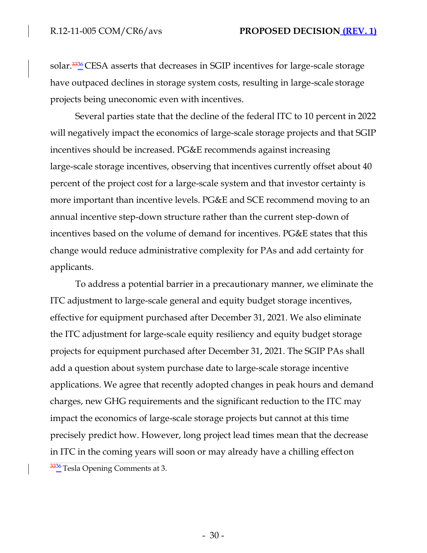solar.<sup>3336</sup>CESA asserts that decreases in SGIP incentives for large-scale storage have outpaced declines in storage system costs, resulting in large-scale storage projects being uneconomic even with incentives.

Several parties state that the decline of the federal ITC to 10 percent in 2022 will negatively impact the economics of large-scale storage projects and that SGIP incentives should be increased. PG&E recommends against increasing large-scale storage incentives, observing that incentives currently offset about 40 percent of the project cost for a large-scale system and that investor certainty is more important than incentive levels. PG&E and SCE recommend moving to an annual incentive step-down structure rather than the current step-down of incentives based on the volume of demand for incentives. PG&E states that this change would reduce administrative complexity for PAs and add certainty for applicants.

To address a potential barrier in a precautionary manner, we eliminate the ITC adjustment to large-scale general and equity budget storage incentives, effective for equipment purchased after December 31, 2021. We also eliminate the ITC adjustment for large-scale equity resiliency and equity budget storage projects for equipment purchased after December 31, 2021. The SGIP PAs shall add a question about system purchase date to large-scale storage incentive applications. We agree that recently adopted changes in peak hours and demand charges, new GHG requirements and the significant reduction to the ITC may impact the economics of large-scale storage projects but cannot at this time precisely predict how. However, long project lead times mean that the decrease in ITC in the coming years will soon or may already have a chilling effecton  $\frac{3336}{1}$ Tesla Opening Comments at 3.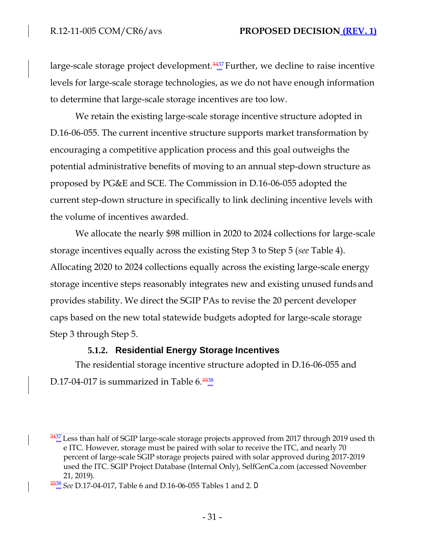large-scale storage project development. $\frac{3437}{4}$  Further, we decline to raise incentive levels for large-scale storage technologies, as we do not have enough information to determine that large-scale storage incentives are too low.

We retain the existing large-scale storage incentive structure adopted in D.16-06-055. The current incentive structure supports market transformation by encouraging a competitive application process and this goal outweighs the potential administrative benefits of moving to an annual step-down structure as proposed by PG&E and SCE. The Commission in D.16-06-055 adopted the current step-down structure in specifically to link declining incentive levels with the volume of incentives awarded.

We allocate the nearly \$98 million in 2020 to 2024 collections for large-scale storage incentives equally across the existing Step 3 to Step 5 (*see* Table 4). Allocating 2020 to 2024 collections equally across the existing large-scale energy storage incentive steps reasonably integrates new and existing unused funds and provides stability. We direct the SGIP PAs to revise the 20 percent developer caps based on the new total statewide budgets adopted for large-scale storage Step 3 through Step 5.

#### **5.1.2. Residential Energy Storage Incentives**

The residential storage incentive structure adopted in D.16-06-055 and D.17-04-017 is summarized in Table  $6.\frac{3538}{4}$ 

 $\frac{3437}{2}$  Less than half of SGIP large-scale storage projects approved from 2017 through 2019 used th e ITC. However, storage must be paired with solar to receive the ITC, and nearly 70 percent of large-scale SGIP storage projects paired with solar approved during 2017-2019 used the ITC. SGIP Project Database (Internal Only), SelfGenCa.com (accessed November 21, 2019).

<sup>3538</sup>*See* D.17-04-017, Table 6 and D.16-06-055 Tables 1 and 2. D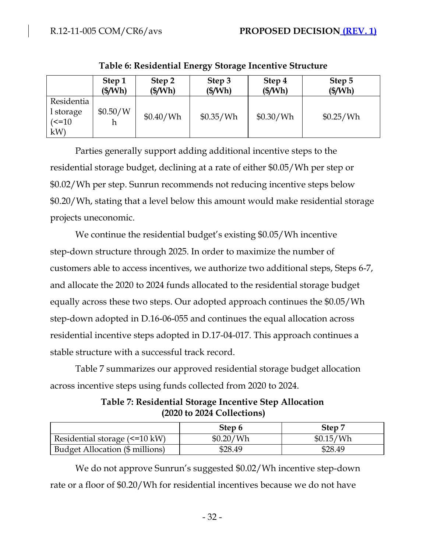|                                                 | Step 1            | Step 2           | Step 3    | Step 4    | Step 5           |
|-------------------------------------------------|-------------------|------------------|-----------|-----------|------------------|
|                                                 | $(\frac{2}{3}Wh)$ | $(\frac{S}{Wh})$ | (\$/Wh)   | (\$/Wh)   | $(\frac{S}{Wh})$ |
| Residentia<br>l storage<br>$\epsilon$ =10<br>kW | \$0.50/W          | \$0.40/Wh        | \$0.35/Wh | \$0.30/Wh | \$0.25/Wh        |

**Table 6: Residential Energy Storage Incentive Structure**

Parties generally support adding additional incentive steps to the residential storage budget, declining at a rate of either \$0.05/Wh per step or \$0.02/Wh per step. Sunrun recommends not reducing incentive steps below \$0.20/Wh, stating that a level below this amount would make residential storage projects uneconomic.

We continue the residential budget's existing \$0.05/Wh incentive step-down structure through 2025. In order to maximize the number of customers able to access incentives, we authorize two additional steps, Steps 6-7, and allocate the 2020 to 2024 funds allocated to the residential storage budget equally across these two steps. Our adopted approach continues the \$0.05/Wh step-down adopted in D.16-06-055 and continues the equal allocation across residential incentive steps adopted in D.17-04-017. This approach continues a stable structure with a successful track record.

Table 7 summarizes our approved residential storage budget allocation across incentive steps using funds collected from 2020 to 2024.

|                                 | Step 6    | Step 7    |
|---------------------------------|-----------|-----------|
| Residential storage (<=10 kW)   | \$0.20/Wh | \$0.15/Wh |
| Budget Allocation (\$ millions) | \$28.49   | \$28.49   |

**Table 7: Residential Storage Incentive Step Allocation (2020 to 2024 Collections)**

We do not approve Sunrun's suggested \$0.02/Wh incentive step-down rate or a floor of \$0.20/Wh for residential incentives because we do not have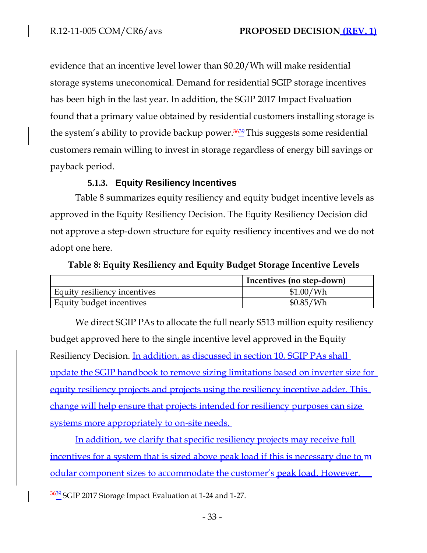evidence that an incentive level lower than \$0.20/Wh will make residential storage systems uneconomical. Demand for residential SGIP storage incentives has been high in the last year. In addition, the SGIP 2017 Impact Evaluation found that a primary value obtained by residential customers installing storage is the system's ability to provide backup power. $\frac{3639}{2}$ This suggests some residential customers remain willing to invest in storage regardless of energy bill savings or payback period.

## **5.1.3. Equity Resiliency Incentives**

Table 8 summarizes equity resiliency and equity budget incentive levels as approved in the Equity Resiliency Decision. The Equity Resiliency Decision did not approve a step-down structure for equity resiliency incentives and we do not adopt one here.

### **Table 8: Equity Resiliency and Equity Budget Storage Incentive Levels**

|                              | Incentives (no step-down) |
|------------------------------|---------------------------|
| Equity resiliency incentives | \$1.00/Wh                 |
| Equity budget incentives     | \$0.85/Wh                 |

We direct SGIP PAs to allocate the full nearly \$513 million equity resiliency budget approved here to the single incentive level approved in the Equity Resiliency Decision. In addition, as discussed in section 10, SGIP PAs shall update the SGIP handbook to remove sizing limitations based on inverter size for equity resiliency projects and projects using the resiliency incentive adder. This change will help ensure that projects intended for resiliency purposes can size systems more appropriately to on-site needs.

In addition, we clarify that specific resiliency projects may receive full incentives for a system that is sized above peak load if this is necessary due to m odular component sizes to accommodate the customer's peak load. However,

 $\frac{3639}{2}$ SGIP 2017 Storage Impact Evaluation at 1-24 and 1-27.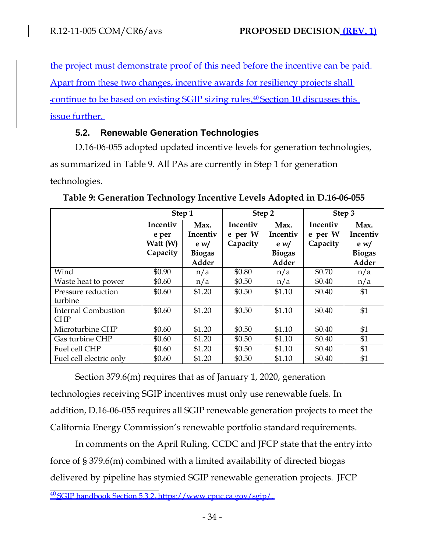the project must demonstrate proof of this need before the incentive can be paid. Apart from these two changes, incentive awards for resiliency projects shall continue to be based on existing SGIP sizing rules.<sup>40</sup> Section 10 discusses this issue further.

# **5.2. Renewable Generation Technologies**

D.16-06-055 adopted updated incentive levels for generation technologies, as summarized in Table 9. All PAs are currently in Step 1 for generation technologies.

|                                          | Step 1                                    |                                                              |                                 | Step 2                                                              | Step 3                          |                                                                     |
|------------------------------------------|-------------------------------------------|--------------------------------------------------------------|---------------------------------|---------------------------------------------------------------------|---------------------------------|---------------------------------------------------------------------|
|                                          | Incentiv<br>e per<br>Watt (W)<br>Capacity | Max.<br>Incentiv<br>e <sub>w</sub><br><b>Biogas</b><br>Adder | Incentiv<br>e per W<br>Capacity | Max.<br>Incentiv<br>e <sub>w</sub><br><b>Biogas</b><br><b>Adder</b> | Incentiv<br>e per W<br>Capacity | Max.<br>Incentiv<br>e <sub>w</sub><br><b>Biogas</b><br><b>Adder</b> |
| Wind                                     | \$0.90                                    | n/a                                                          | \$0.80                          | n/a                                                                 | \$0.70                          | n/a                                                                 |
| Waste heat to power                      | \$0.60                                    | n/a                                                          | \$0.50                          | n/a                                                                 | \$0.40                          | n/a                                                                 |
| Pressure reduction<br>turbine            | \$0.60                                    | \$1.20                                                       | \$0.50                          | \$1.10                                                              | \$0.40                          | \$1                                                                 |
| <b>Internal Combustion</b><br><b>CHP</b> | \$0.60                                    | \$1.20                                                       | \$0.50                          | \$1.10                                                              | \$0.40                          | \$1                                                                 |
| Microturbine CHP                         | \$0.60                                    | \$1.20                                                       | \$0.50                          | \$1.10                                                              | \$0.40                          | \$1                                                                 |
| Gas turbine CHP                          | \$0.60                                    | \$1.20                                                       | \$0.50                          | \$1.10                                                              | \$0.40                          | \$1                                                                 |
| Fuel cell CHP                            | \$0.60                                    | \$1.20                                                       | \$0.50                          | \$1.10                                                              | \$0.40                          | \$1                                                                 |
| Fuel cell electric only                  | \$0.60                                    | \$1.20                                                       | \$0.50                          | \$1.10                                                              | \$0.40                          | \$1                                                                 |

|  |  |  | Table 9: Generation Technology Incentive Levels Adopted in D.16-06-055 |
|--|--|--|------------------------------------------------------------------------|
|  |  |  |                                                                        |
|  |  |  |                                                                        |

Section 379.6(m) requires that as of January 1, 2020, generation technologies receiving SGIP incentives must only use renewable fuels. In addition, D.16-06-055 requires all SGIP renewable generation projects to meet the California Energy Commission's renewable portfolio standard requirements.

In comments on the April Ruling, CCDC and JFCP state that the entryinto force of § 379.6(m) combined with a limited availability of directed biogas delivered by pipeline has stymied SGIP renewable generation projects. JFCP

<sup>40</sup>SGIP handbook Section 5.3.2[, https://www.cpuc.ca.gov/sgip/.](http://www.cpuc.ca.gov/sgip/)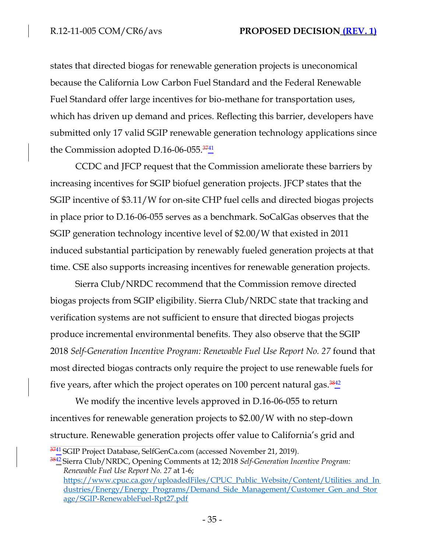states that directed biogas for renewable generation projects is uneconomical because the California Low Carbon Fuel Standard and the Federal Renewable Fuel Standard offer large incentives for bio-methane for transportation uses, which has driven up demand and prices. Reflecting this barrier, developers have submitted only 17 valid SGIP renewable generation technology applications since the Commission adopted D.16-06-055. $\frac{3741}{4}$ 

CCDC and JFCP request that the Commission ameliorate these barriers by increasing incentives for SGIP biofuel generation projects. JFCP states that the SGIP incentive of \$3.11/W for on-site CHP fuel cells and directed biogas projects in place prior to D.16-06-055 serves as a benchmark. SoCalGas observes that the SGIP generation technology incentive level of \$2.00/W that existed in 2011 induced substantial participation by renewably fueled generation projects at that time. CSE also supports increasing incentives for renewable generation projects.

Sierra Club/NRDC recommend that the Commission remove directed biogas projects from SGIP eligibility. Sierra Club/NRDC state that tracking and verification systems are not sufficient to ensure that directed biogas projects produce incremental environmental benefits. They also observe that the SGIP 2018 *Self-Generation Incentive Program: Renewable Fuel Use Report No. 27* found that most directed biogas contracts only require the project to use renewable fuels for five years, after which the project operates on 100 percent natural gas.  $\frac{3842}{4}$ 

We modify the incentive levels approved in D.16-06-055 to return incentives for renewable generation projects to \$2.00/W with no step-down structure. Renewable generation projects offer value to California's grid and

 $\frac{3741}{6}$ SGIP Project Database, SelfGenCa.com (accessed November 21, 2019).

<sup>&</sup>lt;sup>3842</sup> Sierra Club/NRDC, Opening Comments at 12; 2018 *Self-Generation Incentive Program*: *Renewable Fuel Use Report No. 27* at 1-6; [https://www.cpuc.ca.gov/uploadedFiles/CPUC\\_Public\\_Website/Content/Utilities\\_and\\_In](http://www.cpuc.ca.gov/uploadedFiles/CPUC_Public_Website/Content/Utilities_and_In) dustries/Energy/Energy\_Programs/Demand\_Side\_Management/Customer\_Gen\_and\_Stor age/SGIP-RenewableFuel-Rpt27.pdf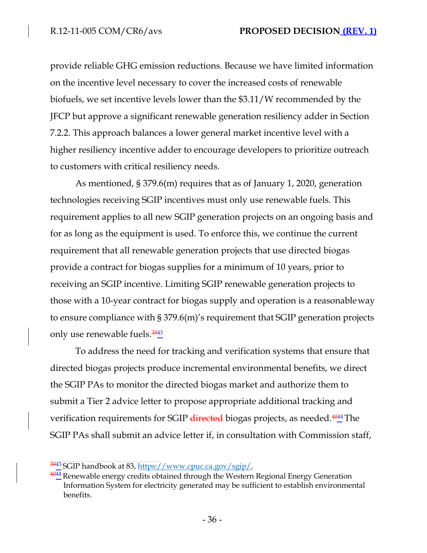provide reliable GHG emission reductions. Because we have limited information on the incentive level necessary to cover the increased costs of renewable biofuels, we set incentive levels lower than the \$3.11/W recommended by the JFCP but approve a significant renewable generation resiliency adder in Section 7.2.2. This approach balances a lower general market incentive level with a higher resiliency incentive adder to encourage developers to prioritize outreach to customers with critical resiliency needs.

As mentioned, § 379.6(m) requires that as of January 1, 2020, generation technologies receiving SGIP incentives must only use renewable fuels. This requirement applies to all new SGIP generation projects on an ongoing basis and for as long as the equipment is used. To enforce this, we continue the current requirement that all renewable generation projects that use directed biogas provide a contract for biogas supplies for a minimum of 10 years, prior to receiving an SGIP incentive. Limiting SGIP renewable generation projects to those with a 10-year contract for biogas supply and operation is a reasonableway to ensure compliance with § 379.6(m)'s requirement that SGIP generation projects only use renewable fuels. $\frac{3943}{4}$ 

To address the need for tracking and verification systems that ensure that directed biogas projects produce incremental environmental benefits, we direct the SGIP PAs to monitor the directed biogas market and authorize them to submit a Tier 2 advice letter to propose appropriate additional tracking and verification requirements for SGIP directed biogas projects, as needed.<sup>4044</sup> The SGIP PAs shall submit an advice letter if, in consultation with Commission staff,

 $\frac{3943}{2}$ SGIP handbook at 83, [https://www.cpuc.ca.gov/sgip/.](http://www.cpuc.ca.gov/sgip/)

 $\frac{4044}{40}$  Renewable energy credits obtained through the Western Regional Energy Generation Information System for electricity generated may be sufficient to establish environmental benefits.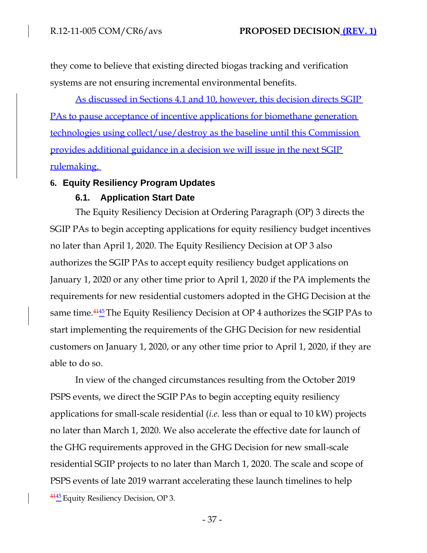they come to believe that existing directed biogas tracking and verification systems are not ensuring incremental environmental benefits.

As discussed in Sections 4.1 and 10, however, this decision directs SGIP PAs to pause acceptance of incentive applications for biomethane generation technologies using collect/use/destroy as the baseline until this Commission provides additional guidance in a decision we will issue in the next SGIP rulemaking.

### **6. Equity Resiliency Program Updates**

### **6.1. Application Start Date**

The Equity Resiliency Decision at Ordering Paragraph (OP) 3 directs the SGIP PAs to begin accepting applications for equity resiliency budget incentives no later than April 1, 2020. The Equity Resiliency Decision at OP 3 also authorizes the SGIP PAs to accept equity resiliency budget applications on January 1, 2020 or any other time prior to April 1, 2020 if the PA implements the requirements for new residential customers adopted in the GHG Decision at the same time.<sup>4145</sup> The Equity Resiliency Decision at OP 4 authorizes the SGIP PAs to start implementing the requirements of the GHG Decision for new residential customers on January 1, 2020, or any other time prior to April 1, 2020, if they are able to do so.

In view of the changed circumstances resulting from the October 2019 PSPS events, we direct the SGIP PAs to begin accepting equity resiliency applications for small-scale residential (*i.e.* less than or equal to 10 kW) projects no later than March 1, 2020. We also accelerate the effective date for launch of the GHG requirements approved in the GHG Decision for new small-scale residential SGIP projects to no later than March 1, 2020. The scale and scope of PSPS events of late 2019 warrant accelerating these launch timelines to help

 $\frac{4145}{6}$  Equity Resiliency Decision, OP 3.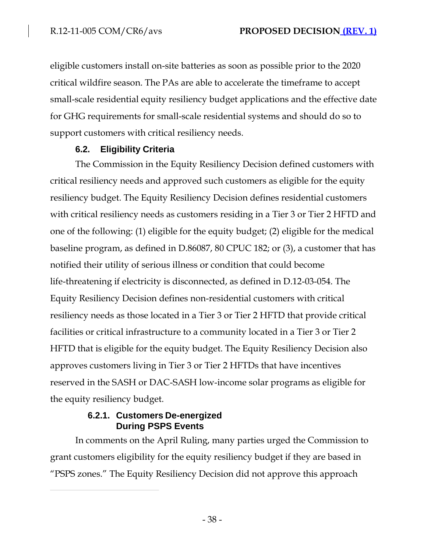eligible customers install on-site batteries as soon as possible prior to the 2020 critical wildfire season. The PAs are able to accelerate the timeframe to accept small-scale residential equity resiliency budget applications and the effective date for GHG requirements for small-scale residential systems and should do so to support customers with critical resiliency needs.

## **6.2. Eligibility Criteria**

The Commission in the Equity Resiliency Decision defined customers with critical resiliency needs and approved such customers as eligible for the equity resiliency budget. The Equity Resiliency Decision defines residential customers with critical resiliency needs as customers residing in a Tier 3 or Tier 2 HFTD and one of the following: (1) eligible for the equity budget; (2) eligible for the medical baseline program, as defined in D.86087, 80 CPUC 182; or (3), a customer that has notified their utility of serious illness or condition that could become life-threatening if electricity is disconnected, as defined in D.12-03-054. The Equity Resiliency Decision defines non-residential customers with critical resiliency needs as those located in a Tier 3 or Tier 2 HFTD that provide critical facilities or critical infrastructure to a community located in a Tier 3 or Tier 2 HFTD that is eligible for the equity budget. The Equity Resiliency Decision also approves customers living in Tier 3 or Tier 2 HFTDs that have incentives reserved in the SASH or DAC-SASH low-income solar programs as eligible for the equity resiliency budget.

## **6.2.1. Customers De-energized During PSPS Events**

In comments on the April Ruling, many parties urged the Commission to grant customers eligibility for the equity resiliency budget if they are based in "PSPS zones." The Equity Resiliency Decision did not approve this approach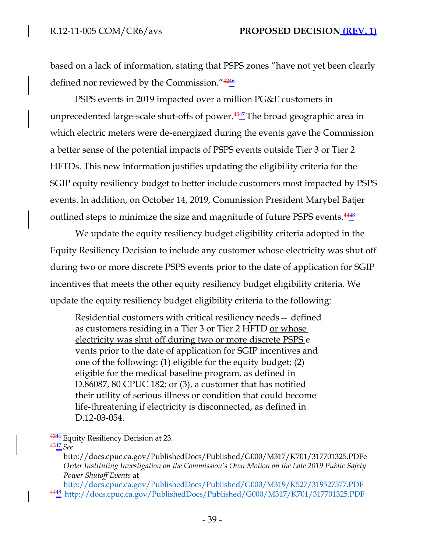based on a lack of information, stating that PSPS zones "have not yet been clearly defined nor reviewed by the Commission." $4246$ 

PSPS events in 2019 impacted over a million PG&E customers in unprecedented large-scale shut-offs of power.<sup>4347</sup> The broad geographic area in which electric meters were de-energized during the events gave the Commission a better sense of the potential impacts of PSPS events outside Tier 3 or Tier 2 HFTDs. This new information justifies updating the eligibility criteria for the SGIP equity resiliency budget to better include customers most impacted by PSPS events. In addition, on October 14, 2019, Commission President Marybel Batjer outlined steps to minimize the size and magnitude of future PSPS events.  $\frac{4448}{9}$ 

We update the equity resiliency budget eligibility criteria adopted in the Equity Resiliency Decision to include any customer whose electricity was shut off during two or more discrete PSPS events prior to the date of application for SGIP incentives that meets the other equity resiliency budget eligibility criteria. We update the equity resiliency budget eligibility criteria to the following:

Residential customers with critical resiliency needs— defined as customers residing in a Tier 3 or Tier 2 HFTD <u>or whose</u> electricity was shut off during two or more discrete PSPS e vents prior to the date of application for SGIP incentives and one of the following: (1) eligible for the equity budget; (2) eligible for the medical baseline program, as defined in D.86087, 80 CPUC 182; or (3), a customer that has notified their utility of serious illness or condition that could become life-threatening if electricity is disconnected, as defined in D.12-03-054.

 $\frac{4246}{ }$  Equity Resiliency Decision at 23. <sup>4347</sup>*See*

<http://docs.cpuc.ca.gov/PublishedDocs/Published/G000/M317/K701/317701325.PDFe> *Order Instituting Investigation on the Commission's Own Motion on the Late 2019 Public Safety Power Shutoff Events* at

<http://docs.cpuc.ca.gov/PublishedDocs/Published/G000/M319/K527/319527577.PDF> <sup>4448</sup><http://docs.cpuc.ca.gov/PublishedDocs/Published/G000/M317/K701/317701325.PDF>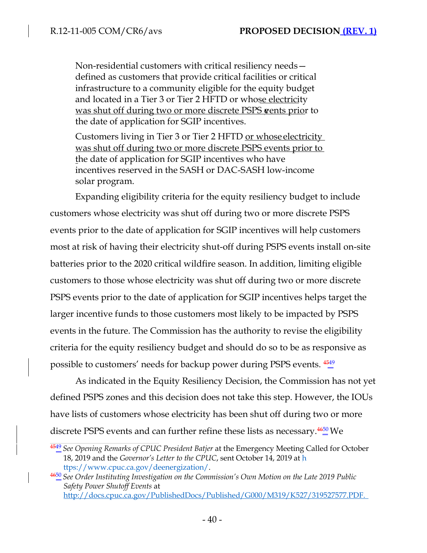Non-residential customers with critical resiliency needs defined as customers that provide critical facilities or critical infrastructure to a community eligible for the equity budget and located in a Tier 3 or Tier 2 HFTD or whose electricity was shut off during two or more discrete PSPS vents prior to the date of application for SGIP incentives.

Customers living in Tier 3 or Tier 2 HFTD or whose electricity was shut off during two or more discrete PSPS events prior to the date of application for SGIP incentives who have incentives reserved in the SASH or DAC-SASH low-income solar program.

Expanding eligibility criteria for the equity resiliency budget to include customers whose electricity was shut off during two or more discrete PSPS events prior to the date of application for SGIP incentives will help customers most at risk of having their electricity shut-off during PSPS events install on-site batteries prior to the 2020 critical wildfire season. In addition, limiting eligible customers to those whose electricity was shut off during two or more discrete PSPS events prior to the date of application for SGIP incentives helps target the larger incentive funds to those customers most likely to be impacted by PSPS events in the future. The Commission has the authority to revise the eligibility criteria for the equity resiliency budget and should do so to be as responsive as possible to customers' needs for backup power during PSPS events.  $\frac{4549}{4}$ 

As indicated in the Equity Resiliency Decision, the Commission has not yet defined PSPS zones and this decision does not take this step. However, the IOUs have lists of customers whose electricity has been shut off during two or more discrete PSPS events and can further refine these lists as necessary. $\frac{4650}{9}$ We

<sup>4549</sup>*See Opening Remarks of CPUC President Batjer* at the Emergency Meeting Called for October 18, 2019 and the *Governor's Letter to the CPUC*, sent October 14, 2019 at h [ttps://www.cpuc.ca.gov/deenergization/.](http://www.cpuc.ca.gov/deenergization/)

<sup>4650</sup>*See Order Instituting Investigation on the Commission's Own Motion on the Late 2019 Public Safety Power Shutoff Events* at [http://docs.cpuc.ca.gov/PublishedDocs/Published/G000/M319/K527/319527577.PDF.](http://docs.cpuc.ca.gov/PublishedDocs/Published/G000/M319/K527/319527577.PDF)

 $-40-$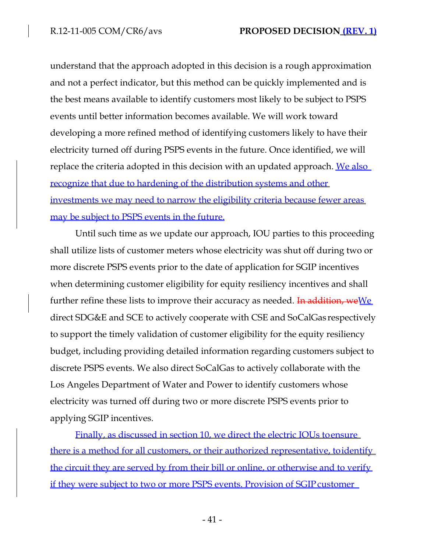understand that the approach adopted in this decision is a rough approximation and not a perfect indicator, but this method can be quickly implemented and is the best means available to identify customers most likely to be subject to PSPS events until better information becomes available. We will work toward developing a more refined method of identifying customers likely to have their electricity turned off during PSPS events in the future. Once identified, we will replace the criteria adopted in this decision with an updated approach. We also recognize that due to hardening of the distribution systems and other investments we may need to narrow the eligibility criteria because fewer areas may be subject to PSPS events in the future.

Until such time as we update our approach, IOU parties to this proceeding shall utilize lists of customer meters whose electricity was shut off during two or more discrete PSPS events prior to the date of application for SGIP incentives when determining customer eligibility for equity resiliency incentives and shall further refine these lists to improve their accuracy as needed. In addition, we  $\underline{We}$ direct SDG&E and SCE to actively cooperate with CSE and SoCalGas respectively to support the timely validation of customer eligibility for the equity resiliency budget, including providing detailed information regarding customers subject to discrete PSPS events. We also direct SoCalGas to actively collaborate with the Los Angeles Department of Water and Power to identify customers whose electricity was turned off during two or more discrete PSPS events prior to applying SGIP incentives.

Finally, as discussed in section 10, we direct the electric IOUs toensure there is a method for all customers, or their authorized representative, toidentify the circuit they are served by from their bill or online, or otherwise and to verify if they were subject to two or more PSPS events. Provision of SGIP customer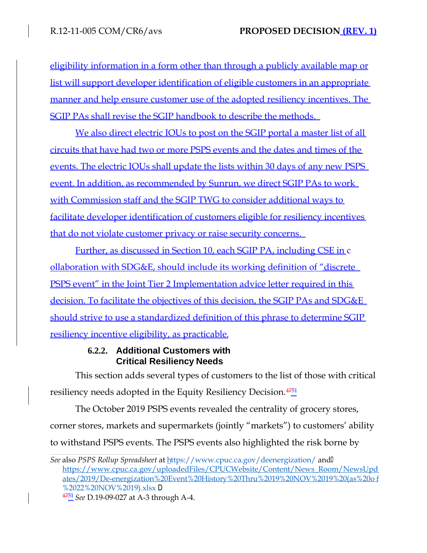eligibility information in a form other than through a publicly available map or list will support developer identification of eligible customers in an appropriate manner and help ensure customer use of the adopted resiliency incentives. The SGIP PAs shall revise the SGIP handbook to describe the methods.

We also direct electric IOUs to post on the SGIP portal a master list of all circuits that have had two or more PSPS events and the dates and times of the events. The electric IOUs shall update the lists within 30 days of any new PSPS event. In addition, as recommended by Sunrun, we direct SGIP PAs to work with Commission staff and the SGIP TWG to consider additional ways to facilitate developer identification of customers eligible for resiliency incentives that do not violate customer privacy or raise security concerns.

Further, as discussed in Section 10, each SGIP PA, including CSE in c ollaboration with SDG&E, should include its working definition of "discrete PSPS event" in the Joint Tier 2 Implementation advice letter required in this decision. To facilitate the objectives of this decision, the SGIP PAs and SDG&E should strive to use a standardized definition of this phrase to determine SGIP resiliency incentive eligibility, as practicable.

## **6.2.2. Additional Customers with Critical Resiliency Needs**

This section adds several types of customers to the list of those with critical resiliency needs adopted in the Equity Resiliency Decision.<sup>4751</sup>

The October 2019 PSPS events revealed the centrality of grocery stores, corner stores, markets and supermarkets (jointly "markets") to customers' ability to withstand PSPS events. The PSPS events also highlighted the risk borne by

*See* also *PSPS Rollup Spreadsheet* at [https://www.cpuc.ca.gov/deenergization/](http://www.cpuc.ca.gov/deenergization/) and<sup>D</sup> [https://www.cpuc.ca.gov/uploadedFiles/CPUCWebsite/Content/News\\_Room/NewsUpd](http://www.cpuc.ca.gov/uploadedFiles/CPUCWebsite/Content/News_Room/NewsUpd) ates/2019/De-energization%20Event%20History%20Thru%2019%20NOV%2019%20(as%20o f %2022%20NOV%2019).xlsx D

<sup>4751</sup>*See* D.19-09-027 at A-3 through A-4.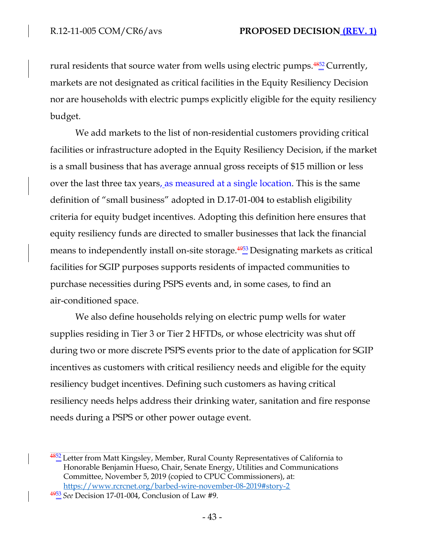rural residents that source water from wells using electric pumps. $4852$  Currently, markets are not designated as critical facilities in the Equity Resiliency Decision nor are households with electric pumps explicitly eligible for the equity resiliency budget.

We add markets to the list of non-residential customers providing critical facilities or infrastructure adopted in the Equity Resiliency Decision, if the market is a small business that has average annual gross receipts of \$15 million or less over the last three tax years, as measured at a single location. This is the same definition of "small business" adopted in D.17-01-004 to establish eligibility criteria for equity budget incentives. Adopting this definition here ensures that equity resiliency funds are directed to smaller businesses that lack the financial means to independently install on-site storage. $49\frac{1}{2}$  Designating markets as critical facilities for SGIP purposes supports residents of impacted communities to purchase necessities during PSPS events and, in some cases, to find an air-conditioned space.

We also define households relying on electric pump wells for water supplies residing in Tier 3 or Tier 2 HFTDs, or whose electricity was shut off during two or more discrete PSPS events prior to the date of application for SGIP incentives as customers with critical resiliency needs and eligible for the equity resiliency budget incentives. Defining such customers as having critical resiliency needs helps address their drinking water, sanitation and fire response needs during a PSPS or other power outage event.

 $\frac{4852}{2}$  Letter from Matt Kingsley, Member, Rural County Representatives of California to Honorable Benjamin Hueso, Chair, Senate Energy, Utilities and Communications Committee, November 5, 2019 (copied to CPUC Commissioners), at: [https://www.rcrcnet.org/barbed-wire-november-08-2019#story-2](http://www.rcrcnet.org/barbed-wire-november-08-2019#story-2)

<sup>4953</sup>*See* Decision 17-01-004, Conclusion of Law #9.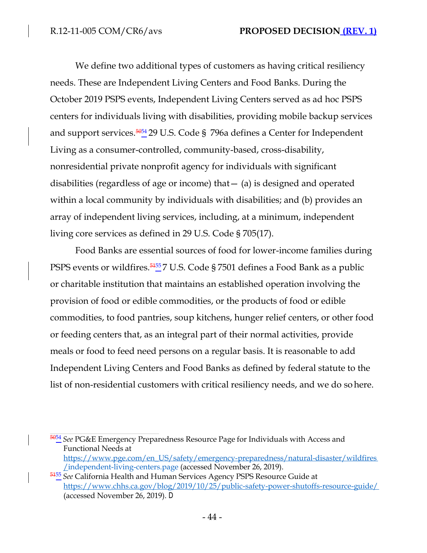We define two additional types of customers as having critical resiliency needs. These are Independent Living Centers and Food Banks. During the October 2019 PSPS events, Independent Living Centers served as ad hoc PSPS centers for individuals living with disabilities, providing mobile backup services and support services.<sup>5054</sup><sub>29</sub> U.S. Code § 796a defines a Center for Independent Living as a consumer-controlled, community-based, cross-disability, nonresidential private nonprofit agency for individuals with significant disabilities (regardless of age or income) that— (a) is designed and operated within a local community by individuals with disabilities; and (b) provides an array of independent living services, including, at a minimum, independent living core services as defined in 29 U.S. Code § 705(17).

Food Banks are essential sources of food for lower-income families during PSPS events or wildfires. $\frac{5455}{2}$  U.S. Code § 7501 defines a Food Bank as a public or charitable institution that maintains an established operation involving the provision of food or edible commodities, or the products of food or edible commodities, to food pantries, soup kitchens, hunger relief centers, or other food or feeding centers that, as an integral part of their normal activities, provide meals or food to feed need persons on a regular basis. It is reasonable to add Independent Living Centers and Food Banks as defined by federal statute to the list of non-residential customers with critical resiliency needs, and we do sohere.

<sup>5054</sup>*See* PG&E Emergency Preparedness Resource Page for Individuals with Access and Functional Needs at [https://www.pge.com/en\\_US/safety/emergency-preparedness/natural-disaster/wildfires](http://www.pge.com/en_US/safety/emergency-preparedness/natural-disaster/wildfires) /independent-living-centers.page (accessed November 26, 2019).

<sup>5155</sup>*See* California Health and Human Services Agency PSPS Resource Guide at [https://www.chhs.ca.gov/blog/2019/10/25/public-safety-power-shutoffs-resource-guide/](http://www.chhs.ca.gov/blog/2019/10/25/public-safety-power-shutoffs-resource-guide/) (accessed November 26, 2019). D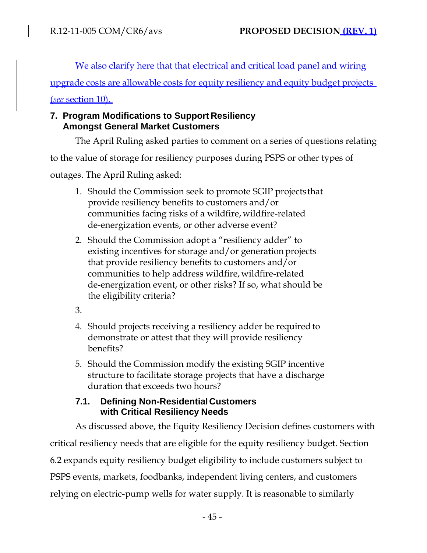We also clarify here that that electrical and critical load panel and wiring

upgrade costs are allowable costs for equity resiliency and equity budget projects

(*see* section 10).

# **7. Program Modifications to Support Resiliency Amongst General Market Customers**

The April Ruling asked parties to comment on a series of questions relating

to the value of storage for resiliency purposes during PSPS or other types of

outages. The April Ruling asked:

- 1. Should the Commission seek to promote SGIP projectsthat provide resiliency benefits to customers and/or communities facing risks of a wildfire, wildfire-related de-energization events, or other adverse event?
- 2. Should the Commission adopt a "resiliency adder" to existing incentives for storage and/or generation projects that provide resiliency benefits to customers and/or communities to help address wildfire, wildfire-related de-energization event, or other risks? If so, what should be the eligibility criteria?
- 3.
- 4. Should projects receiving a resiliency adder be required to demonstrate or attest that they will provide resiliency benefits?
- 5. Should the Commission modify the existing SGIP incentive structure to facilitate storage projects that have a discharge duration that exceeds two hours?

## **7.1. Defining Non-ResidentialCustomers with Critical Resiliency Needs**

As discussed above, the Equity Resiliency Decision defines customers with critical resiliency needs that are eligible for the equity resiliency budget. Section 6.2 expands equity resiliency budget eligibility to include customers subject to PSPS events, markets, foodbanks, independent living centers, and customers relying on electric-pump wells for water supply. It is reasonable to similarly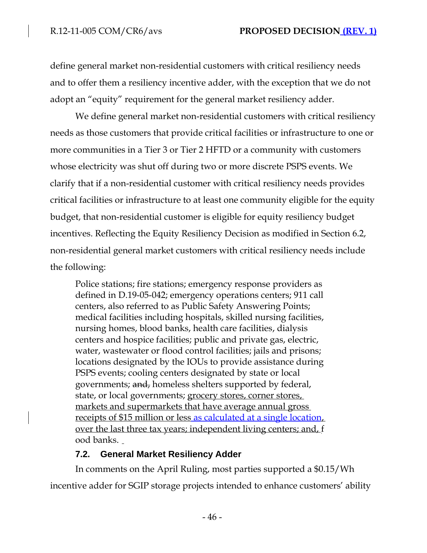define general market non-residential customers with critical resiliency needs and to offer them a resiliency incentive adder, with the exception that we do not adopt an "equity" requirement for the general market resiliency adder.

We define general market non-residential customers with critical resiliency needs as those customers that provide critical facilities or infrastructure to one or more communities in a Tier 3 or Tier 2 HFTD or a community with customers whose electricity was shut off during two or more discrete PSPS events. We clarify that if a non-residential customer with critical resiliency needs provides critical facilities or infrastructure to at least one community eligible for the equity budget, that non-residential customer is eligible for equity resiliency budget incentives. Reflecting the Equity Resiliency Decision as modified in Section 6.2, non-residential general market customers with critical resiliency needs include the following:

Police stations; fire stations; emergency response providers as defined in D.19-05-042; emergency operations centers; 911 call centers, also referred to as Public Safety Answering Points; medical facilities including hospitals, skilled nursing facilities, nursing homes, blood banks, health care facilities, dialysis centers and hospice facilities; public and private gas, electric, water, wastewater or flood control facilities; jails and prisons; locations designated by the IOUs to provide assistance during PSPS events; cooling centers designated by state or local governments; and, homeless shelters supported by federal, state, or local governments; grocery stores, corner stores, markets and supermarkets that have average annual gross receipts of \$15 million or less as calculated at a single location, over the last three tax years; independent living centers; and, f ood banks.

# **7.2. General Market Resiliency Adder**

In comments on the April Ruling, most parties supported a \$0.15/Wh incentive adder for SGIP storage projects intended to enhance customers' ability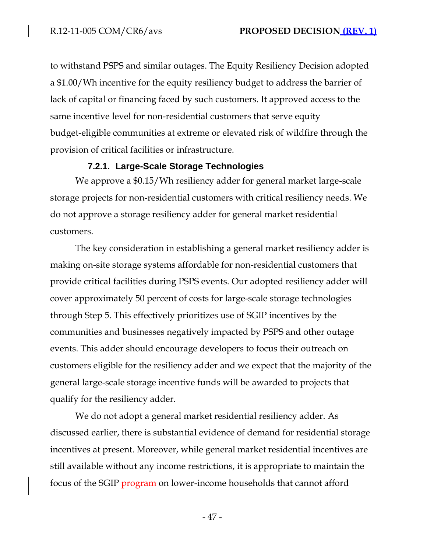to withstand PSPS and similar outages. The Equity Resiliency Decision adopted a \$1.00/Wh incentive for the equity resiliency budget to address the barrier of lack of capital or financing faced by such customers. It approved access to the same incentive level for non-residential customers that serve equity budget-eligible communities at extreme or elevated risk of wildfire through the provision of critical facilities or infrastructure.

#### **7.2.1. Large-Scale Storage Technologies**

We approve a \$0.15/Wh resiliency adder for general market large-scale storage projects for non-residential customers with critical resiliency needs. We do not approve a storage resiliency adder for general market residential customers.

The key consideration in establishing a general market resiliency adder is making on-site storage systems affordable for non-residential customers that provide critical facilities during PSPS events. Our adopted resiliency adder will cover approximately 50 percent of costs for large-scale storage technologies through Step 5. This effectively prioritizes use of SGIP incentives by the communities and businesses negatively impacted by PSPS and other outage events. This adder should encourage developers to focus their outreach on customers eligible for the resiliency adder and we expect that the majority of the general large-scale storage incentive funds will be awarded to projects that qualify for the resiliency adder.

We do not adopt a general market residential resiliency adder. As discussed earlier, there is substantial evidence of demand for residential storage incentives at present. Moreover, while general market residential incentives are still available without any income restrictions, it is appropriate to maintain the focus of the SGIP-**program** on lower-income households that cannot afford

- 47 -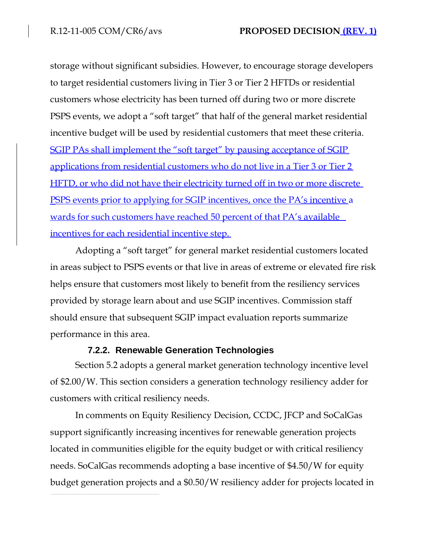storage without significant subsidies. However, to encourage storage developers to target residential customers living in Tier 3 or Tier 2 HFTDs or residential customers whose electricity has been turned off during two or more discrete PSPS events, we adopt a "soft target" that half of the general market residential incentive budget will be used by residential customers that meet these criteria. SGIP PAs shall implement the "soft target" by pausing acceptance of SGIP applications from residential customers who do not live in a Tier 3 or Tier 2 HFTD, or who did not have their electricity turned off in two or more discrete PSPS events prior to applying for SGIP incentives, once the PA's incentive a wards for such customers have reached 50 percent of that PA's available incentives for each residential incentive step.

Adopting a "soft target" for general market residential customers located in areas subject to PSPS events or that live in areas of extreme or elevated fire risk helps ensure that customers most likely to benefit from the resiliency services provided by storage learn about and use SGIP incentives. Commission staff should ensure that subsequent SGIP impact evaluation reports summarize performance in this area.

### **7.2.2. Renewable Generation Technologies**

Section 5.2 adopts a general market generation technology incentive level of \$2.00/W. This section considers a generation technology resiliency adder for customers with critical resiliency needs.

In comments on Equity Resiliency Decision, CCDC, JFCP and SoCalGas support significantly increasing incentives for renewable generation projects located in communities eligible for the equity budget or with critical resiliency needs. SoCalGas recommends adopting a base incentive of \$4.50/W for equity budget generation projects and a \$0.50/W resiliency adder for projects located in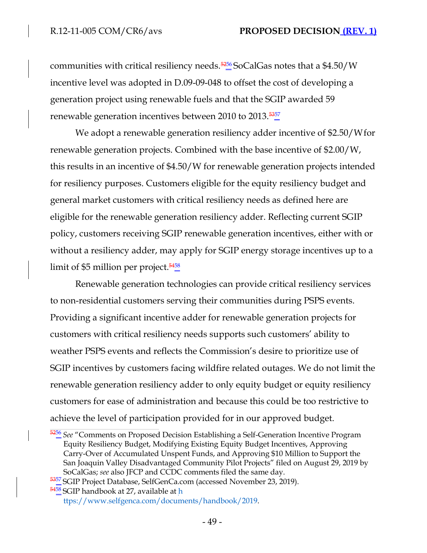communities with critical resiliency needs. $\frac{5256}{2}$ SoCalGas notes that a \$4.50/W incentive level was adopted in D.09-09-048 to offset the cost of developing a generation project using renewable fuels and that the SGIP awarded 59 renewable generation incentives between 2010 to 2013. $\frac{5357}{9}$ 

We adopt a renewable generation resiliency adder incentive of \$2.50/Wfor renewable generation projects. Combined with the base incentive of \$2.00/W, this results in an incentive of \$4.50/W for renewable generation projects intended for resiliency purposes. Customers eligible for the equity resiliency budget and general market customers with critical resiliency needs as defined here are eligible for the renewable generation resiliency adder. Reflecting current SGIP policy, customers receiving SGIP renewable generation incentives, either with or without a resiliency adder, may apply for SGIP energy storage incentives up to a limit of \$5 million per project. $\frac{5458}{9}$ 

Renewable generation technologies can provide critical resiliency services to non-residential customers serving their communities during PSPS events. Providing a significant incentive adder for renewable generation projects for customers with critical resiliency needs supports such customers' ability to weather PSPS events and reflects the Commission's desire to prioritize use of SGIP incentives by customers facing wildfire related outages. We do not limit the renewable generation resiliency adder to only equity budget or equity resiliency customers for ease of administration and because this could be too restrictive to achieve the level of participation provided for in our approved budget.

<sup>5256</sup>*See* "Comments on Proposed Decision Establishing a Self-Generation Incentive Program Equity Resiliency Budget, Modifying Existing Equity Budget Incentives, Approving Carry-Over of Accumulated Unspent Funds, and Approving \$10 Million to Support the San Joaquin Valley Disadvantaged Community Pilot Projects" filed on August 29, 2019 by SoCalGas; *see* also JFCP and CCDC comments filed the same day.

<sup>5357</sup> SGIP Project Database, SelfGenCa.com (accessed November 23, 2019).

<sup>5458</sup> SGIP handbook at 27, available at h

[ttps://www.selfgenca.com/documents/handbook/2019.](http://www.selfgenca.com/documents/handbook/2019)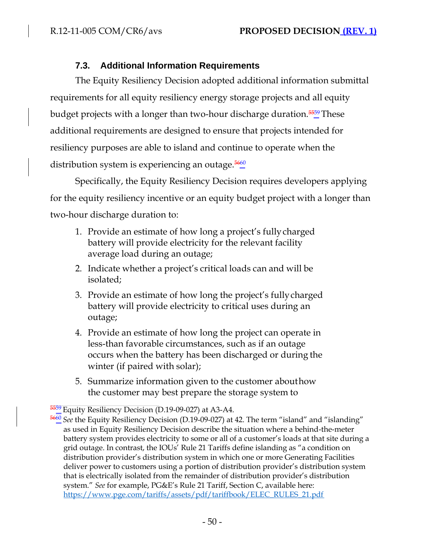# **7.3. Additional Information Requirements**

The Equity Resiliency Decision adopted additional information submittal requirements for all equity resiliency energy storage projects and all equity budget projects with a longer than two-hour discharge duration. $\frac{5559}{2}$  These additional requirements are designed to ensure that projects intended for resiliency purposes are able to island and continue to operate when the distribution system is experiencing an outage. $\frac{560}{4}$ 

Specifically, the Equity Resiliency Decision requires developers applying for the equity resiliency incentive or an equity budget project with a longer than two-hour discharge duration to:

- 1. Provide an estimate of how long a project's fullycharged battery will provide electricity for the relevant facility average load during an outage;
- 2. Indicate whether a project's critical loads can and will be isolated;
- 3. Provide an estimate of how long the project's fullycharged battery will provide electricity to critical uses during an outage;
- 4. Provide an estimate of how long the project can operate in less-than favorable circumstances, such as if an outage occurs when the battery has been discharged or during the winter (if paired with solar);
- 5. Summarize information given to the customer abouthow the customer may best prepare the storage system to

<sup>&</sup>lt;sup>5559</sup> Equity Resiliency Decision (D.19-09-027) at A3-A4.

<sup>5660</sup>*See* the Equity Resiliency Decision (D.19-09-027) at 42. The term "island" and "islanding" as used in Equity Resiliency Decision describe the situation where a behind-the-meter battery system provides electricity to some or all of a customer's loads at that site during a grid outage. In contrast, the IOUs' Rule 21 Tariffs define islanding as "a condition on distribution provider's distribution system in which one or more Generating Facilities deliver power to customers using a portion of distribution provider's distribution system that is electrically isolated from the remainder of distribution provider's distribution system." *See* for example, PG&E's Rule 21 Tariff, Section C, available here: [https://www.pge.com/tariffs/assets/pdf/tariffbook/ELEC\\_RULES\\_21.pdf](http://www.pge.com/tariffs/assets/pdf/tariffbook/ELEC_RULES_21.pdf)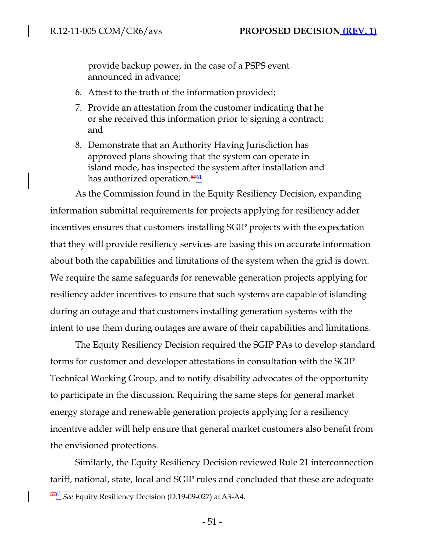provide backup power, in the case of a PSPS event announced in advance;

- 6. Attest to the truth of the information provided;
- 7. Provide an attestation from the customer indicating that he or she received this information prior to signing a contract; and
- 8. Demonstrate that an Authority Having Jurisdiction has approved plans showing that the system can operate in island mode, has inspected the system after installation and has authorized operation. $\frac{5761}{4}$

As the Commission found in the Equity Resiliency Decision, expanding information submittal requirements for projects applying for resiliency adder incentives ensures that customers installing SGIP projects with the expectation that they will provide resiliency services are basing this on accurate information about both the capabilities and limitations of the system when the grid is down. We require the same safeguards for renewable generation projects applying for resiliency adder incentives to ensure that such systems are capable of islanding during an outage and that customers installing generation systems with the intent to use them during outages are aware of their capabilities and limitations.

The Equity Resiliency Decision required the SGIP PAs to develop standard forms for customer and developer attestations in consultation with the SGIP Technical Working Group, and to notify disability advocates of the opportunity to participate in the discussion. Requiring the same steps for general market energy storage and renewable generation projects applying for a resiliency incentive adder will help ensure that general market customers also benefit from the envisioned protections.

Similarly, the Equity Resiliency Decision reviewed Rule 21 interconnection tariff, national, state, local and SGIP rules and concluded that these are adequate <sup>5761</sup>*See* Equity Resiliency Decision (D.19-09-027) atA3-A4.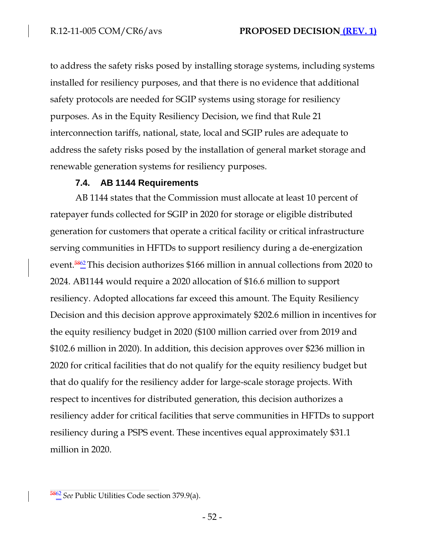to address the safety risks posed by installing storage systems, including systems installed for resiliency purposes, and that there is no evidence that additional safety protocols are needed for SGIP systems using storage for resiliency purposes. As in the Equity Resiliency Decision, we find that Rule 21 interconnection tariffs, national, state, local and SGIP rules are adequate to address the safety risks posed by the installation of general market storage and renewable generation systems for resiliency purposes.

### **7.4. AB 1144 Requirements**

AB 1144 states that the Commission must allocate at least 10 percent of ratepayer funds collected for SGIP in 2020 for storage or eligible distributed generation for customers that operate a critical facility or critical infrastructure serving communities in HFTDs to support resiliency during a de-energization event.<sup>5862</sup> This decision authorizes \$166 million in annual collections from 2020 to 2024. AB1144 would require a 2020 allocation of \$16.6 million to support resiliency. Adopted allocations far exceed this amount. The Equity Resiliency Decision and this decision approve approximately \$202.6 million in incentives for the equity resiliency budget in 2020 (\$100 million carried over from 2019 and \$102.6 million in 2020). In addition, this decision approves over \$236 million in 2020 for critical facilities that do not qualify for the equity resiliency budget but that do qualify for the resiliency adder for large-scale storage projects. With respect to incentives for distributed generation, this decision authorizes a resiliency adder for critical facilities that serve communities in HFTDs to support resiliency during a PSPS event. These incentives equal approximately \$31.1 million in 2020.

<sup>5862</sup>*See* Public Utilities Code section 379.9(a).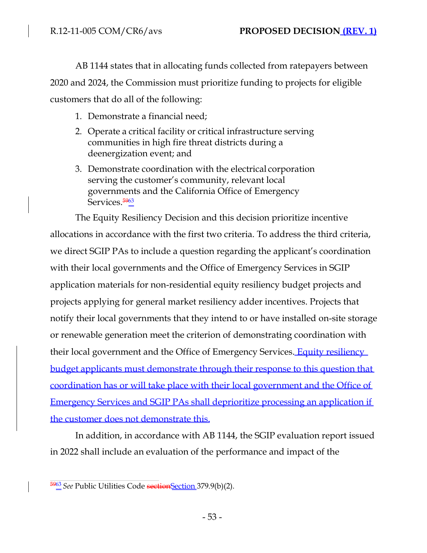AB 1144 states that in allocating funds collected from ratepayers between 2020 and 2024, the Commission must prioritize funding to projects for eligible customers that do all of the following:

- 1. Demonstrate a financial need;
- 2. Operate a critical facility or critical infrastructure serving communities in high fire threat districts during a deenergization event; and
- 3. Demonstrate coordination with the electrical corporation serving the customer's community, relevant local governments and the California Office of Emergency Services.<sup>5963</sup>

The Equity Resiliency Decision and this decision prioritize incentive allocations in accordance with the first two criteria. To address the third criteria, we direct SGIP PAs to include a question regarding the applicant's coordination with their local governments and the Office of Emergency Services in SGIP application materials for non-residential equity resiliency budget projects and projects applying for general market resiliency adder incentives. Projects that notify their local governments that they intend to or have installed on-site storage or renewable generation meet the criterion of demonstrating coordination with their local government and the Office of Emergency Services. **Equity resiliency** budget applicants must demonstrate through their response to this question that coordination has or will take place with their local government and the Office of Emergency Services and SGIP PAs shall deprioritize processing an application if the customer does not demonstrate this.

In addition, in accordance with AB 1144, the SGIP evaluation report issued in 2022 shall include an evaluation of the performance and impact of the

<sup>&</sup>lt;sup>5963</sup> See Public Utilities Code section Section 379.9(b)(2).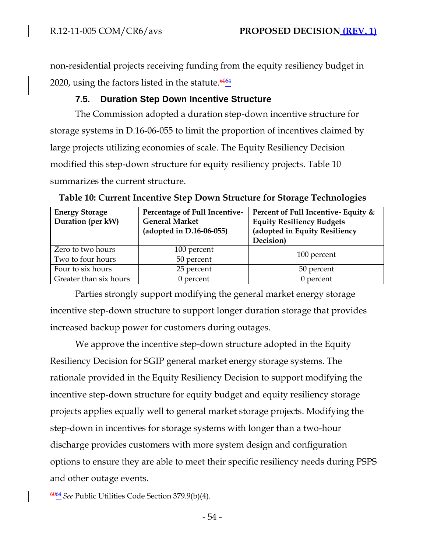non-residential projects receiving funding from the equity resiliency budget in 2020, using the factors listed in the statute.  $\frac{6064}{9}$ 

# **7.5. Duration Step Down Incentive Structure**

The Commission adopted a duration step-down incentive structure for storage systems in D.16-06-055 to limit the proportion of incentives claimed by large projects utilizing economies of scale. The Equity Resiliency Decision modified this step-down structure for equity resiliency projects. Table 10 summarizes the current structure.

| <b>Energy Storage</b><br>Duration (per kW) | Percentage of Full Incentive-<br><b>General Market</b><br>(adopted in $D.16-06-055$ ) | Percent of Full Incentive- Equity &<br><b>Equity Resiliency Budgets</b><br>(adopted in Equity Resiliency<br>Decision) |  |
|--------------------------------------------|---------------------------------------------------------------------------------------|-----------------------------------------------------------------------------------------------------------------------|--|
| Zero to two hours                          | 100 percent                                                                           |                                                                                                                       |  |
| Two to four hours                          | 50 percent                                                                            | 100 percent                                                                                                           |  |
| Four to six hours                          | 25 percent                                                                            | 50 percent                                                                                                            |  |
| Greater than six hours                     | $0$ percent                                                                           | $0$ percent                                                                                                           |  |

**Table 10: Current Incentive Step Down Structure for Storage Technologies**

Parties strongly support modifying the general market energy storage incentive step-down structure to support longer duration storage that provides increased backup power for customers during outages.

We approve the incentive step-down structure adopted in the Equity Resiliency Decision for SGIP general market energy storage systems. The rationale provided in the Equity Resiliency Decision to support modifying the incentive step-down structure for equity budget and equity resiliency storage projects applies equally well to general market storage projects. Modifying the step-down in incentives for storage systems with longer than a two-hour discharge provides customers with more system design and configuration options to ensure they are able to meet their specific resiliency needs during PSPS and other outage events.

<sup>6064</sup>*See* Public Utilities Code Section 379.9(b)(4).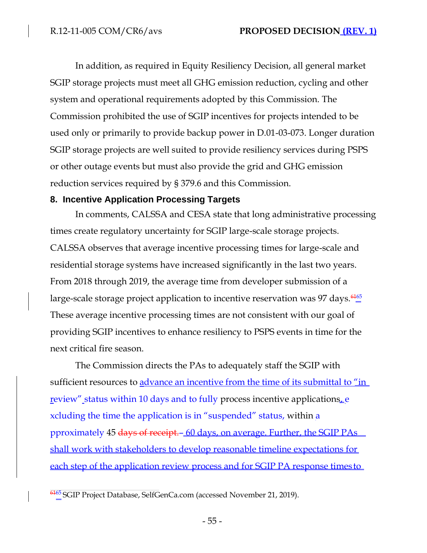In addition, as required in Equity Resiliency Decision, all general market SGIP storage projects must meet all GHG emission reduction, cycling and other system and operational requirements adopted by this Commission. The Commission prohibited the use of SGIP incentives for projects intended to be used only or primarily to provide backup power in D.01-03-073. Longer duration SGIP storage projects are well suited to provide resiliency services during PSPS or other outage events but must also provide the grid and GHG emission reduction services required by § 379.6 and this Commission.

#### **8. Incentive Application Processing Targets**

In comments, CALSSA and CESA state that long administrative processing times create regulatory uncertainty for SGIP large-scale storage projects. CALSSA observes that average incentive processing times for large-scale and residential storage systems have increased significantly in the last two years. From 2018 through 2019, the average time from developer submission of a large-scale storage project application to incentive reservation was 97 days.  $\frac{6465}{8}$ These average incentive processing times are not consistent with our goal of providing SGIP incentives to enhance resiliency to PSPS events in time for the next critical fire season.

The Commission directs the PAs to adequately staff the SGIP with sufficient resources to advance an incentive from the time of its submittal to "in review" status within 10 days and to fully process incentive applications. xcluding the time the application is in "suspended" status, within a pproximately 45 days of receipt.– 60 days, on average. Further, the SGIP PAs shall work with stakeholders to develop reasonable timeline expectations for each step of the application review process and for SGIP PA response times to

<sup>&</sup>lt;sup>6165</sup>SGIP Project Database, SelfGenCa.com (accessed November 21, 2019).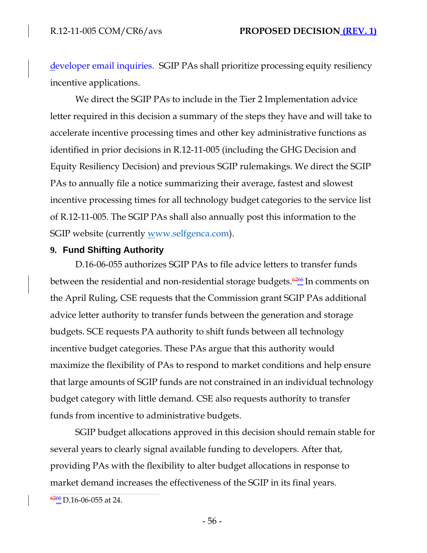developer email inquiries. SGIP PAs shall prioritize processing equity resiliency incentive applications.

We direct the SGIP PAs to include in the Tier 2 Implementation advice letter required in this decision a summary of the steps they have and will take to accelerate incentive processing times and other key administrative functions as identified in prior decisions in R.12-11-005 (including the GHG Decision and Equity Resiliency Decision) and previous SGIP rulemakings. We direct the SGIP PAs to annually file a notice summarizing their average, fastest and slowest incentive processing times for all technology budget categories to the service list of R.12-11-005. The SGIP PAs shall also annually post this information to the SGIP website (currently www.selfgenca.com).

### **9. Fund Shifting Authority**

D.16-06-055 authorizes SGIP PAs to file advice letters to transfer funds between the residential and non-residential storage budgets. $\frac{6266}{4}$  In comments on the April Ruling, CSE requests that the Commission grant SGIP PAs additional advice letter authority to transfer funds between the generation and storage budgets. SCE requests PA authority to shift funds between all technology incentive budget categories. These PAs argue that this authority would maximize the flexibility of PAs to respond to market conditions and help ensure that large amounts of SGIP funds are not constrained in an individual technology budget category with little demand. CSE also requests authority to transfer funds from incentive to administrative budgets.

SGIP budget allocations approved in this decision should remain stable for several years to clearly signal available funding to developers. After that, providing PAs with the flexibility to alter budget allocations in response to market demand increases the effectiveness of the SGIP in its final years.

 $\frac{6266}{2}$ D.16-06-055 at 24.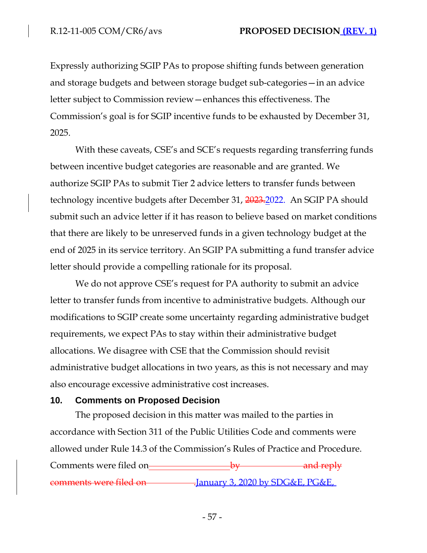Expressly authorizing SGIP PAs to propose shifting funds between generation and storage budgets and between storage budget sub-categories—in an advice letter subject to Commission review—enhances this effectiveness. The Commission's goal is for SGIP incentive funds to be exhausted by December 31, 2025.

With these caveats, CSE's and SCE's requests regarding transferring funds between incentive budget categories are reasonable and are granted. We authorize SGIP PAs to submit Tier 2 advice letters to transfer funds between technology incentive budgets after December 31, 2023.2022. An SGIP PA should submit such an advice letter if it has reason to believe based on market conditions that there are likely to be unreserved funds in a given technology budget at the end of 2025 in its service territory. An SGIP PA submitting a fund transfer advice letter should provide a compelling rationale for its proposal.

We do not approve CSE's request for PA authority to submit an advice letter to transfer funds from incentive to administrative budgets. Although our modifications to SGIP create some uncertainty regarding administrative budget requirements, we expect PAs to stay within their administrative budget allocations. We disagree with CSE that the Commission should revisit administrative budget allocations in two years, as this is not necessary and may also encourage excessive administrative cost increases.

#### **10. Comments on Proposed Decision**

The proposed decision in this matter was mailed to the parties in accordance with Section 311 of the Public Utilities Code and comments were allowed under Rule 14.3 of the Commission's Rules of Practice and Procedure. Comments were filed on-*by* and reply comments were filed on .January 3, 2020 by SDG&E, PG&E,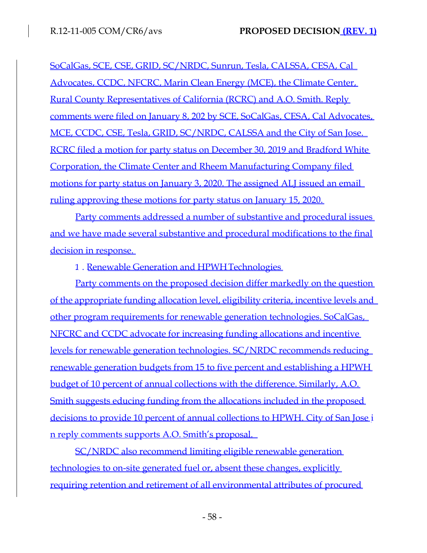SoCalGas, SCE, CSE, GRID, SC/NRDC, Sunrun, Tesla, CALSSA, CESA, Cal Advocates, CCDC, NFCRC, Marin Clean Energy (MCE), the Climate Center, Rural County Representatives of California (RCRC) and A.O. Smith. Reply comments were filed on January 8, 202 by SCE, SoCalGas, CESA, Cal Advocates, MCE, CCDC, CSE, Tesla, GRID, SC/NRDC, CALSSA and the City of San Jose. RCRC filed a motion for party status on December 30, 2019 and Bradford White Corporation, the Climate Center and Rheem Manufacturing Company filed motions for party status on January 3, 2020. The assigned ALJ issued an email ruling approving these motions for party status on January 15, 2020.

Party comments addressed a number of substantive and procedural issues and we have made several substantive and procedural modifications to the final decision in response.

1. Renewable Generation and HPWH Technologies

Party comments on the proposed decision differ markedly on the question of the appropriate funding allocation level, eligibility criteria, incentive levels and other program requirements for renewable generation technologies. SoCalGas, NFCRC and CCDC advocate for increasing funding allocations and incentive levels for renewable generation technologies. SC/NRDC recommends reducing renewable generation budgets from 15 to five percent and establishing a HPWH budget of 10 percent of annual collections with the difference. Similarly, A.O. Smith suggests educing funding from the allocations included in the proposed decisions to provide 10 percent of annual collections to HPWH. City of San Jose i n reply comments supports A.O. Smith's proposal.

SC/NRDC also recommend limiting eligible renewable generation technologies to on-site generated fuel or, absent these changes, explicitly requiring retention and retirement of all environmental attributes of procured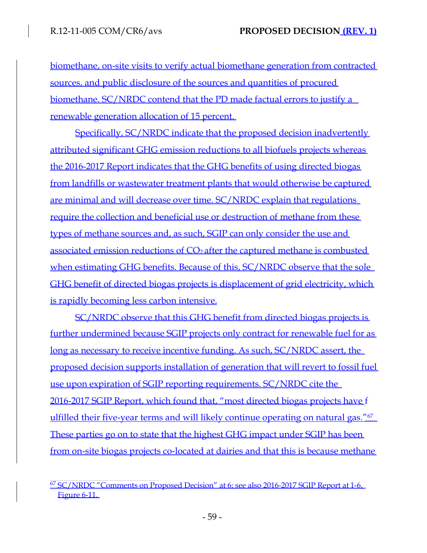biomethane, on-site visits to verify actual biomethane generation from contracted sources, and public disclosure of the sources and quantities of procured biomethane. SC/NRDC contend that the PD made factual errors to justify a renewable generation allocation of 15 percent.

Specifically, SC/NRDC indicate that the proposed decision inadvertently attributed significant GHG emission reductions to all biofuels projects whereas the 2016-2017 Report indicates that the GHG benefits of using directed biogas from landfills or wastewater treatment plants that would otherwise be captured are minimal and will decrease over time. SC/NRDC explain that regulations require the collection and beneficial use or destruction of methane from these types of methane sources and, as such, SGIP can only consider the use and associated emission reductions of CO<sub>2</sub> after the captured methane is combusted when estimating GHG benefits. Because of this, SC/NRDC observe that the sole GHG benefit of directed biogas projects is displacement of grid electricity, which is rapidly becoming less carbon intensive.

SC/NRDC observe that this GHG benefit from directed biogas projects is further undermined because SGIP projects only contract for renewable fuel for as long as necessary to receive incentive funding. As such, SC/NRDC assert, the proposed decision supports installation of generation that will revert to fossil fuel use upon expiration of SGIP reporting requirements. SC/NRDC cite the 2016-2017 SGIP Report, which found that, "most directed biogas projects have f ulfilled their five-year terms and will likely continue operating on natural gas."<sup>67</sup> These parties go on to state that the highest GHG impact under SGIP has been from on-site biogas projects co-located at dairies and that this is because methane

<sup>67</sup> SC/NRDC "Comments on Proposed Decision" at 6; see also 2016-2017 SGIP Report at 1-6, Figure 6-11.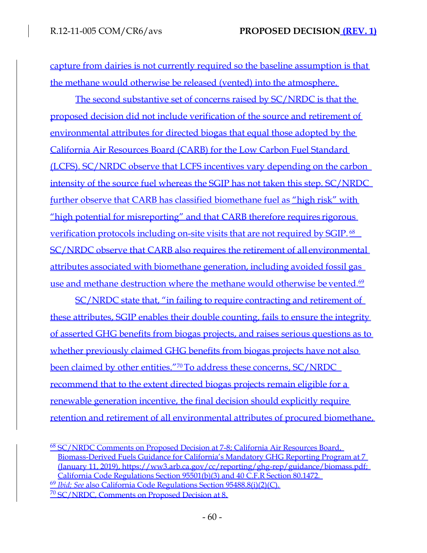capture from dairies is not currently required so the baseline assumption is that the methane would otherwise be released (vented) into the atmosphere.

The second substantive set of concerns raised by SC/NRDC is that the proposed decision did not include verification of the source and retirement of environmental attributes for directed biogas that equal those adopted by the California Air Resources Board (CARB) for the Low Carbon Fuel Standard (LCFS). SC/NRDC observe that LCFS incentives vary depending on the carbon intensity of the source fuel whereas the SGIP has not taken this step. SC/NRDC further observe that CARB has classified biomethane fuel as "high risk" with "high potential for misreporting" and that CARB therefore requires rigorous verification protocols including on-site visits that are not required by SGIP.<sup>68</sup> SC/NRDC observe that CARB also requires the retirement of all environmental attributes associated with biomethane generation, including avoided fossil gas use and methane destruction where the methane would otherwise be vented. $69$ 

SC/NRDC state that, "in failing to require contracting and retirement of these attributes, SGIP enables their double counting, fails to ensure the integrity of asserted GHG benefits from biogas projects, and raises serious questions as to whether previously claimed GHG benefits from biogas projects have not also been claimed by other entities."<sup>70</sup>To address these concerns, SC/NRDC recommend that to the extent directed biogas projects remain eligible for a renewable generation incentive, the final decision should explicitly require retention and retirement of all environmental attributes of procured biomethane,

<sup>68</sup> SC/NRDC Comments on Proposed Decision at 7-8; California Air Resources Board, Biomass-Derived Fuels Guidance for California's Mandatory GHG Reporting Program at 7 (January 11, 2019), https://ww3.arb.ca.gov/cc/reporting/ghg-rep/guidance/biomass.pdf; California Code Regulations Section 95501(b)(3) and 40 C.F.R Section 80.1472. <sup>69</sup> *Ibid; See* also California Code Regulations Section 95488.8(i)(2)(C). <sup>70</sup> SC/NRDC, Comments on Proposed Decision at 8.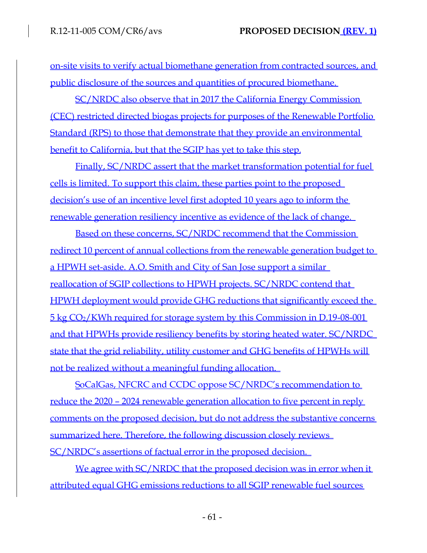on-site visits to verify actual biomethane generation from contracted sources, and public disclosure of the sources and quantities of procured biomethane.

SC/NRDC also observe that in 2017 the California Energy Commission (CEC) restricted directed biogas projects for purposes of the Renewable Portfolio Standard (RPS) to those that demonstrate that they provide an environmental benefit to California, but that the SGIP has yet to take this step.

Finally, SC/NRDC assert that the market transformation potential for fuel cells is limited. To support this claim, these parties point to the proposed decision's use of an incentive level first adopted 10 years ago to inform the renewable generation resiliency incentive as evidence of the lack of change.

Based on these concerns, SC/NRDC recommend that the Commission redirect 10 percent of annual collections from the renewable generation budget to a HPWH set-aside. A.O. Smith and City of San Jose support a similar reallocation of SGIP collections to HPWH projects. SC/NRDC contend that HPWH deployment would provide GHG reductions that significantly exceed the 5 kg CO2/KWh required for storage system by this Commission in D.19-08-001 and that HPWHs provide resiliency benefits by storing heated water. SC/NRDC state that the grid reliability, utility customer and GHG benefits of HPWHs will not be realized without a meaningful funding allocation.

SoCalGas, NFCRC and CCDC oppose SC/NRDC's recommendation to reduce the 2020 – 2024 renewable generation allocation to five percent in reply comments on the proposed decision, but do not address the substantive concerns summarized here. Therefore, the following discussion closely reviews SC/NRDC's assertions of factual error in the proposed decision.

We agree with SC/NRDC that the proposed decision was in error when it attributed equal GHG emissions reductions to all SGIP renewable fuel sources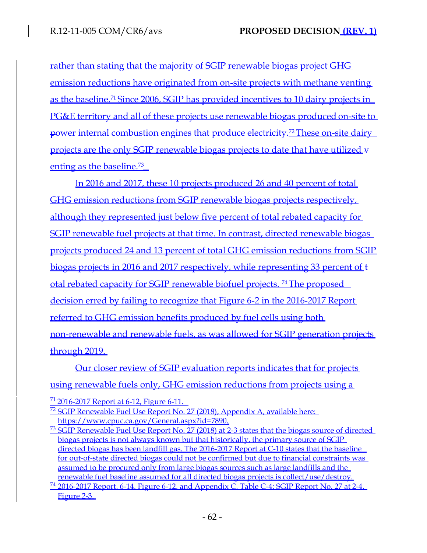rather than stating that the majority of SGIP renewable biogas project GHG emission reductions have originated from on-site projects with methane venting as the baseline.<sup>71</sup> Since 2006, SGIP has provided incentives to 10 dairy projects in PG&E territory and all of these projects use renewable biogas produced on-site to power internal combustion engines that produce electricity.<sup>72</sup>These on-site dairy projects are the only SGIP renewable biogas projects to date that have utilized v enting as the baseline.<sup>73</sup>

In 2016 and 2017, these 10 projects produced 26 and 40 percent of total GHG emission reductions from SGIP renewable biogas projects respectively, although they represented just below five percent of total rebated capacity for SGIP renewable fuel projects at that time. In contrast, directed renewable biogas projects produced 24 and 13 percent of total GHG emission reductions from SGIP biogas projects in 2016 and 2017 respectively, while representing 33 percent of t otal rebated capacity for SGIP renewable biofuel projects. <sup>74</sup>The proposed decision erred by failing to recognize that Figure 6-2 in the 2016-2017 Report referred to GHG emission benefits produced by fuel cells using both non-renewable and renewable fuels, as was allowed for SGIP generation projects through 2019.

Our closer review of SGIP evaluation reports indicates that for projects using renewable fuels only, GHG emission reductions from projects using a

 $^{71}$  2016-2017 Report at 6-12, Figure 6-11.

<sup>&</sup>lt;sup>72</sup> SGIP Renewable Fuel Use Report No. 27 (2018), Appendix A, available here: [https://www.cpuc.ca.gov/General.aspx?id=7890.](http://www.cpuc.ca.gov/General.aspx?id=7890)

 $^{73}$  SGIP Renewable Fuel Use Report No. 27 (2018) at 2-3 states that the biogas source of directed biogas projects is not always known but that historically, the primary source of SGIP directed biogas has been landfill gas. The 2016-2017 Report at C-10 states that the baseline for out-of-state directed biogas could not be confirmed but due to financial constraints was assumed to be procured only from large biogas sources such as large landfills and the renewable fuel baseline assumed for all directed biogas projects is collect/use/destroy.

 $^{74}$  2016-2017 Report, 6-14, Figure 6-12, and Appendix C, Table C-4; SGIP Report No. 27 at 2-4, Figure 2-3.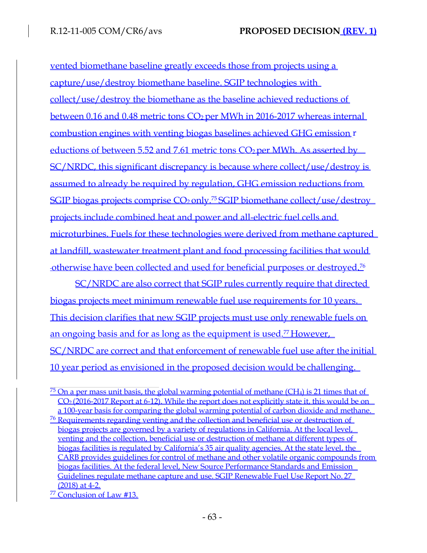vented biomethane baseline greatly exceeds those from projects using a capture/use/destroy biomethane baseline. SGIP technologies with collect/use/destroy the biomethane as the baseline achieved reductions of between 0.16 and 0.48 metric tons CO<sub>2</sub> per MWh in 2016-2017 whereas internal combustion engines with venting biogas baselines achieved GHG emission r eductions of between 5.52 and 7.61 metric tons  $CO<sub>2</sub>$  per MWh. As asserted by SC/NRDC, this significant discrepancy is because where collect/use/destroy is assumed to already be required by regulation, GHG emission reductions from SGIP biogas projects comprise  $CO<sub>2</sub>$  only.<sup>75</sup> SGIP biomethane collect/use/destroy projects include combined heat and power and all-electric fuel cells and microturbines. Fuels for these technologies were derived from methane captured at landfill, wastewater treatment plant and food processing facilities that would otherwise have been collected and used for beneficial purposes or destroyed.<sup>76</sup>

SC/NRDC are also correct that SGIP rules currently require that directed biogas projects meet minimum renewable fuel use requirements for 10 years. This decision clarifies that new SGIP projects must use only renewable fuels on an ongoing basis and for as long as the equipment is used.<sup>77</sup> However, SC/NRDC are correct and that enforcement of renewable fuel use after the initial 10 year period as envisioned in the proposed decision would be challenging.

 $\frac{75}{2}$  On a per mass unit basis, the global warming potential of methane (CH<sub>4</sub>) is 21 times that of CO2 (2016-2017 Report at 6-12). While the report does not explicitly state it, this would be on a 100-year basis for comparing the global warming potential of carbon dioxide and methane.

<sup>76</sup> Requirements regarding venting and the collection and beneficial use or destruction of biogas projects are governed by a variety of regulations in California. At the local level, venting and the collection, beneficial use or destruction of methane at different types of biogas facilities is regulated by California's 35 air quality agencies. At the state level, the CARB provides guidelines for control of methane and other volatile organic compounds from biogas facilities. At the federal level, New Source Performance Standards and Emission Guidelines regulate methane capture and use. SGIP Renewable Fuel Use Report No. 27 (2018) at 4-2.

<sup>77</sup> Conclusion of Law #13.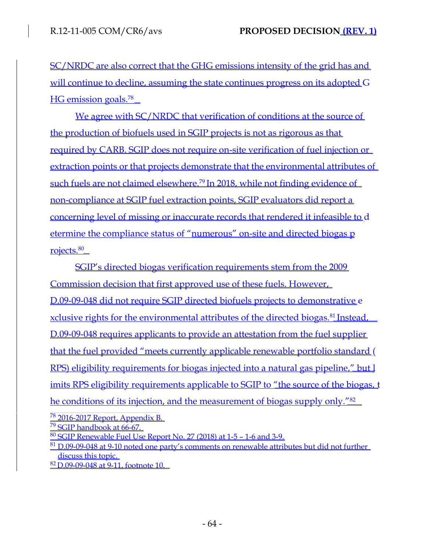SC/NRDC are also correct that the GHG emissions intensity of the grid has and will continue to decline, assuming the state continues progress on its adopted G HG emission goals.<sup>78</sup>

We agree with SC/NRDC that verification of conditions at the source of the production of biofuels used in SGIP projects is not as rigorous as that required by CARB. SGIP does not require on-site verification of fuel injection or extraction points or that projects demonstrate that the environmental attributes of such fuels are not claimed elsewhere.<sup>79</sup> In 2018, while not finding evidence of non-compliance at SGIP fuel extraction points, SGIP evaluators did report a concerning level of missing or inaccurate records that rendered it infeasible to d etermine the compliance status of "numerous" on-site and directed biogas p rojects.<sup>80</sup>

SGIP's directed biogas verification requirements stem from the 2009 Commission decision that first approved use of these fuels. However, D.09-09-048 did not require SGIP directed biofuels projects to demonstrative e xclusive rights for the environmental attributes of the directed biogas.<sup>81</sup> Instead, D.09-09-048 requires applicants to provide an attestation from the fuel supplier that the fuel provided "meets currently applicable renewable portfolio standard ( RPS) eligibility requirements for biogas injected into a natural gas pipeline," but l imits RPS eligibility requirements applicable to SGIP to "the source of the biogas, t he conditions of its injection, and the measurement of biogas supply only."<sup>82</sup>

<sup>78</sup> 2016-2017 Report, Appendix B.

<sup>79</sup> SGIP handbook at 66-67.

 $80$  SGIP Renewable Fuel Use Report No. 27 (2018) at 1-5 – 1-6 and 3-9.

 $81$  D,09-09-048 at 9-10 noted one party's comments on renewable attributes but did not further discuss this topic.

<sup>82</sup>D.09-09-048 at 9-11, footnote 10.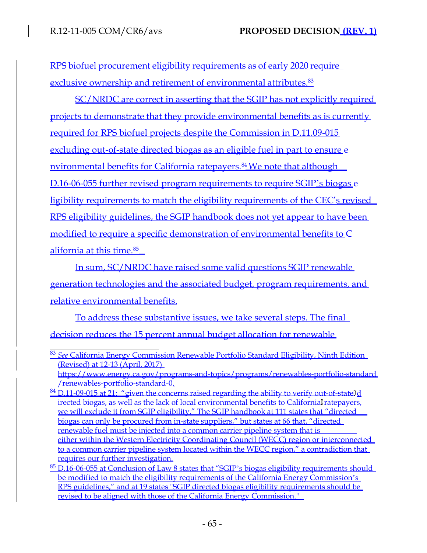RPS biofuel procurement eligibility requirements as of early 2020 require exclusive ownership and retirement of environmental attributes.<sup>83</sup>

SC/NRDC are correct in asserting that the SGIP has not explicitly required projects to demonstrate that they provide environmental benefits as is currently required for RPS biofuel projects despite the Commission in D.11.09-015 excluding out-of-state directed biogas as an eligible fuel in part to ensure e nvironmental benefits for California ratepayers.<sup>84</sup> We note that although D.16-06-055 further revised program requirements to require SGIP's biogas e ligibility requirements to match the eligibility requirements of the CEC's revised RPS eligibility guidelines, the SGIP handbook does not yet appear to have been modified to require a specific demonstration of environmental benefits to C alifornia at this time.<sup>85</sup>

In sum, SC/NRDC have raised some valid questions SGIP renewable generation technologies and the associated budget, program requirements, and relative environmental benefits.

To address these substantive issues, we take several steps. The final decision reduces the 15 percent annual budget allocation for renewable

<sup>83</sup> *See* California Energy Commission Renewable Portfolio Standard Eligibility, Ninth Edition (Revised) at 12-13 (April, 2017) [https://www.energy.ca.gov/programs-and-topics/programs/renewables-portfolio-standard](http://www.energy.ca.gov/programs-and-topics/programs/renewables-portfolio-standard) /renewables-portfolio-standard-0.

 $84$  D.11-09-015 at 21: "given the concerns raised regarding the ability to verify out-of-stateld irected biogas, as well as the lack of local environmental benefits to Californial ratepayers, we will exclude it from SGIP eligibility." The SGIP handbook at 111 states that "directed biogas can only be procured from in-state suppliers," but states at 66 that, "directed renewable fuel must be injected into a common carrier pipeline system that is either within the Western Electricity Coordinating Council (WECC) region or interconnected to a common carrier pipeline system located within the WECC region," a contradiction that requires our further investigation.

 $85$  D.16-06-055 at Conclusion of Law 8 states that "SGIP's biogas eligibility requirements should be modified to match the eligibility requirements of the California Energy Commission's RPS guidelines," and at 19 states "SGIP directed biogas eligibility requirements should be revised to be aligned with those of the California Energy Commission."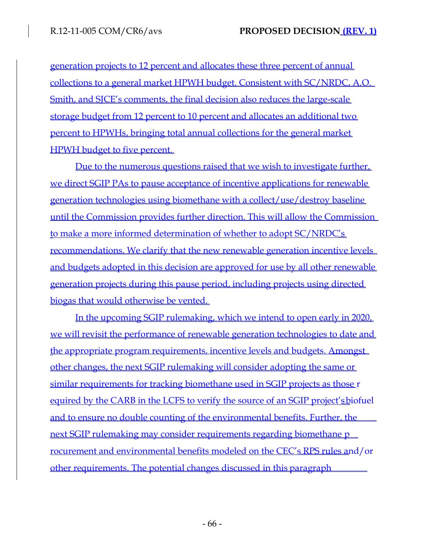generation projects to 12 percent and allocates these three percent of annual collections to a general market HPWH budget. Consistent with SC/NRDC, A.O. Smith, and SJCE's comments, the final decision also reduces the large-scale storage budget from 12 percent to 10 percent and allocates an additional two percent to HPWHs, bringing total annual collections for the general market HPWH budget to five percent.

Due to the numerous questions raised that we wish to investigate further, we direct SGIP PAs to pause acceptance of incentive applications for renewable generation technologies using biomethane with a collect/use/destroy baseline until the Commission provides further direction. This will allow the Commission to make a more informed determination of whether to adopt SC/NRDC's recommendations. We clarify that the new renewable generation incentive levels and budgets adopted in this decision are approved for use by all other renewable generation projects during this pause period, including projects using directed biogas that would otherwise be vented.

In the upcoming SGIP rulemaking, which we intend to open early in 2020, we will revisit the performance of renewable generation technologies to date and the appropriate program requirements, incentive levels and budgets. Amongst other changes, the next SGIP rulemaking will consider adopting the same or similar requirements for tracking biomethane used in SGIP projects as those r equired by the CARB in the LCFS to verify the source of an SGIP project'sbiofuel and to ensure no double counting of the environmental benefits. Further, the next SGIP rulemaking may consider requirements regarding biomethane p rocurement and environmental benefits modeled on the CEC's RPS rules and/or other requirements. The potential changes discussed in this paragraph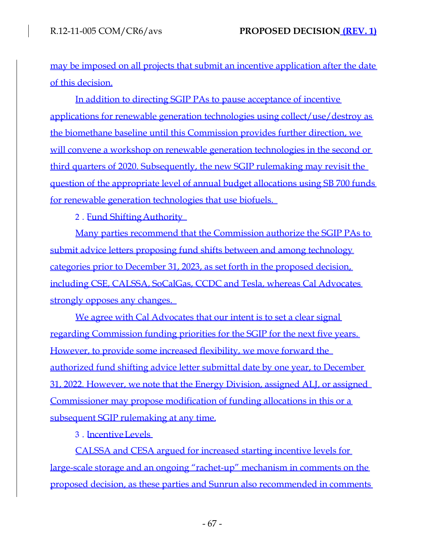may be imposed on all projects that submit an incentive application after the date of this decision.

In addition to directing SGIP PAs to pause acceptance of incentive applications for renewable generation technologies using collect/use/destroy as the biomethane baseline until this Commission provides further direction, we will convene a workshop on renewable generation technologies in the second or third quarters of 2020. Subsequently, the new SGIP rulemaking may revisit the question of the appropriate level of annual budget allocations using SB 700 funds for renewable generation technologies that use biofuels.

2. Fund Shifting Authority

Many parties recommend that the Commission authorize the SGIP PAs to submit advice letters proposing fund shifts between and among technology categories prior to December 31, 2023, as set forth in the proposed decision, including CSE, CALSSA, SoCalGas, CCDC and Tesla, whereas Cal Advocates strongly opposes any changes.

We agree with Cal Advocates that our intent is to set a clear signal regarding Commission funding priorities for the SGIP for the next five years. However, to provide some increased flexibility, we move forward the authorized fund shifting advice letter submittal date by one year, to December 31, 2022. However, we note that the Energy Division, assigned ALJ, or assigned Commissioner may propose modification of funding allocations in this or a subsequent SGIP rulemaking at any time.

3. . IncentiveLevels

CALSSA and CESA argued for increased starting incentive levels for large-scale storage and an ongoing "rachet-up" mechanism in comments on the proposed decision, as these parties and Sunrun also recommended in comments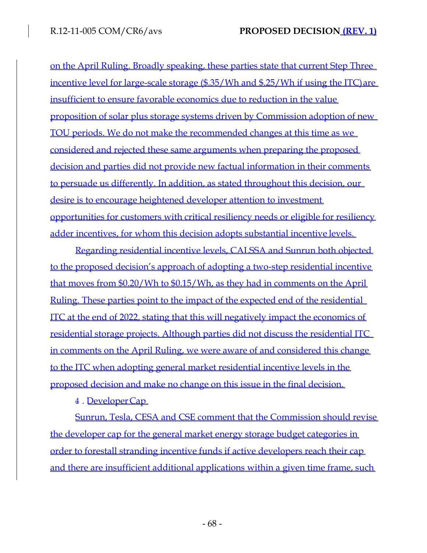on the April Ruling. Broadly speaking, these parties state that current Step Three incentive level for large-scale storage (\$.35/Wh and \$.25/Wh if using the ITC) are insufficient to ensure favorable economics due to reduction in the value proposition of solar plus storage systems driven by Commission adoption of new TOU periods. We do not make the recommended changes at this time as we considered and rejected these same arguments when preparing the proposed decision and parties did not provide new factual information in their comments to persuade us differently. In addition, as stated throughout this decision, our desire is to encourage heightened developer attention to investment opportunities for customers with critical resiliency needs or eligible for resiliency adder incentives, for whom this decision adopts substantial incentive levels.

Regarding residential incentive levels, CALSSA and Sunrun both objected to the proposed decision's approach of adopting a two-step residential incentive that moves from \$0.20/Wh to \$0.15/Wh, as they had in comments on the April Ruling. These parties point to the impact of the expected end of the residential ITC at the end of 2022, stating that this will negatively impact the economics of residential storage projects. Although parties did not discuss the residential ITC in comments on the April Ruling, we were aware of and considered this change to the ITC when adopting general market residential incentive levels in the proposed decision and make no change on this issue in the final decision.

4. . DeveloperCap

Sunrun, Tesla, CESA and CSE comment that the Commission should revise the developer cap for the general market energy storage budget categories in order to forestall stranding incentive funds if active developers reach their cap and there are insufficient additional applications within a given time frame, such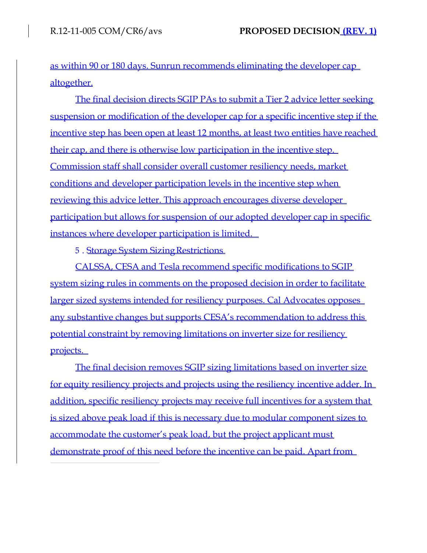as within 90 or 180 days. Sunrun recommends eliminating the developer cap altogether.

The final decision directs SGIP PAs to submit a Tier 2 advice letter seeking suspension or modification of the developer cap for a specific incentive step if the incentive step has been open at least 12 months, at least two entities have reached their cap, and there is otherwise low participation in the incentive step. Commission staff shall consider overall customer resiliency needs, market conditions and developer participation levels in the incentive step when reviewing this advice letter. This approach encourages diverse developer participation but allows for suspension of our adopted developer cap in specific instances where developer participation is limited.

5. Storage System Sizing Restrictions

CALSSA, CESA and Tesla recommend specific modifications to SGIP system sizing rules in comments on the proposed decision in order to facilitate larger sized systems intended for resiliency purposes. Cal Advocates opposes any substantive changes but supports CESA's recommendation to address this potential constraint by removing limitations on inverter size for resiliency projects.

The final decision removes SGIP sizing limitations based on inverter size for equity resiliency projects and projects using the resiliency incentive adder. In addition, specific resiliency projects may receive full incentives for a system that is sized above peak load if this is necessary due to modular component sizes to accommodate the customer's peak load, but the project applicant must demonstrate proof of this need before the incentive can be paid. Apart from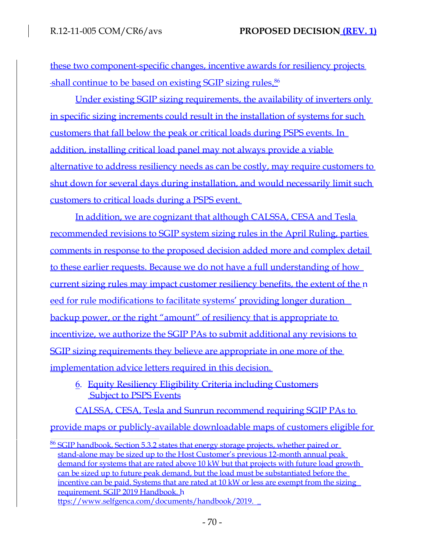these two component-specific changes, incentive awards for resiliency projects shall continue to be based on existing SGIP sizing rules.<sup>86</sup>

Under existing SGIP sizing requirements, the availability of inverters only in specific sizing increments could result in the installation of systems for such customers that fall below the peak or critical loads during PSPS events. In addition, installing critical load panel may not always provide a viable alternative to address resiliency needs as can be costly, may require customers to shut down for several days during installation, and would necessarily limit such customers to critical loads during a PSPS event.

In addition, we are cognizant that although CALSSA, CESA and Tesla recommended revisions to SGIP system sizing rules in the April Ruling, parties comments in response to the proposed decision added more and complex detail to these earlier requests. Because we do not have a full understanding of how current sizing rules may impact customer resiliency benefits, the extent of the n eed for rule modifications to facilitate systems' providing longer duration backup power, or the right "amount" of resiliency that is appropriate to incentivize, we authorize the SGIP PAs to submit additional any revisions to SGIP sizing requirements they believe are appropriate in one more of the implementation advice letters required in this decision.

6. Equity Resiliency Eligibility Criteria including Customers **Subject to PSPS Events** 

CALSSA, CESA, Tesla and Sunrun recommend requiring SGIP PAs to provide maps or publicly-available downloadable maps of customers eligible for

<sup>86</sup> SGIP handbook, Section 5.3.2 states that energy storage projects, whether paired or stand-alone may be sized up to the Host Customer's previous 12-month annual peak demand for systems that are rated above 10 kW but that projects with future load growth can be sized up to future peak demand, but the load must be substantiated before the incentive can be paid. Systems that are rated at 10 kW or less are exempt from the sizing requirement. SGIP 2019 Handbook. h [ttps://www.selfgenca.com/documents/handbook/2019.](http://www.selfgenca.com/documents/handbook/2019)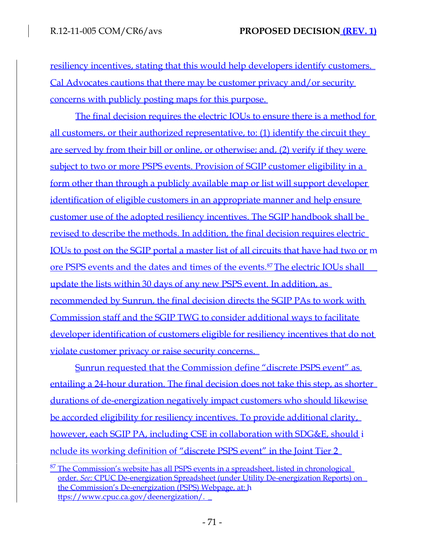resiliency incentives, stating that this would help developers identify customers. Cal Advocates cautions that there may be customer privacy and/or security concerns with publicly posting maps for this purpose.

The final decision requires the electric IOUs to ensure there is a method for all customers, or their authorized representative, to: (1) identify the circuit they are served by from their bill or online, or otherwise; and, (2) verify if they were subject to two or more PSPS events. Provision of SGIP customer eligibility in a form other than through a publicly available map or list will support developer identification of eligible customers in an appropriate manner and help ensure customer use of the adopted resiliency incentives. The SGIP handbook shall be revised to describe the methods. In addition, the final decision requires electric IOUs to post on the SGIP portal a master list of all circuits that have had two or m ore PSPS events and the dates and times of the events.<sup>87</sup>The electric IOUs shall update the lists within 30 days of any new PSPS event. In addition, as recommended by Sunrun, the final decision directs the SGIP PAs to work with Commission staff and the SGIP TWG to consider additional ways to facilitate developer identification of customers eligible for resiliency incentives that do not violate customer privacy or raise security concerns.

Sunrun requested that the Commission define "discrete PSPS event" as entailing a 24-hour duration. The final decision does not take this step, as shorter durations of de-energization negatively impact customers who should likewise be accorded eligibility for resiliency incentives. To provide additional clarity, however, each SGIP PA, including CSE in collaboration with SDG&E, should i nclude its working definition of "discrete PSPS event" in the Joint Tier 2

 $87$  The Commission's website has all PSPS events in a spreadsheet, listed in chronological order. *See:* CPUC De-energization Spreadsheet (under Utility De-energization Reports) on the Commission's De-energization (PSPS) Webpage, at: h [ttps://www.cpuc.ca.gov/deenergization/.](http://www.cpuc.ca.gov/deenergization/)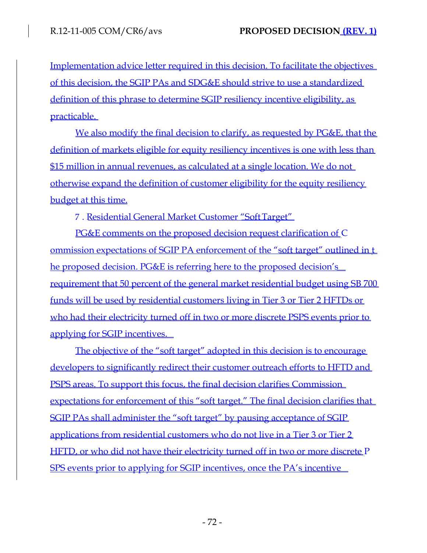Implementation advice letter required in this decision. To facilitate the objectives of this decision, the SGIP PAs and SDG&E should strive to use a standardized definition of this phrase to determine SGIP resiliency incentive eligibility, as practicable.

We also modify the final decision to clarify, as requested by PG&E, that the definition of markets eligible for equity resiliency incentives is one with less than \$15 million in annual revenues, as calculated at a single location. We do not otherwise expand the definition of customer eligibility for the equity resiliency budget at this time.

7. . Residential General Market Customer "SoftTarget"

PG&E comments on the proposed decision request clarification of C ommission expectations of SGIP PA enforcement of the "soft target" outlined in t he proposed decision. PG&E is referring here to the proposed decision's requirement that 50 percent of the general market residential budget using SB 700 funds will be used by residential customers living in Tier 3 or Tier 2 HFTDs or who had their electricity turned off in two or more discrete PSPS events prior to applying for SGIP incentives.

The objective of the "soft target" adopted in this decision is to encourage developers to significantly redirect their customer outreach efforts to HFTD and PSPS areas. To support this focus, the final decision clarifies Commission expectations for enforcement of this "soft target." The final decision clarifies that SGIP PAs shall administer the "soft target" by pausing acceptance of SGIP applications from residential customers who do not live in a Tier 3 or Tier 2 HFTD, or who did not have their electricity turned off in two or more discrete P SPS events prior to applying for SGIP incentives, once the PA's incentive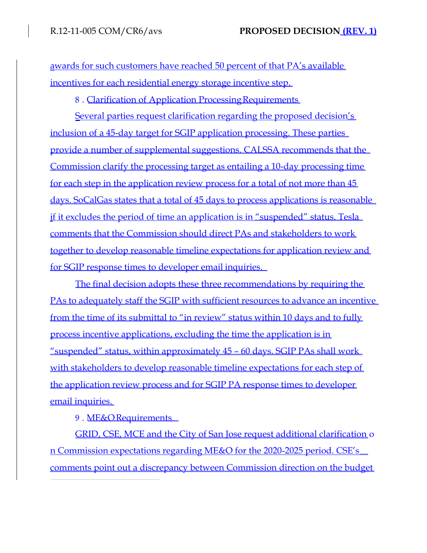awards for such customers have reached 50 percent of that PA's available incentives for each residential energy storage incentive step.

8. Clarification of Application Processing Requirements

Several parties request clarification regarding the proposed decision's inclusion of a 45-day target for SGIP application processing. These parties provide a number of supplemental suggestions. CALSSA recommends that the Commission clarify the processing target as entailing a 10-day processing time for each step in the application review process for a total of not more than 45 days. SoCalGas states that a total of 45 days to process applications is reasonable if it excludes the period of time an application is in "suspended" status. Tesla comments that the Commission should direct PAs and stakeholders to work together to develop reasonable timeline expectations for application review and for SGIP response times to developer email inquiries.

The final decision adopts these three recommendations by requiring the PAs to adequately staff the SGIP with sufficient resources to advance an incentive from the time of its submittal to "in review" status within 10 days and to fully process incentive applications, excluding the time the application is in "suspended" status, within approximately 45 – 60 days. SGIP PAs shall work with stakeholders to develop reasonable timeline expectations for each step of the application review process and for SGIP PA response times to developer email inquiries.

9. ME&ORequirements

GRID, CSE, MCE and the City of San Jose request additional clarification o n Commission expectations regarding ME&O for the 2020-2025 period. CSE's comments point out a discrepancy between Commission direction on the budget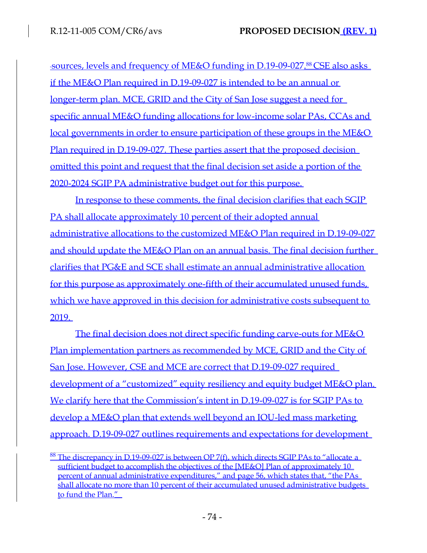sources, levels and frequency of ME&O funding in D.19-09-027.<sup>88</sup> CSE also asks if the ME&O Plan required in D.19-09-027 is intended to be an annual or longer-term plan. MCE, GRID and the City of San Jose suggest a need for specific annual ME&O funding allocations for low-income solar PAs, CCAs and local governments in order to ensure participation of these groups in the ME&O Plan required in D.19-09-027. These parties assert that the proposed decision omitted this point and request that the final decision set aside a portion of the 2020-2024 SGIP PA administrative budget out for this purpose.

In response to these comments, the final decision clarifies that each SGIP PA shall allocate approximately 10 percent of their adopted annual administrative allocations to the customized ME&O Plan required in D.19-09-027 and should update the ME&O Plan on an annual basis. The final decision further clarifies that PG&E and SCE shall estimate an annual administrative allocation for this purpose as approximately one-fifth of their accumulated unused funds, which we have approved in this decision for administrative costs subsequent to 2019.

The final decision does not direct specific funding carve-outs for ME&O Plan implementation partners as recommended by MCE, GRID and the City of San Jose. However, CSE and MCE are correct that D.19-09-027 required development of a "customized" equity resiliency and equity budget ME&O plan. We clarify here that the Commission's intent in D.19-09-027 is for SGIP PAs to develop a ME&O plan that extends well beyond an IOU-led mass marketing approach. D.19-09-027 outlines requirements and expectations for development

 $88$  The discrepancy in D.19-09-027 is between OP 7(f), which directs SGIP PAs to "allocate a sufficient budget to accomplish the objectives of the [ME&O] Plan of approximately 10 percent of annual administrative expenditures," and page 56, which states that, "the PAs shall allocate no more than 10 percent of their accumulated unused administrative budgets to fund the Plan."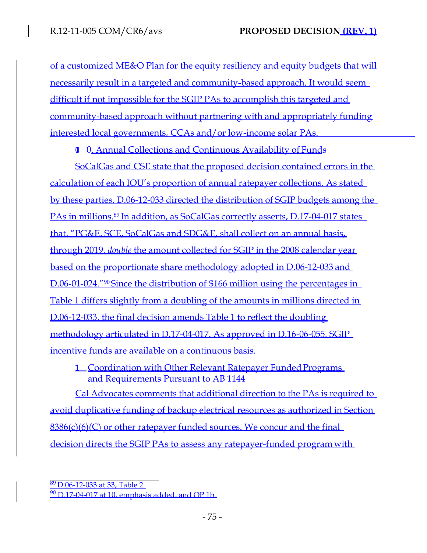of a customized ME&O Plan for the equity resiliency and equity budgets that will necessarily result in a targeted and community-based approach. It would seem difficult if not impossible for the SGIP PAs to accomplish this targeted and community-based approach without partnering with and appropriately funding interested local governments, CCAs and/or low-income solar PAs.

10. 0. Annual Collections and Continuous Availability of Funds

SoCalGas and CSE state that the proposed decision contained errors in the calculation of each IOU's proportion of annual ratepayer collections. As stated by these parties, D.06-12-033 directed the distribution of SGIP budgets among the PAs in millions.<sup>89</sup> In addition, as SoCalGas correctly asserts, D.17-04-017 states that, "PG&E, SCE, SoCalGas and SDG&E, shall collect on an annual basis, through 2019, *double* the amount collected for SGIP in the 2008 calendar year based on the proportionate share methodology adopted in D.06-12-033 and D.06-01-024."<sup>90</sup>Since the distribution of \$166 million using the percentages in Table 1 differs slightly from a doubling of the amounts in millions directed in D.06-12-033, the final decision amends Table 1 to reflect the doubling methodology articulated in D.17-04-017. As approved in D.16-06-055, SGIP incentive funds are available on a continuous basis.

1 Coordination with Other Relevant Ratepayer Funded Programs and Requirements Pursuant to AB 1144

Cal Advocates comments that additional direction to the PAs is required to avoid duplicative funding of backup electrical resources as authorized in Section 8386(c)(6)(C) or other ratepayer funded sources. We concur and the final decision directs the SGIP PAs to assess any ratepayer-funded program with

<sup>89</sup>D.06-12-033 at 33, Table 2.  $90$  D.17-04-017 at 10, emphasis added, and OP 1b.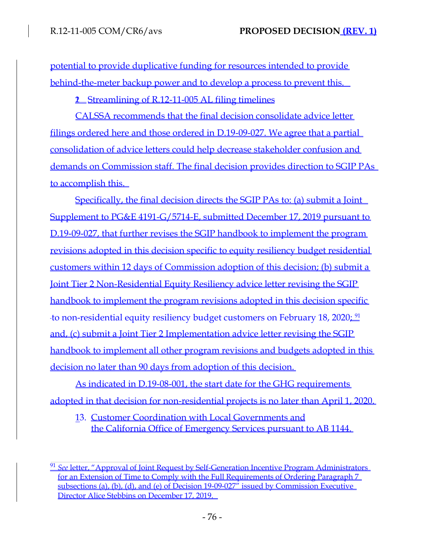potential to provide duplicative funding for resources intended to provide behind-the-meter backup power and to develop a process to prevent this.

**2** Streamlining of R.12-11-005 AL filing timelines

CALSSA recommends that the final decision consolidate advice letter filings ordered here and those ordered in D.19-09-027. We agree that a partial consolidation of advice letters could help decrease stakeholder confusion and demands on Commission staff. The final decision provides direction to SGIP PAs to accomplish this.

Specifically, the final decision directs the SGIP PAs to: (a) submit a Joint Supplement to PG&E 4191-G/5714-E, submitted December 17, 2019 pursuant to D.19-09-027, that further revises the SGIP handbook to implement the program revisions adopted in this decision specific to equity resiliency budget residential customers within 12 days of Commission adoption of this decision; (b) submit a Joint Tier 2 Non-Residential Equity Resiliency advice letter revising the SGIP handbook to implement the program revisions adopted in this decision specific to non-residential equity resiliency budget customers on February 18, 2020;  $\frac{91}{2}$ and, (c) submit a Joint Tier 2 Implementation advice letter revising the SGIP handbook to implement all other program revisions and budgets adopted in this decision no later than 90 days from adoption of this decision.

As indicated in D.19-08-001, the start date for the GHG requirements adopted in that decision for non-residential projects is no later than April 1, 2020.

13. Customer Coordination with Local Governments and the California Office of Emergency Services pursuant to AB 1144.

<sup>91</sup> *See* letter, "Approval of Joint Request by Self-Generation Incentive Program Administrators for an Extension of Time to Comply with the Full Requirements of Ordering Paragraph 7 subsections (a), (b), (d), and (e) of Decision 19-09-027" issued by Commission Executive Director Alice Stebbins on December 17, 2019.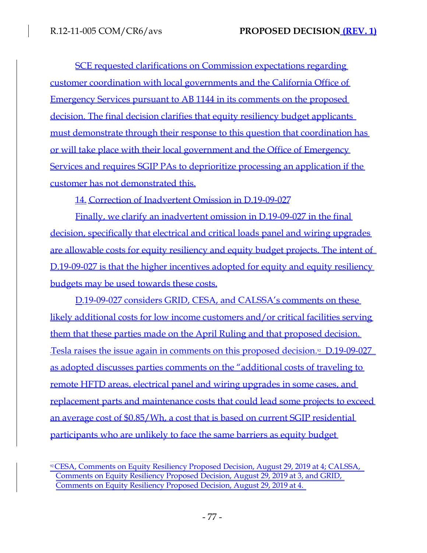SCE requested clarifications on Commission expectations regarding customer coordination with local governments and the California Office of Emergency Services pursuant to AB 1144 in its comments on the proposed decision. The final decision clarifies that equity resiliency budget applicants must demonstrate through their response to this question that coordination has or will take place with their local government and the Office of Emergency Services and requires SGIP PAs to deprioritize processing an application if the customer has not demonstrated this.

14. Correction of Inadvertent Omission in D.19-09-027

Finally, we clarify an inadvertent omission in D.19-09-027 in the final decision, specifically that electrical and critical loads panel and wiring upgrades are allowable costs for equity resiliency and equity budget projects. The intent of D.19-09-027 is that the higher incentives adopted for equity and equity resiliency budgets may be used towards these costs.

D.19-09-027 considers GRID, CESA, and CALSSA's comments on these likely additional costs for low income customers and/or critical facilities serving them that these parties made on the April Ruling and that proposed decision. Tesla raises the issue again in comments on this proposed decision.<sup>92</sup> D.19-09-027 as adopted discusses parties comments on the "additional costs of traveling to remote HFTD areas, electrical panel and wiring upgrades in some cases, and replacement parts and maintenance costs that could lead some projects to exceed an average cost of \$0.85/Wh, a cost that is based on current SGIP residential participants who are unlikely to face the same barriers as equity budget

<sup>92</sup>CESA, Comments on Equity Resiliency Proposed Decision, August 29, 2019 at 4; CALSSA, Comments on Equity Resiliency Proposed Decision, August 29, 2019 at 3, and GRID, Comments on Equity Resiliency Proposed Decision, August 29, 2019 at 4.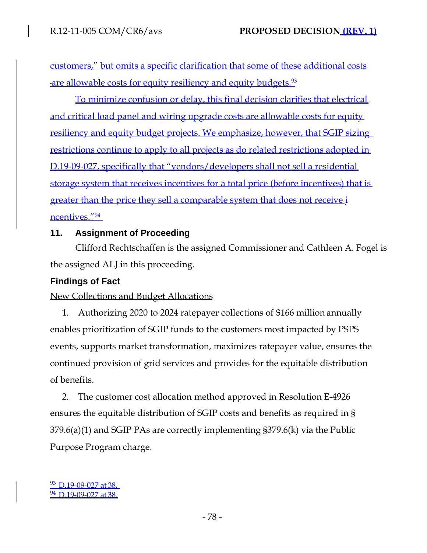customers," but omits a specific clarification that some of these additional costs are allowable costs for equity resiliency and equity budgets.<sup>93</sup>

To minimize confusion or delay, this final decision clarifies that electrical and critical load panel and wiring upgrade costs are allowable costs for equity resiliency and equity budget projects. We emphasize, however, that SGIP sizing restrictions continue to apply to all projects as do related restrictions adopted in D.19-09-027, specifically that "vendors/developers shall not sell a residential storage system that receives incentives for a total price (before incentives) that is greater than the price they sell a comparable system that does not receive i ncentives."<sup>94</sup>

### **11. Assignment of Proceeding**

Clifford Rechtschaffen is the assigned Commissioner and Cathleen A. Fogel is the assigned ALJ in this proceeding.

## **Findings of Fact**

New Collections and Budget Allocations

1. Authorizing 2020 to 2024 ratepayer collections of \$166 million annually enables prioritization of SGIP funds to the customers most impacted by PSPS events, supports market transformation, maximizes ratepayer value, ensures the continued provision of grid services and provides for the equitable distribution of benefits.

2. The customer cost allocation method approved in Resolution E-4926 ensures the equitable distribution of SGIP costs and benefits as required in § 379.6(a)(1) and SGIP PAs are correctly implementing §379.6(k) via the Public Purpose Program charge.

93 D.19-09-027 at 38. <sup>94</sup> D.19-09-027 at 38.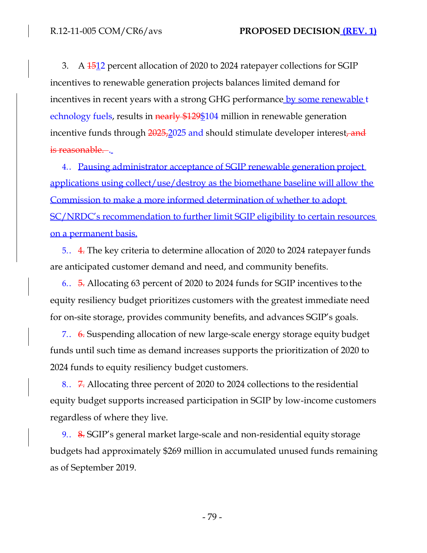3. A 1512 percent allocation of 2020 to 2024 ratepayer collections for SGIP incentives to renewable generation projects balances limited demand for incentives in recent years with a strong GHG performance by some renewable t echnology fuels, results in nearly \$129\$104 million in renewable generation incentive funds through 2025,2025 and should stimulate developer interest, and is reasonable...

4.. Pausing administrator acceptance of SGIP renewable generation project applications using collect/use/destroy as the biomethane baseline will allow the Commission to make a more informed determination of whether to adopt SC/NRDC's recommendation to further limit SGIP eligibility to certain resources on a permanent basis.

5.. 4. The key criteria to determine allocation of 2020 to 2024 ratepayerfunds are anticipated customer demand and need, and community benefits.

6.. 5. Allocating 63 percent of 2020 to 2024 funds for SGIP incentives tothe equity resiliency budget prioritizes customers with the greatest immediate need for on-site storage, provides community benefits, and advances SGIP's goals.

7.. 6. Suspending allocation of new large-scale energy storage equity budget funds until such time as demand increases supports the prioritization of 2020 to 2024 funds to equity resiliency budget customers.

8.. 7. Allocating three percent of 2020 to 2024 collections to the residential equity budget supports increased participation in SGIP by low-income customers regardless of where they live.

9.. 8. SGIP's general market large-scale and non-residential equity storage budgets had approximately \$269 million in accumulated unused funds remaining as of September 2019.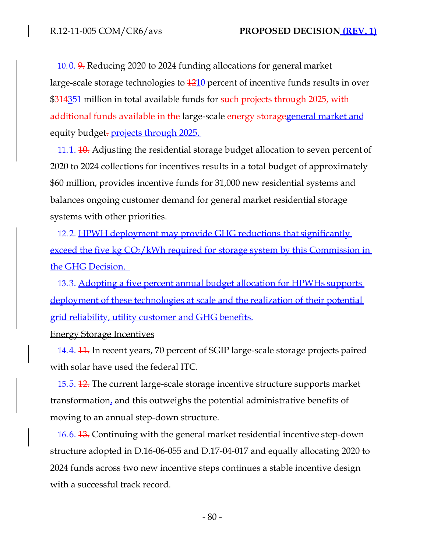10.0. 9. Reducing 2020 to 2024 funding allocations for general market large-scale storage technologies to  $\frac{1210}{2}$  percent of incentive funds results in over \$314351 million in total available funds for such projects through 2025, with additional funds available in the large-scale energy storagegeneral market and equity budget. **projects through 2025**.

11.1.  $10$ . Adjusting the residential storage budget allocation to seven percent of 2020 to 2024 collections for incentives results in a total budget of approximately \$60 million, provides incentive funds for 31,000 new residential systems and balances ongoing customer demand for general market residential storage systems with other priorities.

12.2. <u>HPWH deployment may provide GHG reductions that significantly</u> exceed the five kg CO<sub>2</sub>/kWh required for storage system by this Commission in the GHG Decision.

13.3. Adopting a five percent annual budget allocation for HPWHs supports deployment of these technologies at scale and the realization of their potential grid reliability, utility customer and GHG benefits.

Energy Storage Incentives

14.4. <del>11.</del> In recent years, 70 percent of SGIP large-scale storage projects paired with solar have used the federal ITC.

15.5. 12. The current large-scale storage incentive structure supports market transformation, and this outweighs the potential administrative benefits of moving to an annual step-down structure.

16.6. 13. Continuing with the general market residential incentive step-down structure adopted in D.16-06-055 and D.17-04-017 and equally allocating 2020 to 2024 funds across two new incentive steps continues a stable incentive design with a successful track record.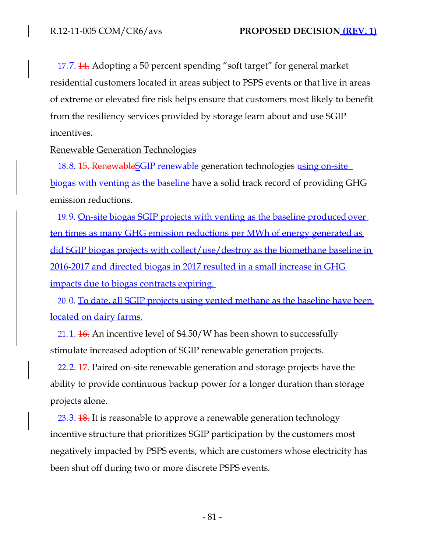17.7. 14. Adopting a 50 percent spending "soft target" for general market residential customers located in areas subject to PSPS events or that live in areas of extreme or elevated fire risk helps ensure that customers most likely to benefit from the resiliency services provided by storage learn about and use SGIP incentives.

Renewable Generation Technologies

18.8. 15. Renewable SGIP renewable generation technologies using on-site biogas with venting as the baseline have a solid track record of providing GHG emission reductions.

19.9. On-site biogas SGIP projects with venting as the baseline produced over ten times as many GHG emission reductions per MWh of energy generated as did SGIP biogas projects with collect/use/destroy as the biomethane baseline in 2016-2017 and directed biogas in 2017 resulted in a small increase in GHG impacts due to biogas contracts expiring.

20.0. To date, all SGIP projects using vented methane as the baseline have been located on dairy farms.

21.1.  $\frac{16}{16}$ . An incentive level of \$4.50/W has been shown to successfully stimulate increased adoption of SGIP renewable generation projects.

22.2. 17. Paired on-site renewable generation and storage projects have the ability to provide continuous backup power for a longer duration than storage projects alone.

23.3. **18.** It is reasonable to approve a renewable generation technology incentive structure that prioritizes SGIP participation by the customers most negatively impacted by PSPS events, which are customers whose electricity has been shut off during two or more discrete PSPS events.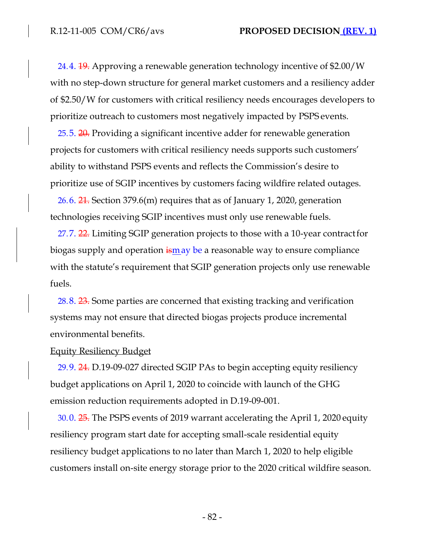24.4. 19. Approving a renewable generation technology incentive of \$2.00/W with no step-down structure for general market customers and a resiliency adder of \$2.50/W for customers with critical resiliency needs encourages developers to prioritize outreach to customers most negatively impacted by PSPS events.

25.5. 20. Providing a significant incentive adder for renewable generation projects for customers with critical resiliency needs supports such customers' ability to withstand PSPS events and reflects the Commission's desire to prioritize use of SGIP incentives by customers facing wildfire related outages.

26.6.  $21$ . Section 379.6(m) requires that as of January 1, 2020, generation technologies receiving SGIP incentives must only use renewable fuels.

27.7. 22. Limiting SGIP generation projects to those with a 10-year contractfor biogas supply and operation  $\frac{1}{2}$  is a reasonable way to ensure compliance with the statute's requirement that SGIP generation projects only use renewable fuels.

28.8. 23. Some parties are concerned that existing tracking and verification systems may not ensure that directed biogas projects produce incremental environmental benefits.

### Equity Resiliency Budget

29.9. 24. D.19-09-027 directed SGIP PAs to begin accepting equity resiliency budget applications on April 1, 2020 to coincide with launch of the GHG emission reduction requirements adopted in D.19-09-001.

30.0. 25. The PSPS events of 2019 warrant accelerating the April 1, 2020 equity resiliency program start date for accepting small-scale residential equity resiliency budget applications to no later than March 1, 2020 to help eligible customers install on-site energy storage prior to the 2020 critical wildfire season.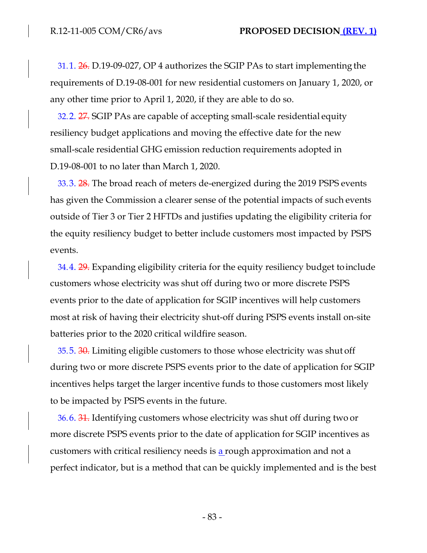31.1. 26. D.19-09-027, OP 4 authorizes the SGIP PAs to start implementing the requirements of D.19-08-001 for new residential customers on January 1, 2020, or any other time prior to April 1, 2020, if they are able to do so.

32.2. 27. SGIP PAs are capable of accepting small-scale residential equity resiliency budget applications and moving the effective date for the new small-scale residential GHG emission reduction requirements adopted in D.19-08-001 to no later than March 1, 2020.

33.3. 28. The broad reach of meters de-energized during the 2019 PSPS events has given the Commission a clearer sense of the potential impacts of such events outside of Tier 3 or Tier 2 HFTDs and justifies updating the eligibility criteria for the equity resiliency budget to better include customers most impacted by PSPS events.

34.4. 29. Expanding eligibility criteria for the equity resiliency budget toinclude customers whose electricity was shut off during two or more discrete PSPS events prior to the date of application for SGIP incentives will help customers most at risk of having their electricity shut-off during PSPS events install on-site batteries prior to the 2020 critical wildfire season.

35.5. 30. Limiting eligible customers to those whose electricity was shut off during two or more discrete PSPS events prior to the date of application for SGIP incentives helps target the larger incentive funds to those customers most likely to be impacted by PSPS events in the future.

36.6. 31. Identifying customers whose electricity was shut off during two or more discrete PSPS events prior to the date of application for SGIP incentives as customers with critical resiliency needs is  $a$  rough approximation and not a perfect indicator, but is a method that can be quickly implemented and is the best

- 83 -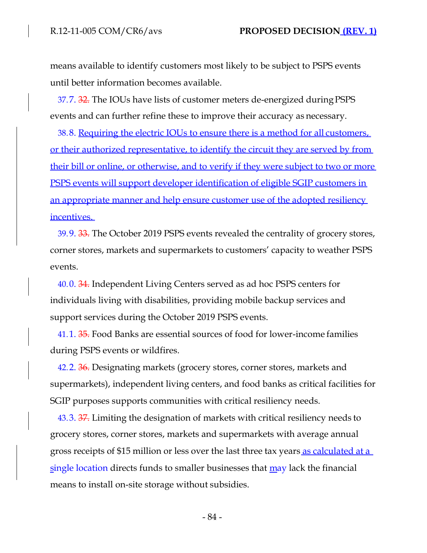means available to identify customers most likely to be subject to PSPS events until better information becomes available.

37.7. 32. The IOUs have lists of customer meters de-energized during PSPS events and can further refine these to improve their accuracy as necessary.

38.8. Requiring the electric IOUs to ensure there is a method for all customers, or their authorized representative, to identify the circuit they are served by from their bill or online, or otherwise, and to verify if they were subject to two or more PSPS events will support developer identification of eligible SGIP customers in an appropriate manner and help ensure customer use of the adopted resiliency incentives.

39.9. 33. The October 2019 PSPS events revealed the centrality of grocery stores, corner stores, markets and supermarkets to customers' capacity to weather PSPS events.

40.0. 34. Independent Living Centers served as ad hoc PSPS centers for individuals living with disabilities, providing mobile backup services and support services during the October 2019 PSPS events.

41.1. 35. Food Banks are essential sources of food for lower-income families during PSPS events or wildfires.

42.2. 36. Designating markets (grocery stores, corner stores, markets and supermarkets), independent living centers, and food banks as critical facilities for SGIP purposes supports communities with critical resiliency needs.

43.3. 37. Limiting the designation of markets with critical resiliency needs to grocery stores, corner stores, markets and supermarkets with average annual gross receipts of \$15 million or less over the last three tax years as calculated at a single location directs funds to smaller businesses that  $\frac{may}{day}$  lack the financial means to install on-site storage without subsidies.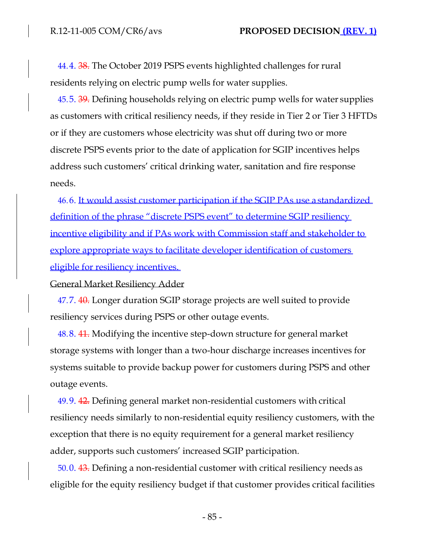44.4. 38. The October 2019 PSPS events highlighted challenges for rural residents relying on electric pump wells for water supplies.

45.5. 39. Defining households relying on electric pump wells for water supplies as customers with critical resiliency needs, if they reside in Tier 2 or Tier 3 HFTDs or if they are customers whose electricity was shut off during two or more discrete PSPS events prior to the date of application for SGIP incentives helps address such customers' critical drinking water, sanitation and fire response needs.

46.6. It would assist customer participation if the SGIP PAs use a standardized definition of the phrase "discrete PSPS event" to determine SGIP resiliency incentive eligibility and if PAs work with Commission staff and stakeholder to explore appropriate ways to facilitate developer identification of customers eligible for resiliency incentives.

General Market Resiliency Adder

47.7. 40. Longer duration SGIP storage projects are well suited to provide resiliency services during PSPS or other outage events.

48.8. 41. Modifying the incentive step-down structure for general market storage systems with longer than a two-hour discharge increases incentives for systems suitable to provide backup power for customers during PSPS and other outage events.

49.9. 42. Defining general market non-residential customers with critical resiliency needs similarly to non-residential equity resiliency customers, with the exception that there is no equity requirement for a general market resiliency adder, supports such customers' increased SGIP participation.

50.0. 43. Defining a non-residential customer with critical resiliency needs as eligible for the equity resiliency budget if that customer provides critical facilities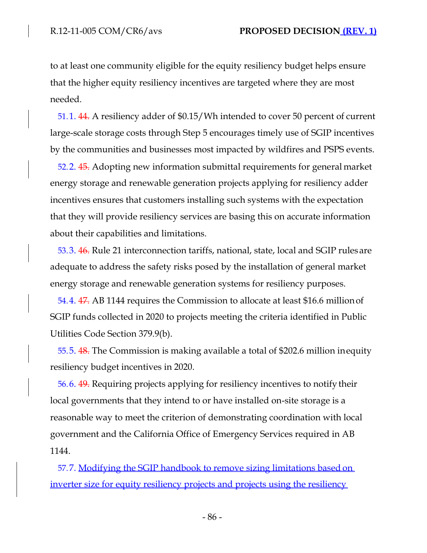to at least one community eligible for the equity resiliency budget helps ensure that the higher equity resiliency incentives are targeted where they are most needed.

51.1. 44. A resiliency adder of \$0.15/Wh intended to cover 50 percent of current large-scale storage costs through Step 5 encourages timely use of SGIP incentives by the communities and businesses most impacted by wildfires and PSPS events.

52.2. 45. Adopting new information submittal requirements for general market energy storage and renewable generation projects applying for resiliency adder incentives ensures that customers installing such systems with the expectation that they will provide resiliency services are basing this on accurate information about their capabilities and limitations.

53.3. 46. Rule 21 interconnection tariffs, national, state, local and SGIP rules are adequate to address the safety risks posed by the installation of general market energy storage and renewable generation systems for resiliency purposes.

54.4. 47. AB 1144 requires the Commission to allocate at least \$16.6 millionof SGIP funds collected in 2020 to projects meeting the criteria identified in Public Utilities Code Section 379.9(b).

55.5. 48. The Commission is making available a total of \$202.6 million inequity resiliency budget incentives in 2020.

56.6. 49. Requiring projects applying for resiliency incentives to notify their local governments that they intend to or have installed on-site storage is a reasonable way to meet the criterion of demonstrating coordination with local government and the California Office of Emergency Services required in AB 1144.

57.7. Modifying the SGIP handbook to remove sizing limitations based on inverter size for equity resiliency projects and projects using the resiliency

- 86 -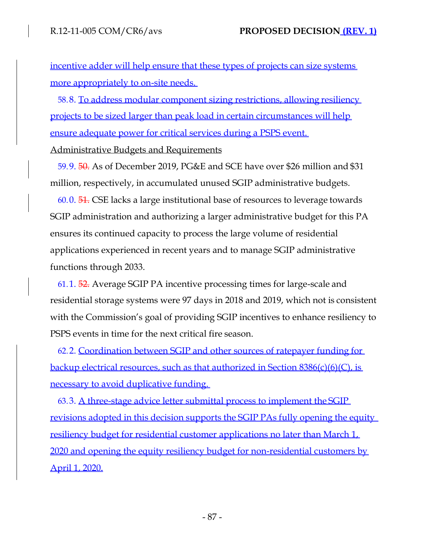incentive adder will help ensure that these types of projects can size systems more appropriately to on-site needs.

58.8. To address modular component sizing restrictions, allowing resiliency projects to be sized larger than peak load in certain circumstances will help ensure adequate power for critical services during a PSPS event.

Administrative Budgets and Requirements

59.9. 50. As of December 2019, PG&E and SCE have over \$26 million and \$31 million, respectively, in accumulated unused SGIP administrative budgets.

60.0. 51. CSE lacks a large institutional base of resources to leverage towards SGIP administration and authorizing a larger administrative budget for this PA ensures its continued capacity to process the large volume of residential applications experienced in recent years and to manage SGIP administrative functions through 2033.

61.1. 52. Average SGIP PA incentive processing times for large-scale and residential storage systems were 97 days in 2018 and 2019, which not is consistent with the Commission's goal of providing SGIP incentives to enhance resiliency to PSPS events in time for the next critical fire season.

62.2. Coordination between SGIP and other sources of ratepayer funding for backup electrical resources, such as that authorized in Section 8386(c)(6)(C), is necessary to avoid duplicative funding.

63.3. A three-stage advice letter submittal process to implement the SGIP revisions adopted in this decision supports the SGIP PAs fully opening the equity resiliency budget for residential customer applications no later than March 1, 2020 and opening the equity resiliency budget for non-residential customers by April 1, 2020.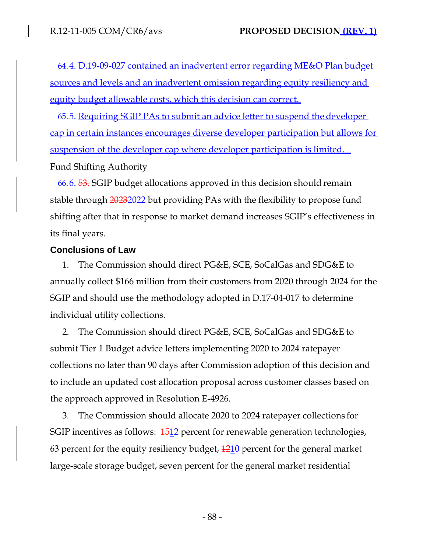64.4. D.19-09-027 contained an inadvertent error regarding ME&O Plan budget sources and levels and an inadvertent omission regarding equity resiliency and equity budget allowable costs, which this decision can correct.

65.5. Requiring SGIP PAs to submit an advice letter to suspend the developer cap in certain instances encourages diverse developer participation but allows for suspension of the developer cap where developer participation is limited. Fund Shifting Authority

66.6. 53. SGIP budget allocations approved in this decision should remain stable through 20232022 but providing PAs with the flexibility to propose fund shifting after that in response to market demand increases SGIP's effectiveness in its final years.

### **Conclusions of Law**

1. The Commission should direct PG&E, SCE, SoCalGas and SDG&E to annually collect \$166 million from their customers from 2020 through 2024 for the SGIP and should use the methodology adopted in D.17-04-017 to determine individual utility collections.

2. The Commission should direct PG&E, SCE, SoCalGas and SDG&E to submit Tier 1 Budget advice letters implementing 2020 to 2024 ratepayer collections no later than 90 days after Commission adoption of this decision and to include an updated cost allocation proposal across customer classes based on the approach approved in Resolution E-4926.

3. The Commission should allocate 2020 to 2024 ratepayer collections for SGIP incentives as follows:  $\frac{1512}{2}$  percent for renewable generation technologies, 63 percent for the equity resiliency budget,  $\frac{1210}{2}$  percent for the general market large-scale storage budget, seven percent for the general market residential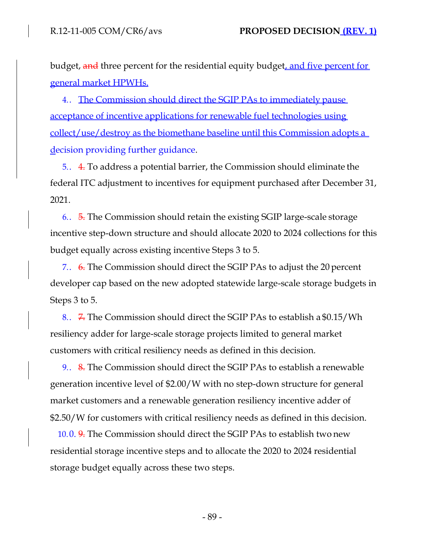budget, and three percent for the residential equity budget, and five percent for general market HPWHs.

4. The Commission should direct the SGIP PAs to immediately pause acceptance of incentive applications for renewable fuel technologies using collect/use/destroy as the biomethane baseline until this Commission adopts a decision providing further guidance.

5.. 4. To address a potential barrier, the Commission should eliminate the federal ITC adjustment to incentives for equipment purchased after December 31, 2021.

6.. 5. The Commission should retain the existing SGIP large-scale storage incentive step-down structure and should allocate 2020 to 2024 collections for this budget equally across existing incentive Steps 3 to 5.

7.. 6. The Commission should direct the SGIP PAs to adjust the 20 percent developer cap based on the new adopted statewide large-scale storage budgets in Steps 3 to 5.

8.. 7. The Commission should direct the SGIP PAs to establish a \$0.15/Wh resiliency adder for large-scale storage projects limited to general market customers with critical resiliency needs as defined in this decision.

9.. 8. The Commission should direct the SGIP PAs to establish a renewable generation incentive level of \$2.00/W with no step-down structure for general market customers and a renewable generation resiliency incentive adder of \$2.50/W for customers with critical resiliency needs as defined in this decision.

10.0. 9. The Commission should direct the SGIP PAs to establish two new residential storage incentive steps and to allocate the 2020 to 2024 residential storage budget equally across these two steps.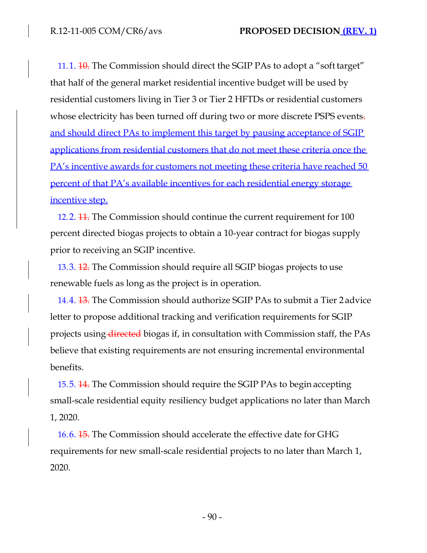11.1. <del>10.</del> The Commission should direct the SGIP PAs to adopt a "soft target" that half of the general market residential incentive budget will be used by residential customers living in Tier 3 or Tier 2 HFTDs or residential customers whose electricity has been turned off during two or more discrete PSPS events. and should direct PAs to implement this target by pausing acceptance of SGIP applications from residential customers that do not meet these criteria once the PA's incentive awards for customers not meeting these criteria have reached 50 percent of that PA's available incentives for each residential energy storage incentive step.

12.2. 11. The Commission should continue the current requirement for 100 percent directed biogas projects to obtain a 10-year contract for biogas supply prior to receiving an SGIP incentive.

13.3. 12. The Commission should require all SGIP biogas projects to use renewable fuels as long as the project is in operation.

14.4. 13. The Commission should authorize SGIP PAs to submit a Tier 2 advice letter to propose additional tracking and verification requirements for SGIP projects using directed biogas if, in consultation with Commission staff, the PAs believe that existing requirements are not ensuring incremental environmental benefits.

15.5. 14. The Commission should require the SGIP PAs to begin accepting small-scale residential equity resiliency budget applications no later than March 1, 2020.

16.6. 15. The Commission should accelerate the effective date for GHG requirements for new small-scale residential projects to no later than March 1, 2020.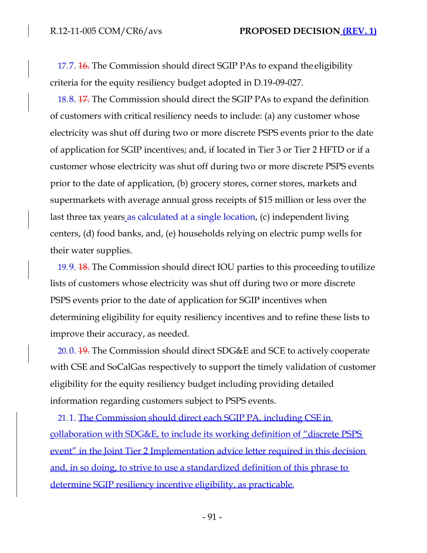17.7. 16. The Commission should direct SGIP PAs to expand the eligibility criteria for the equity resiliency budget adopted in D.19-09-027.

18.8. 17. The Commission should direct the SGIP PAs to expand the definition of customers with critical resiliency needs to include: (a) any customer whose electricity was shut off during two or more discrete PSPS events prior to the date of application for SGIP incentives; and, if located in Tier 3 or Tier 2 HFTD or if a customer whose electricity was shut off during two or more discrete PSPS events prior to the date of application, (b) grocery stores, corner stores, markets and supermarkets with average annual gross receipts of \$15 million or less over the last three tax years as calculated at a single location, (c) independent living centers, (d) food banks, and, (e) households relying on electric pump wells for their water supplies.

19.9. 18. The Commission should direct IOU parties to this proceeding toutilize lists of customers whose electricity was shut off during two or more discrete PSPS events prior to the date of application for SGIP incentives when determining eligibility for equity resiliency incentives and to refine these lists to improve their accuracy, as needed.

20.0. 19. The Commission should direct SDG&E and SCE to actively cooperate with CSE and SoCalGas respectively to support the timely validation of customer eligibility for the equity resiliency budget including providing detailed information regarding customers subject to PSPS events.

21.1. The Commission should direct each SGIP PA, including CSE in collaboration with SDG&E, to include its working definition of "discrete PSPS event" in the Joint Tier 2 Implementation advice letter required in this decision and, in so doing, to strive to use a standardized definition of this phrase to determine SGIP resiliency incentive eligibility, as practicable.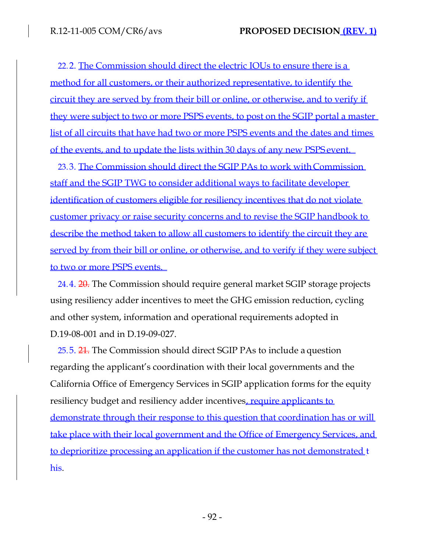22.2. The Commission should direct the electric IOUs to ensure there is a method for all customers, or their authorized representative, to identify the circuit they are served by from their bill or online, or otherwise, and to verify if they were subject to two or more PSPS events, to post on the SGIP portal a master list of all circuits that have had two or more PSPS events and the dates and times of the events, and to update the lists within 30 days of any new PSPS event.

23.3. The Commission should direct the SGIP PAs to work with Commission staff and the SGIP TWG to consider additional ways to facilitate developer identification of customers eligible for resiliency incentives that do not violate customer privacy or raise security concerns and to revise the SGIP handbook to describe the method taken to allow all customers to identify the circuit they are served by from their bill or online, or otherwise, and to verify if they were subject to two or more PSPS events.

24.4. 20. The Commission should require general market SGIP storage projects using resiliency adder incentives to meet the GHG emission reduction, cycling and other system, information and operational requirements adopted in D.19-08-001 and in D.19-09-027.

25.5. 24. The Commission should direct SGIP PAs to include a question regarding the applicant's coordination with their local governments and the California Office of Emergency Services in SGIP application forms for the equity resiliency budget and resiliency adder incentives, require applicants to demonstrate through their response to this question that coordination has or will take place with their local government and the Office of Emergency Services, and to deprioritize processing an application if the customer has not demonstrated t his.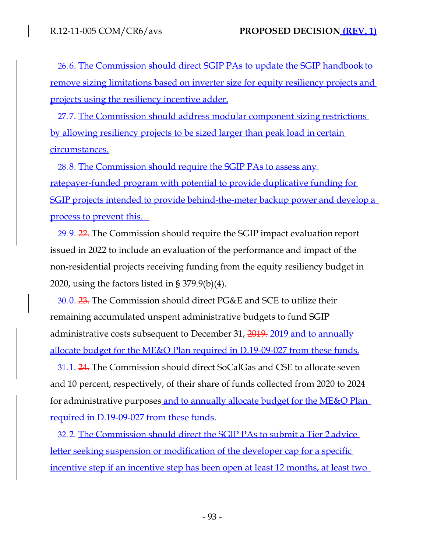26.6. The Commission should direct SGIP PAs to update the SGIP handbook to remove sizing limitations based on inverter size for equity resiliency projects and projects using the resiliency incentive adder.

27.7. The Commission should address modular component sizing restrictions by allowing resiliency projects to be sized larger than peak load in certain circumstances.

28.8. The Commission should require the SGIP PAs to assess any ratepayer-funded program with potential to provide duplicative funding for SGIP projects intended to provide behind-the-meter backup power and develop a process to prevent this.

29.9. 22. The Commission should require the SGIP impact evaluation report issued in 2022 to include an evaluation of the performance and impact of the non-residential projects receiving funding from the equity resiliency budget in 2020, using the factors listed in § 379.9(b)(4).

30.0. 23. The Commission should direct PG&E and SCE to utilize their remaining accumulated unspent administrative budgets to fund SGIP administrative costs subsequent to December 31, 2019. 2019 and to annually allocate budget for the ME&O Plan required in D.19-09-027 from these funds.

31.1. 24. The Commission should direct SoCalGas and CSE to allocate seven and 10 percent, respectively, of their share of funds collected from 2020 to 2024 for administrative purposes and to annually allocate budget for the ME&O Plan required in D.19-09-027 from these funds.

32.2. The Commission should direct the SGIP PAs to submit a Tier 2 advice letter seeking suspension or modification of the developer cap for a specific incentive step if an incentive step has been open at least 12 months, at least two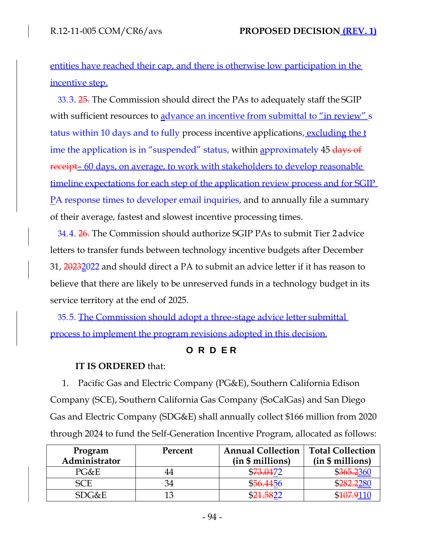entities have reached their cap, and there is otherwise low participation in the incentive step.

33.3. 25. The Commission should direct the PAs to adequately staff the SGIP with sufficient resources to advance an incentive from submittal to "in review" s tatus within 10 days and to fully process incentive applications, excluding the t ime the application is in "suspended" status, within approximately 45 days of receipt– 60 days, on average, to work with stakeholders to develop reasonable timeline expectations for each step of the application review process and for SGIP PA response times to developer email inquiries, and to annually file a summary of their average, fastest and slowest incentive processing times.

34.4. 26. The Commission should authorize SGIP PAs to submit Tier 2 advice letters to transfer funds between technology incentive budgets after December 31, 20232022 and should direct a PA to submit an advice letter if it has reason to believe that there are likely to be unreserved funds in a technology budget in its service territory at the end of 2025.

35.5. The Commission should adopt a three-stage advice letter submittal process to implement the program revisions adopted in this decision.

# **O R D E R**

# **IT IS ORDERED** that:

1. Pacific Gas and Electric Company (PG&E), Southern California Edison Company (SCE), Southern California Gas Company (SoCalGas) and San Diego Gas and Electric Company (SDG&E) shall annually collect \$166 million from 2020 through 2024 to fund the Self-Generation Incentive Program, allocated as follows:

| Program<br>Administrator | Percent | <b>Annual Collection</b><br>(in \$ millions) | <b>Total Collection</b><br>(in \$ millions) |
|--------------------------|---------|----------------------------------------------|---------------------------------------------|
| PG&E                     |         | \$73.0472                                    | \$365.2360                                  |
| <b>SCE</b>               |         | \$56,4456                                    | \$ <del>282.2</del> 280                     |
| SDG&E                    |         |                                              | \$ <del>107.9</del> 110                     |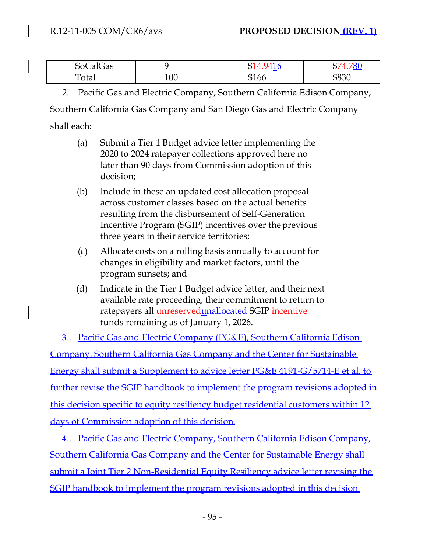| $\sim$<br>$\Omega$<br>CalGas<br>◡◡ |     |            |                  |
|------------------------------------|-----|------------|------------------|
| Total                              | 100 | $\sim$ 100 | $\Omega$<br>DOSU |

2. Pacific Gas and Electric Company, Southern California Edison Company,

Southern California Gas Company and San Diego Gas and Electric Company

shall each:

- (a) Submit a Tier 1 Budget advice letter implementing the 2020 to 2024 ratepayer collections approved here no later than 90 days from Commission adoption of this decision;
- (b) Include in these an updated cost allocation proposal across customer classes based on the actual benefits resulting from the disbursement of Self-Generation Incentive Program (SGIP) incentives over theprevious three years in their service territories;
- (c) Allocate costs on a rolling basis annually to account for changes in eligibility and market factors, until the program sunsets; and
- (d) Indicate in the Tier 1 Budget advice letter, and theirnext available rate proceeding, their commitment to return to ratepayers all unreserved unallocated SGIP incentive funds remaining as of January 1, 2026.

3.. Pacific Gas and Electric Company (PG&E), Southern California Edison Company, Southern California Gas Company and the Center for Sustainable Energy shall submit a Supplement to advice letter PG&E 4191-G/5714-E et al. to further revise the SGIP handbook to implement the program revisions adopted in this decision specific to equity resiliency budget residential customers within 12 days of Commission adoption of this decision.

4. Pacific Gas and Electric Company, Southern California Edison Company, Southern California Gas Company and the Center for Sustainable Energy shall submit a Joint Tier 2 Non-Residential Equity Resiliency advice letter revising the SGIP handbook to implement the program revisions adopted in this decision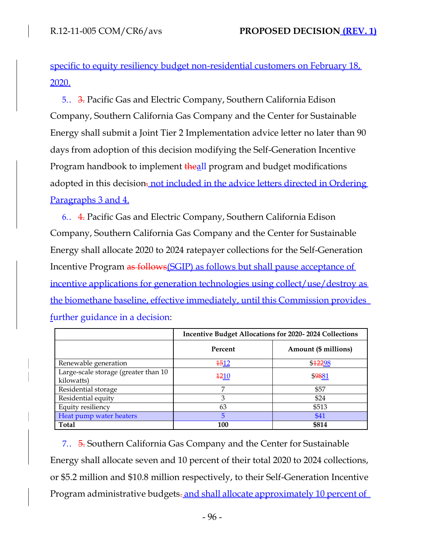specific to equity resiliency budget non-residential customers on February 18, 2020.

5.. 3. Pacific Gas and Electric Company, Southern California Edison Company, Southern California Gas Company and the Center for Sustainable Energy shall submit a Joint Tier 2 Implementation advice letter no later than 90 days from adoption of this decision modifying the Self-Generation Incentive Program handbook to implement theall program and budget modifications adopted in this decision. not included in the advice letters directed in Ordering Paragraphs 3 and 4.

6.. 4. Pacific Gas and Electric Company, Southern California Edison Company, Southern California Gas Company and the Center for Sustainable Energy shall allocate 2020 to 2024 ratepayer collections for the Self-Generation Incentive Program as follows(SGIP) as follows but shall pause acceptance of incentive applications for generation technologies using collect/use/destroy as the biomethane baseline, effective immediately, until this Commission provides further guidance in a decision:

|                                                    | <b>Incentive Budget Allocations for 2020-2024 Collections</b> |                      |
|----------------------------------------------------|---------------------------------------------------------------|----------------------|
|                                                    | Percent                                                       | Amount (\$ millions) |
| Renewable generation                               | 1512                                                          | \$12298              |
| Large-scale storage (greater than 10<br>kilowatts) | <u>1210</u>                                                   | \$9881               |
| Residential storage                                | 7                                                             | \$57                 |
| Residential equity                                 | 3                                                             | \$24                 |
| Equity resiliency                                  | 63                                                            | \$513                |
| Heat pump water heaters                            | 5                                                             | \$41                 |
| <b>Total</b>                                       | 100                                                           | \$814                |

7.. 5. Southern California Gas Company and the Center for Sustainable Energy shall allocate seven and 10 percent of their total 2020 to 2024 collections, or \$5.2 million and \$10.8 million respectively, to their Self-Generation Incentive Program administrative budgets-and shall allocate approximately 10 percent of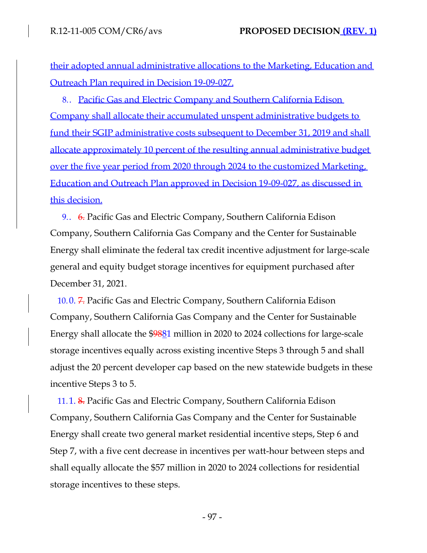their adopted annual administrative allocations to the Marketing, Education and Outreach Plan required in Decision 19-09-027.

8.. Pacific Gas and Electric Company and Southern California Edison Company shall allocate their accumulated unspent administrative budgets to fund their SGIP administrative costs subsequent to December 31, 2019 and shall allocate approximately 10 percent of the resulting annual administrative budget over the five year period from 2020 through 2024 to the customized Marketing, Education and Outreach Plan approved in Decision 19-09-027, as discussed in this decision.

9.. 6. Pacific Gas and Electric Company, Southern California Edison Company, Southern California Gas Company and the Center for Sustainable Energy shall eliminate the federal tax credit incentive adjustment for large-scale general and equity budget storage incentives for equipment purchased after December 31, 2021.

10.0. 7. Pacific Gas and Electric Company, Southern California Edison Company, Southern California Gas Company and the Center for Sustainable Energy shall allocate the \$9881 million in 2020 to 2024 collections for large-scale storage incentives equally across existing incentive Steps 3 through 5 and shall adjust the 20 percent developer cap based on the new statewide budgets in these incentive Steps 3 to 5.

11.1. 8. Pacific Gas and Electric Company, Southern California Edison Company, Southern California Gas Company and the Center for Sustainable Energy shall create two general market residential incentive steps, Step 6 and Step 7, with a five cent decrease in incentives per watt-hour between steps and shall equally allocate the \$57 million in 2020 to 2024 collections for residential storage incentives to these steps.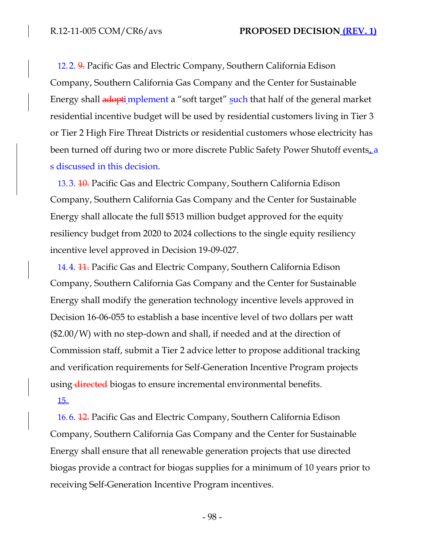12.2. 9. Pacific Gas and Electric Company, Southern California Edison Company, Southern California Gas Company and the Center for Sustainable Energy shall adopti mplement a "soft target" such that half of the general market residential incentive budget will be used by residential customers living in Tier 3 or Tier 2 High Fire Threat Districts or residential customers whose electricity has been turned off during two or more discrete Public Safety Power Shutoff events<sub><sup>4</sub>a</sup></sub> s discussed in this decision.

13.3. <del>10.</del> Pacific Gas and Electric Company, Southern California Edison Company, Southern California Gas Company and the Center for Sustainable Energy shall allocate the full \$513 million budget approved for the equity resiliency budget from 2020 to 2024 collections to the single equity resiliency incentive level approved in Decision 19-09-027.

14.4. <del>11.</del> Pacific Gas and Electric Company, Southern California Edison Company, Southern California Gas Company and the Center for Sustainable Energy shall modify the generation technology incentive levels approved in Decision 16-06-055 to establish a base incentive level of two dollars per watt (\$2.00/W) with no step-down and shall, if needed and at the direction of Commission staff, submit a Tier 2 advice letter to propose additional tracking and verification requirements for Self-Generation Incentive Program projects using directed biogas to ensure incremental environmental benefits.

### 15.

16.6. 12. Pacific Gas and Electric Company, Southern California Edison Company, Southern California Gas Company and the Center for Sustainable Energy shall ensure that all renewable generation projects that use directed biogas provide a contract for biogas supplies for a minimum of 10 years prior to receiving Self-Generation Incentive Program incentives.

- 98 -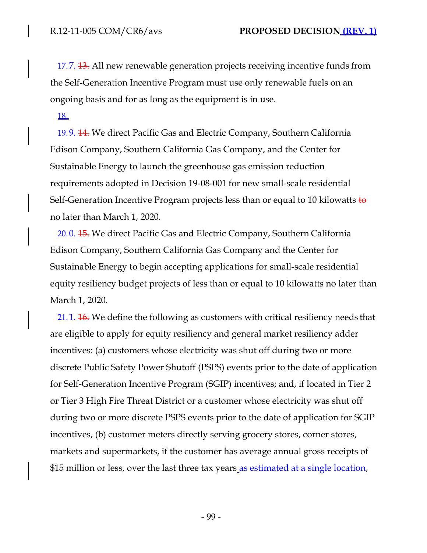17.7. <del>13.</del> All new renewable generation projects receiving incentive funds from the Self-Generation Incentive Program must use only renewable fuels on an ongoing basis and for as long as the equipment is in use.

### 18.

19.9. 14. We direct Pacific Gas and Electric Company, Southern California Edison Company, Southern California Gas Company, and the Center for Sustainable Energy to launch the greenhouse gas emission reduction requirements adopted in Decision 19-08-001 for new small-scale residential Self-Generation Incentive Program projects less than or equal to 10 kilowatts  $\frac{1}{10}$ no later than March 1, 2020.

20.0. 15. We direct Pacific Gas and Electric Company, Southern California Edison Company, Southern California Gas Company and the Center for Sustainable Energy to begin accepting applications for small-scale residential equity resiliency budget projects of less than or equal to 10 kilowatts no later than March 1, 2020.

21.1. <del>16.</del> We define the following as customers with critical resiliency needs that are eligible to apply for equity resiliency and general market resiliency adder incentives: (a) customers whose electricity was shut off during two or more discrete Public Safety Power Shutoff (PSPS) events prior to the date of application for Self-Generation Incentive Program (SGIP) incentives; and, if located in Tier 2 or Tier 3 High Fire Threat District or a customer whose electricity was shut off during two or more discrete PSPS events prior to the date of application for SGIP incentives, (b) customer meters directly serving grocery stores, corner stores, markets and supermarkets, if the customer has average annual gross receipts of \$15 million or less, over the last three tax years as estimated at a single location,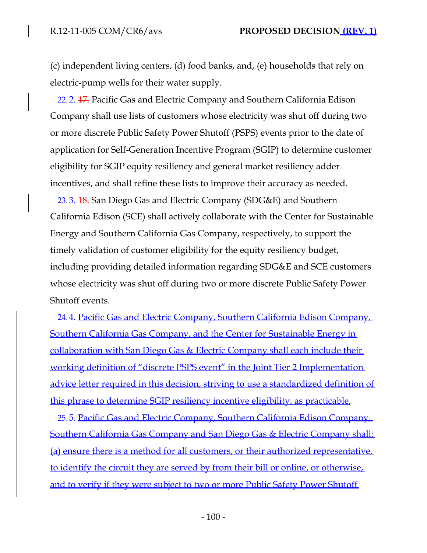(c) independent living centers, (d) food banks, and, (e) households that rely on electric-pump wells for their water supply.

22.2. 17. Pacific Gas and Electric Company and Southern California Edison Company shall use lists of customers whose electricity was shut off during two or more discrete Public Safety Power Shutoff (PSPS) events prior to the date of application for Self-Generation Incentive Program (SGIP) to determine customer eligibility for SGIP equity resiliency and general market resiliency adder incentives, and shall refine these lists to improve their accuracy as needed.

23.3. 18. San Diego Gas and Electric Company (SDG&E) and Southern California Edison (SCE) shall actively collaborate with the Center for Sustainable Energy and Southern California Gas Company, respectively, to support the timely validation of customer eligibility for the equity resiliency budget, including providing detailed information regarding SDG&E and SCE customers whose electricity was shut off during two or more discrete Public Safety Power Shutoff events.

24.4. Pacific Gas and Electric Company, Southern California Edison Company, Southern California Gas Company, and the Center for Sustainable Energy in collaboration with San Diego Gas & Electric Company shall each include their working definition of "discrete PSPS event" in the Joint Tier 2 Implementation advice letter required in this decision, striving to use a standardized definition of this phrase to determine SGIP resiliency incentive eligibility, as practicable.

25.5. Pacific Gas and Electric Company, Southern California Edison Company, Southern California Gas Company and San Diego Gas & Electric Company shall: (a) ensure there is a method for all customers, or their authorized representative, to identify the circuit they are served by from their bill or online, or otherwise, and to verify if they were subject to two or more Public Safety Power Shutoff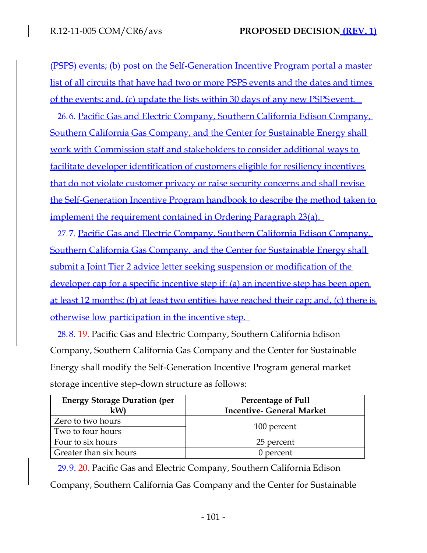(PSPS) events; (b) post on the Self-Generation Incentive Program portal a master list of all circuits that have had two or more PSPS events and the dates and times of the events; and, (c) update the lists within 30 days of any new PSPS event.

26.6. Pacific Gas and Electric Company, Southern California Edison Company, Southern California Gas Company, and the Center for Sustainable Energy shall work with Commission staff and stakeholders to consider additional ways to facilitate developer identification of customers eligible for resiliency incentives that do not violate customer privacy or raise security concerns and shall revise the Self-Generation Incentive Program handbook to describe the method taken to implement the requirement contained in Ordering Paragraph 23(a).

27.7. Pacific Gas and Electric Company, Southern California Edison Company, Southern California Gas Company, and the Center for Sustainable Energy shall submit a Joint Tier 2 advice letter seeking suspension or modification of the developer cap for a specific incentive step if: (a) an incentive step has been open at least 12 months; (b) at least two entities have reached their cap; and, (c) there is otherwise low participation in the incentive step.

28.8. 19. Pacific Gas and Electric Company, Southern California Edison Company, Southern California Gas Company and the Center for Sustainable Energy shall modify the Self-Generation Incentive Program general market storage incentive step-down structure as follows:

| <b>Energy Storage Duration (per</b> | <b>Percentage of Full</b>        |  |
|-------------------------------------|----------------------------------|--|
| kW)                                 | <b>Incentive- General Market</b> |  |
| Zero to two hours                   |                                  |  |
| Two to four hours                   | 100 percent                      |  |
| Four to six hours                   | 25 percent                       |  |
| Greater than six hours              | 0 percent                        |  |

29.9. 20. Pacific Gas and Electric Company, Southern California Edison Company, Southern California Gas Company and the Center for Sustainable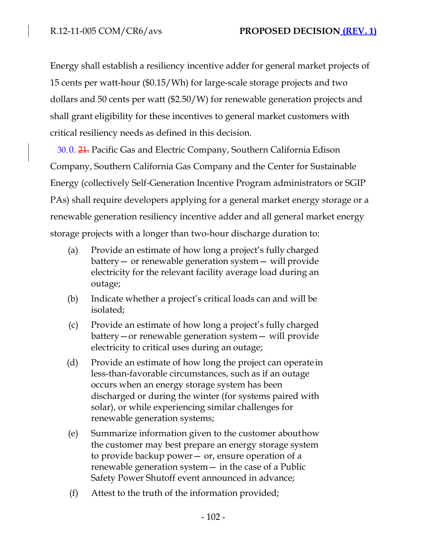Energy shall establish a resiliency incentive adder for general market projects of 15 cents per watt-hour (\$0.15/Wh) for large-scale storage projects and two dollars and 50 cents per watt (\$2.50/W) for renewable generation projects and shall grant eligibility for these incentives to general market customers with critical resiliency needs as defined in this decision.

30.0. 21. Pacific Gas and Electric Company, Southern California Edison Company, Southern California Gas Company and the Center for Sustainable Energy (collectively Self-Generation Incentive Program administrators or SGIP PAs) shall require developers applying for a general market energy storage or a renewable generation resiliency incentive adder and all general market energy storage projects with a longer than two-hour discharge duration to:

- (a) Provide an estimate of how long a project's fully charged battery— or renewable generation system— will provide electricity for the relevant facility average load during an outage;
- (b) Indicate whether a project's critical loads can and will be isolated;
- (c) Provide an estimate of how long a project's fully charged battery—or renewable generation system— will provide electricity to critical uses during an outage;
- (d) Provide an estimate of how long the project can operate in less-than-favorable circumstances, such as if an outage occurs when an energy storage system has been discharged or during the winter (for systems paired with solar), or while experiencing similar challenges for renewable generation systems;
- (e) Summarize information given to the customer abouthow the customer may best prepare an energy storage system to provide backup power— or, ensure operation of a renewable generation system— in the case of a Public Safety Power Shutoff event announced in advance;
- (f) Attest to the truth of the information provided;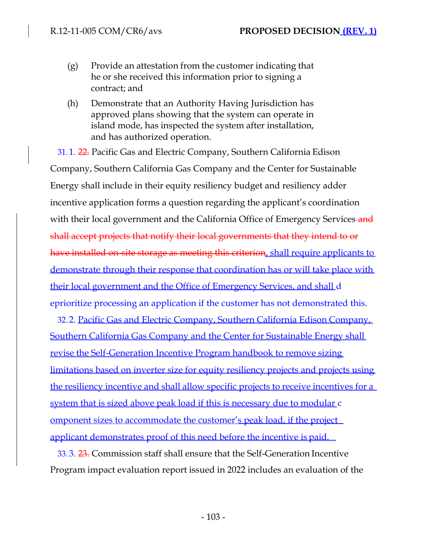- (g) Provide an attestation from the customer indicating that he or she received this information prior to signing a contract; and
- (h) Demonstrate that an Authority Having Jurisdiction has approved plans showing that the system can operate in island mode, has inspected the system after installation, and has authorized operation.

31.1. 22. Pacific Gas and Electric Company, Southern California Edison Company, Southern California Gas Company and the Center for Sustainable Energy shall include in their equity resiliency budget and resiliency adder incentive application forms a question regarding the applicant's coordination with their local government and the California Office of Emergency Services-and shall accept projects that notify their local governments that they intend to or have installed on-site storage as meeting this criterion, shall require applicants to demonstrate through their response that coordination has or will take place with their local government and the Office of Emergency Services, and shall d eprioritize processing an application if the customer has not demonstrated this.

32.2. Pacific Gas and Electric Company, Southern California Edison Company, Southern California Gas Company and the Center for Sustainable Energy shall revise the Self-Generation Incentive Program handbook to remove sizing limitations based on inverter size for equity resiliency projects and projects using the resiliency incentive and shall allow specific projects to receive incentives for a system that is sized above peak load if this is necessary due to modular c omponent sizes to accommodate the customer's peak load, if the project applicant demonstrates proof of this need before the incentive is paid.

33.3. 23. Commission staff shall ensure that the Self-Generation Incentive Program impact evaluation report issued in 2022 includes an evaluation of the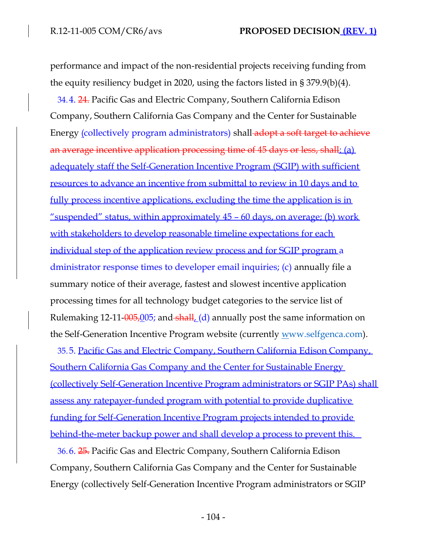performance and impact of the non-residential projects receiving funding from the equity resiliency budget in 2020, using the factors listed in § 379.9(b)(4).

34.4. 24. Pacific Gas and Electric Company, Southern California Edison Company, Southern California Gas Company and the Center for Sustainable Energy (collectively program administrators) shall adopt a soft target to achieve an average incentive application processing time of 45 days or less, shall: (a) adequately staff the Self-Generation Incentive Program (SGIP) with sufficient resources to advance an incentive from submittal to review in 10 days and to fully process incentive applications, excluding the time the application is in "suspended" status, within approximately 45 – 60 days, on average; (b) work with stakeholders to develop reasonable timeline expectations for each individual step of the application review process and for SGIP program a dministrator response times to developer email inquiries; (c) annually file a summary notice of their average, fastest and slowest incentive application processing times for all technology budget categories to the service list of Rulemaking 12-11- $\frac{0.05}{0.05}$ ; and  $\frac{1}{5}$  annually post the same information on the Self-Generation Incentive Program website (currently www.selfgenca.com).

35.5. Pacific Gas and Electric Company, Southern California Edison Company, Southern California Gas Company and the Center for Sustainable Energy (collectively Self-Generation Incentive Program administrators or SGIP PAs) shall assess any ratepayer-funded program with potential to provide duplicative funding for Self-Generation Incentive Program projects intended to provide behind-the-meter backup power and shall develop a process to prevent this.

36.6. 25. Pacific Gas and Electric Company, Southern California Edison Company, Southern California Gas Company and the Center for Sustainable Energy (collectively Self-Generation Incentive Program administrators or SGIP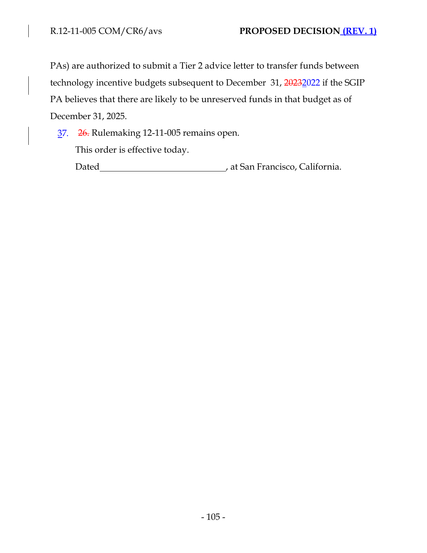$\overline{\phantom{a}}$ 

PAs) are authorized to submit a Tier 2 advice letter to transfer funds between technology incentive budgets subsequent to December 31, 20232022 if the SGIP PA believes that there are likely to be unreserved funds in that budget as of December 31, 2025.

37. 26. Rulemaking 12-11-005 remains open.

This order is effective today.

Dated **Material Contract Contract Contract Contract Contract Contract Contract Contract Contract Contract Contract Contract Contract Contract Contract Contract Contract Contract Contract Contract Contract Contract Contract**